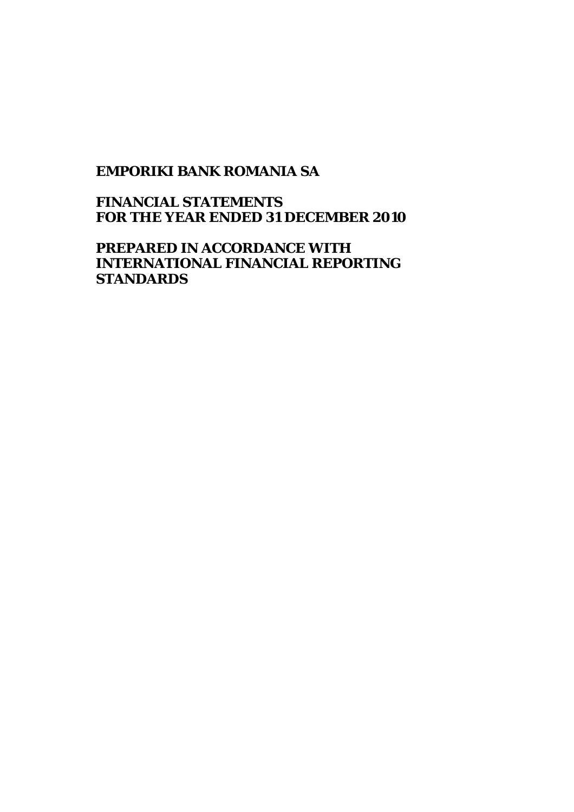## **EMPORIKI BANK ROMANIA SA**

**FINANCIAL STATEMENTS FOR THE YEAR ENDED 31 DECEMBER 2010** 

**PREPARED IN ACCORDANCE WITH INTERNATIONAL FINANCIAL REPORTING STANDARDS**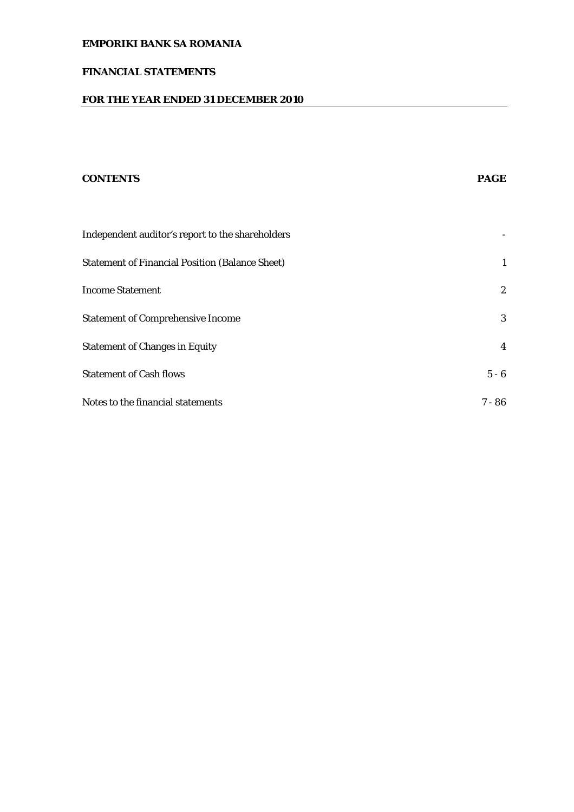## **FINANCIAL STATEMENTS**

## **FOR THE YEAR ENDED 31 DECEMBER 2010**

# **CONTENTS PAGE**  Independent auditor's report to the shareholders - Statement of Financial Position (Balance Sheet) 1 Income Statement 2 Statement of Comprehensive Income 3 Statement of Changes in Equity 4 Statement of Cash flows 5 - 6 Notes to the financial statements 7 - 86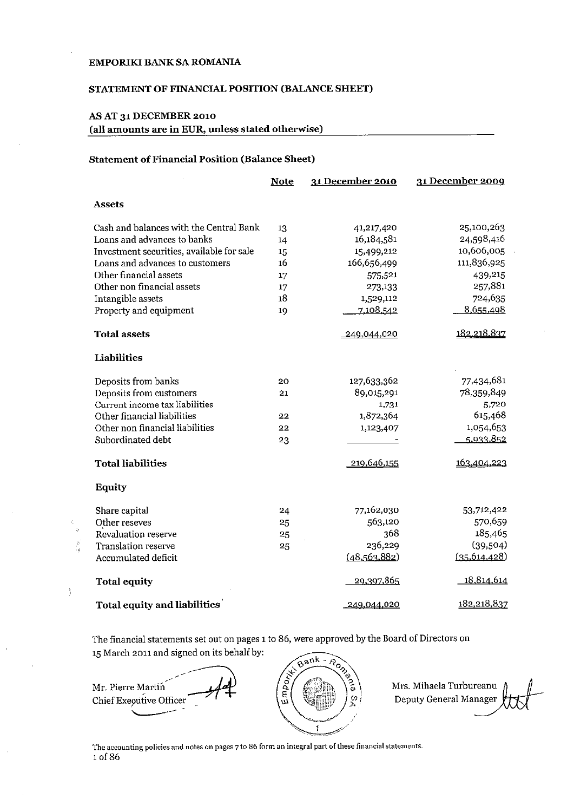#### STATEMENT OF FINANCIAL POSITION (BALANCE SHEET)

## AS AT 31 DECEMBER 2010

 $\frac{1}{2}$ 

(all amounts are in EUR, unless stated otherwise)

#### **Statement of Financial Position (Balance Sheet)**

|                                           | <b>Note</b> | 31 December 2010 | 31 December 2009 |
|-------------------------------------------|-------------|------------------|------------------|
| <b>Assets</b>                             |             |                  |                  |
| Cash and balances with the Central Bank   | 13          | 41,217,420       | 25,100,263       |
| Loans and advances to banks               | 14          | 16,184,581       | 24,598,416       |
| Investment securities, available for sale | 15          | 15,499,212       | 10,606,005       |
| Loans and advances to customers           | 16          | 166,656,499      | 111,836,925      |
| Other financial assets                    | 17          | 575,521          | 439,215          |
| Other non financial assets                | 17          | 273,133          | 257,881          |
| Intangible assets                         | 18          | 1,529,112        | 724,635          |
| Property and equipment                    | 19          | 7,108,542        | 8,655,498        |
| <b>Total assets</b>                       |             | 249,044,020      | 182,218,837      |
| Liabilities                               |             |                  |                  |
| Deposits from banks                       | 20          | 127,633,362      | 77,434,681       |
| Deposits from customers                   | 21          | 89,015,291       | 78,359,849       |
| Current income tax liabilities            |             | 1,731            | 5,720            |
| Other financial liabilities               | 22          | 1,872,364        | 615,468          |
| Other non financial liabilities           | 22          | 1,123,407        | 1,054,653        |
| Subordinated debt                         | 23          |                  | 5.933.852        |
| <b>Total liabilities</b>                  |             | 219,646,155      | 163,404,223      |
| Equity                                    |             |                  |                  |
| Share capital                             | 24          | 77,162,030       | 53,712,422       |
| Other reseves                             | 25          | 563,120          | 570,659          |
| Revaluation reserve                       | 25          | 368              | 185,465          |
| Translation reserve                       | 25          | 236,229          | (39,504)         |
| Accumulated deficit                       |             | (48, 563, 882)   | (35.614.428)     |
| <b>Total equity</b>                       |             | 29,397,865       | 18,814,614       |
| <b>Total equity and liabilities</b>       |             | 249,044,020      | 182,218,837      |

The financial statements set out on pages 1 to 86, were approved by the Board of Directors on 15 March 2011 and signed on its behalf by:

Bank - Roman نيز mpor Mr. Pierre Martin  $\mathcal{G}$ Chief Executive Officer w  $\pmb{\hat{i}}$ 

Mrs. Mihaela Turbureanu Deputy General Manager

The accounting policies and notes on pages 7 to 86 form an integral part of these financial statements. 1 of 86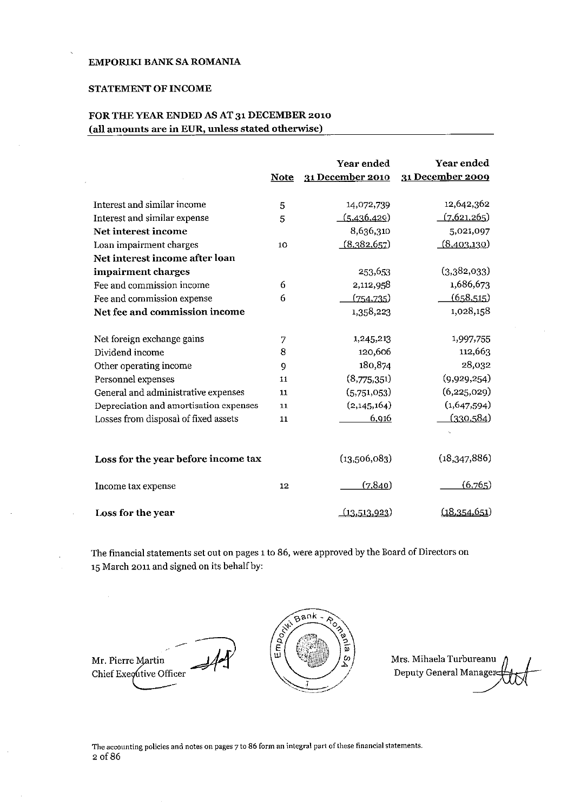#### **STATEMENT OF INCOME**

## FOR THE YEAR ENDED AS AT 31 DECEMBER 2010 (all amounts are in EUR, unless stated otherwise)

|                                        | Note | Year ended<br>31 December 2010 | Year ended<br>31 December 2009 |
|----------------------------------------|------|--------------------------------|--------------------------------|
|                                        |      |                                |                                |
| Interest and similar income            | 5    | 14,072,739                     | 12,642,362                     |
| Interest and similar expense           | 5    | (5,436,429)                    | (7,621,265)                    |
| Net interest income                    |      | 8,636,310                      | 5,021,097                      |
| Loan impairment charges                | 10   | (8,382,657)                    | (8,403,130)                    |
| Net interest income after loan         |      |                                |                                |
| impairment charges                     |      | 253,653                        | (3,382,033)                    |
| Fee and commission income              | 6    | 2,112,958                      | 1,686,673                      |
| Fee and commission expense             | 6    | (754, 735)                     | (658,515)                      |
| Net fee and commission income          |      | 1,358,223                      | 1,028,158                      |
| Net foreign exchange gains             | 7    | 1,245,213                      | 1,997,755                      |
| Dividend income                        | 8    | 120,606                        | 112,663                        |
| Other operating income                 | 9    | 180,874                        | 28,032                         |
| Personnel expenses                     | 11   | (8,775,351)                    | (9,929,254)                    |
| General and administrative expenses    | 11   | (5,751,053)                    | (6, 225, 029)                  |
| Depreciation and amortisation expenses | 11   | (2,145,164)                    | (1,647,594)                    |
| Losses from disposal of fixed assets   | 11   | 6,916                          | <u>(330,584)</u>               |
|                                        |      |                                |                                |
| Loss for the year before income tax    |      | (13,506,083)                   | (18,347,886)                   |
| Income tax expense                     | 12   | (7, 840)                       | (6,765)                        |
| Loss for the year                      |      | <u>(13,513,923</u> )           | (18.354, 651)                  |

The financial statements set out on pages 1 to 86, were approved by the Board of Directors on 15 March 2011 and signed on its behalf by:



 $\bar{z}$ 

Mrs. Mihaela Turbureanu Deputy General Manager

The accounting policies and notes on pages 7 to 86 form an integral part of these financial statements. 2 of 86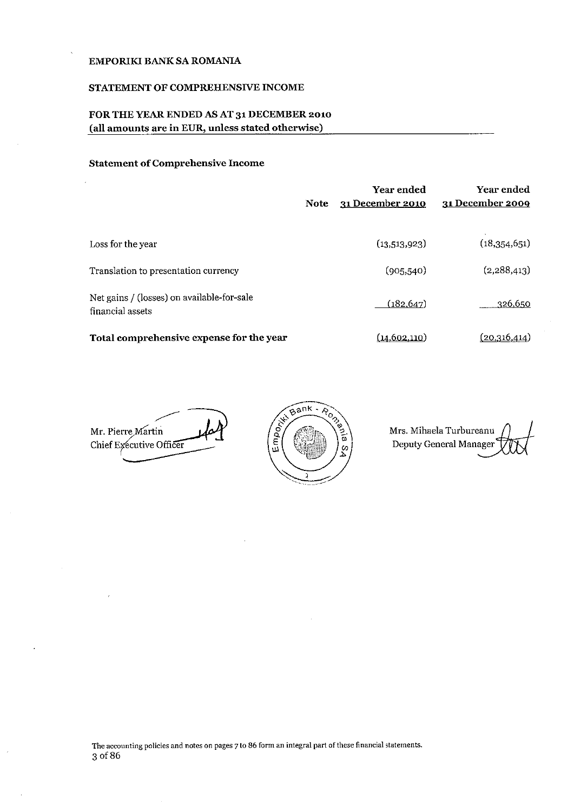#### STATEMENT OF COMPREHENSIVE INCOME

## FOR THE YEAR ENDED AS AT 31 DECEMBER 2010 (all amounts are in EUR, unless stated otherwise)

## **Statement of Comprehensive Income**

|                                                                | <b>Note</b> | <b>Year ended</b><br>31 December 2010 | Year ended<br>31 December 2009 |
|----------------------------------------------------------------|-------------|---------------------------------------|--------------------------------|
| Loss for the year                                              |             | (13,513,923)                          | (18,354,651)                   |
| Translation to presentation currency                           |             | (905, 540)                            | (2,288,413)                    |
| Net gains / (losses) on available-for-sale<br>financial assets |             | (182, 647)                            | 326,650                        |
| Total comprehensive expense for the year                       |             | (14.602.110)                          | (20.316.414)                   |

Mr. Pierre Martin Chief Executive Officer



Mrs. Mihaela Turbureanu Deputy General Manager

The accounting policies and notes on pages 7 to 86 form an integral part of these financial statements. 3 of 86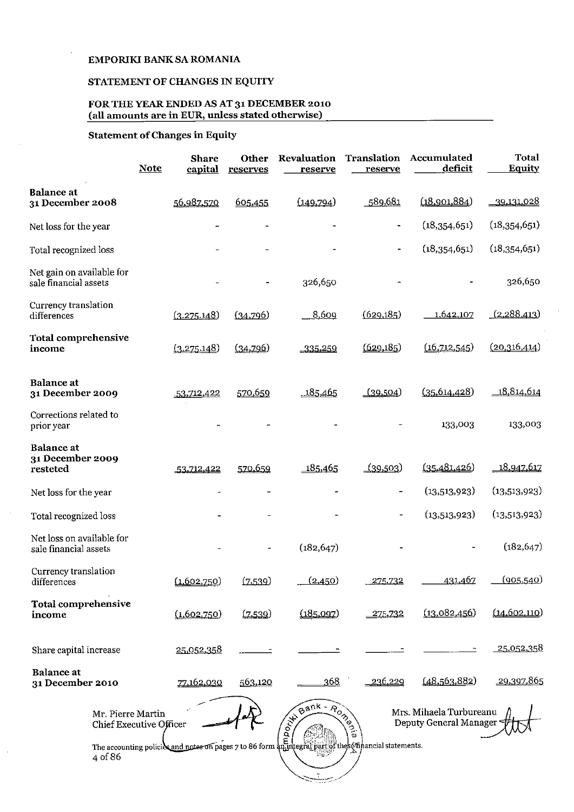## STATEMENT OF CHANGES IN EQUITY

## FOR THE YEAR ENDED AS AT 31 DECEMBER 2010<br>(all amounts are in EUR, unless stated otherwise)

## **Statement of Changes in Equity**

 $\sim$ 

 $\bar{\beta}$ 

|                                                              | <b>Note</b> | <b>Share</b><br>capital | Other<br>reserves | Revaluation<br>reserve | Translation<br>reserve | Accumulated<br>deficit | Total<br>Equity   |
|--------------------------------------------------------------|-------------|-------------------------|-------------------|------------------------|------------------------|------------------------|-------------------|
| <b>Balance</b> at<br>31 December 2008                        |             | 56,987,570              | 605,455           | (149, 794)             | 589,681                | (18,901,884)           | <u>39,131,028</u> |
| Net loss for the year                                        |             |                         |                   |                        | ۰                      | (18,354,651)           | (18,354,651)      |
| Total recognized loss                                        |             |                         |                   |                        |                        | (18,354,651)           | (18,354,651)      |
| Net gain on available for<br>sale financial assets           |             |                         |                   | 326,650                |                        |                        | 326,650           |
| Currency translation<br>differences                          |             | (3.275.148)             | (34,796)          | 8,609                  | (629, 185)             | 1,642,107              | (2,288,413)       |
| Total comprehensive<br>income                                |             | (3.275.148)             | (34,796)          | $-335,259$             | (629, 185)             | (16,712,545)           | (20,316,414)      |
| <b>Balance</b> at<br>31 December 2009                        |             | 53,712,422              | 570,659           | 185,465                | (39,504)               | (35, 614, 428)         | 18,814,614        |
| Corrections related to<br>prior year                         |             |                         |                   |                        |                        | 133,003                | 133,003           |
| <b>Balance</b> at<br>31 December 2009<br>resteted            |             | 53,712,422              | 570,659           | 185,465                | <u>(39,503</u> )       | (35,481,426)           | 18,947,617        |
| Net loss for the year                                        |             |                         |                   |                        | <b></b>                | (13,513,923)           | (13,513,923)      |
| Total recognized loss                                        |             |                         |                   |                        |                        | (13,513,923)           | (13,513,923)      |
| Net loss on available for<br>sale financial assets           |             |                         |                   | (182, 647)             |                        |                        | (182, 647)        |
| Currency translation<br>differences                          |             | (1.602.750)             | (7.539)           | (2.450)                | 275.732                | 431.467                | (905, 540)        |
| Total comprehensive<br>income                                |             | (1,602,750)             | (7.539)           | (185.097)              | 275,732                | (13,082,456)           | (14, 602, 110)    |
| Share capital increase                                       |             | 25,052,358              |                   |                        |                        |                        | <u>25.052.358</u> |
| <b>Balance</b> at<br>31 December 2010                        |             | 77,162,030              | 563,120           | 368                    | 236,229                | (48,563,882)           | .29,397,865       |
| Mrs. Mihaela Turbureanu<br>Deputy General Manager<br>4 of 86 |             |                         |                   |                        |                        |                        |                   |
|                                                              |             |                         |                   |                        |                        |                        |                   |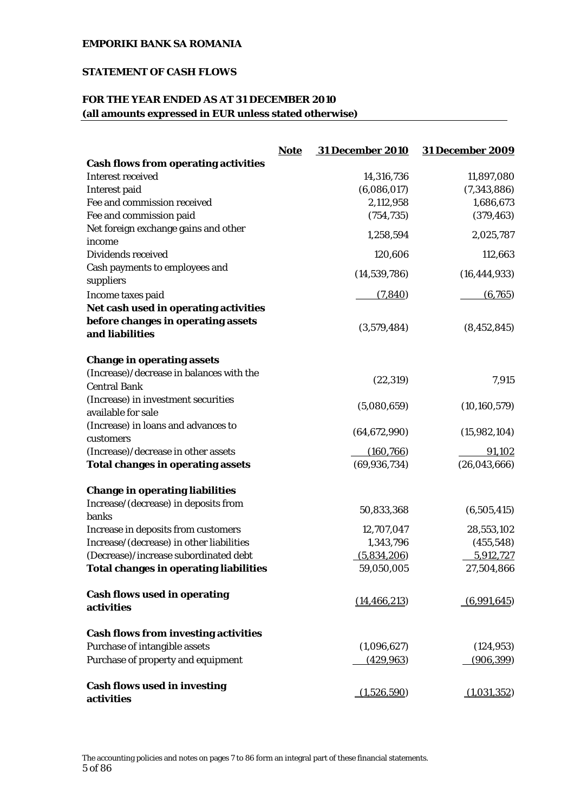## **STATEMENT OF CASH FLOWS**

## **FOR THE YEAR ENDED AS AT 31 DECEMBER 2010 (all amounts expressed in EUR unless stated otherwise)**

|                                                   | <b>Note</b> | <b>31 December 2010</b> | <b>31 December 2009</b> |
|---------------------------------------------------|-------------|-------------------------|-------------------------|
| <b>Cash flows from operating activities</b>       |             |                         |                         |
| <b>Interest received</b>                          |             | 14,316,736              | 11,897,080              |
| Interest paid                                     |             | (6,086,017)             | (7,343,886)             |
| Fee and commission received                       |             | 2,112,958               | 1,686,673               |
| Fee and commission paid                           |             | (754, 735)              | (379, 463)              |
| Net foreign exchange gains and other              |             | 1,258,594               | 2,025,787               |
| income                                            |             |                         |                         |
| Dividends received                                |             | 120,606                 | 112,663                 |
| Cash payments to employees and<br>suppliers       |             | (14, 539, 786)          | (16, 444, 933)          |
| Income taxes paid                                 |             | (7, 840)                | (6,765)                 |
| Net cash used in operating activities             |             |                         |                         |
| before changes in operating assets                |             |                         |                         |
| and liabilities                                   |             | (3,579,484)             | (8, 452, 845)           |
| <b>Change in operating assets</b>                 |             |                         |                         |
| (Increase)/decrease in balances with the          |             | (22, 319)               | 7,915                   |
| <b>Central Bank</b>                               |             |                         |                         |
| (Increase) in investment securities               |             | (5,080,659)             | (10, 160, 579)          |
| available for sale                                |             |                         |                         |
| (Increase) in loans and advances to               |             | (64, 672, 990)          | (15,982,104)            |
| customers                                         |             |                         |                         |
| (Increase)/decrease in other assets               |             | (160, 766)              | 91,102                  |
| <b>Total changes in operating assets</b>          |             | (69, 936, 734)          | (26,043,666)            |
| <b>Change in operating liabilities</b>            |             |                         |                         |
| Increase/(decrease) in deposits from<br>banks     |             | 50,833,368              | (6,505,415)             |
| Increase in deposits from customers               |             | 12,707,047              | 28,553,102              |
| Increase/(decrease) in other liabilities          |             | 1,343,796               | (455, 548)              |
| (Decrease)/increase subordinated debt             |             | (5,834,206)             | 5,912,727               |
| <b>Total changes in operating liabilities</b>     |             | 59,050,005              | 27,504,866              |
| <b>Cash flows used in operating</b><br>activities |             | (14, 466, 213)          | (6,991,645)             |
| <b>Cash flows from investing activities</b>       |             |                         |                         |
| Purchase of intangible assets                     |             | (1,096,627)             | (124, 953)              |
| Purchase of property and equipment                |             | (429, 963)              | (906, 399)              |
| <b>Cash flows used in investing</b><br>activities |             | (1,526,590)             | (1,031,352)             |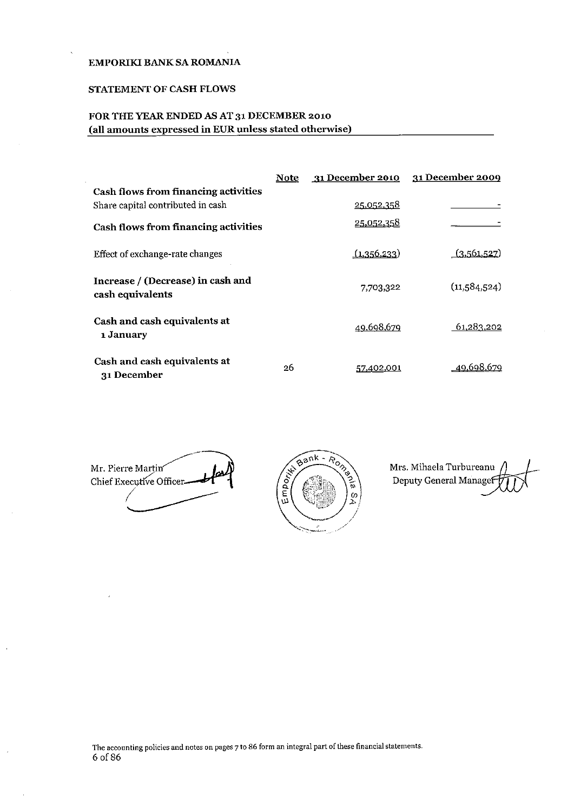#### STATEMENT OF CASH FLOWS

## FOR THE YEAR ENDED AS AT 31 DECEMBER 2010 (all amounts expressed in EUR unless stated otherwise)

|                                                       | Note | 31 December 2010  | 31 December 2009 |
|-------------------------------------------------------|------|-------------------|------------------|
| <b>Cash flows from financing activities</b>           |      |                   |                  |
| Share capital contributed in cash                     |      | <u>25.052.358</u> |                  |
| <b>Cash flows from financing activities</b>           |      | 25,052,358        |                  |
| Effect of exchange-rate changes                       |      | (1,356,233)       | (3,561,527)      |
| Increase / (Decrease) in cash and<br>cash equivalents |      | 7,703,322         | (11,584,524)     |
| Cash and cash equivalents at<br>1 January             |      | 49.698,679        | 61,283,202       |
| Cash and cash equivalents at<br>31 December           | 26   | 57,402,001        | 49.698.679       |

Mr. Pierre Martin Chief Executive Officer-



Mrs. Mihaela Turbureanu Deputy General Manage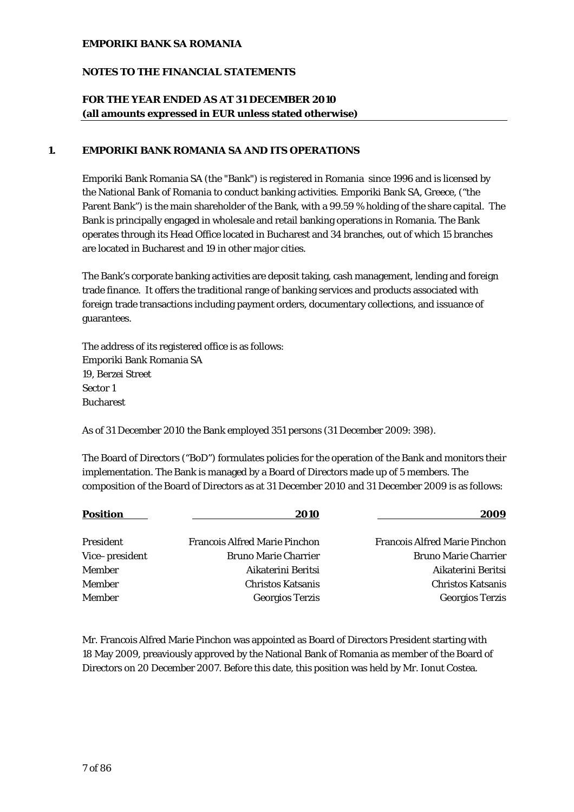## **NOTES TO THE FINANCIAL STATEMENTS**

## **FOR THE YEAR ENDED AS AT 31 DECEMBER 2010 (all amounts expressed in EUR unless stated otherwise)**

## **1. EMPORIKI BANK ROMANIA SA AND ITS OPERATIONS**

Emporiki Bank Romania SA (the "Bank") is registered in Romania since 1996 and is licensed by the National Bank of Romania to conduct banking activities. Emporiki Bank SA, Greece, ("the Parent Bank") is the main shareholder of the Bank, with a 99.59 % holding of the share capital. The Bank is principally engaged in wholesale and retail banking operations in Romania. The Bank operates through its Head Office located in Bucharest and 34 branches, out of which 15 branches are located in Bucharest and 19 in other major cities.

The Bank's corporate banking activities are deposit taking, cash management, lending and foreign trade finance. It offers the traditional range of banking services and products associated with foreign trade transactions including payment orders, documentary collections, and issuance of guarantees.

The address of its registered office is as follows: Emporiki Bank Romania SA 19, Berzei Street Sector 1 Bucharest

As of 31 December 2010 the Bank employed 351 persons (31 December 2009: 398).

The Board of Directors ("BoD") formulates policies for the operation of the Bank and monitors their implementation. The Bank is managed by a Board of Directors made up of 5 members. The composition of the Board of Directors as at 31 December 2010 and 31 December 2009 is as follows:

| <b>Position</b>  | 2010                                 | 2009                                 |
|------------------|--------------------------------------|--------------------------------------|
| <b>President</b> | <b>Francois Alfred Marie Pinchon</b> | <b>Francois Alfred Marie Pinchon</b> |
| Vice-president   | <b>Bruno Marie Charrier</b>          | <b>Bruno Marie Charrier</b>          |
| Member           | Aikaterini Beritsi                   | Aikaterini Beritsi                   |
| <b>Member</b>    | <b>Christos Katsanis</b>             | <b>Christos Katsanis</b>             |
| Member           | <b>Georgios Terzis</b>               | <b>Georgios Terzis</b>               |

Mr. Francois Alfred Marie Pinchon was appointed as Board of Directors President starting with 18 May 2009, preaviously approved by the National Bank of Romania as member of the Board of Directors on 20 December 2007. Before this date, this position was held by Mr. Ionut Costea.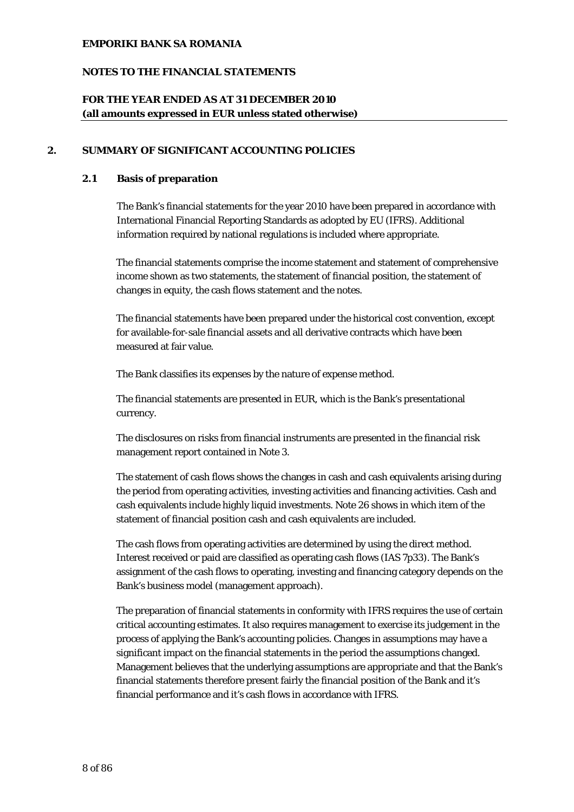## **NOTES TO THE FINANCIAL STATEMENTS**

## **FOR THE YEAR ENDED AS AT 31 DECEMBER 2010 (all amounts expressed in EUR unless stated otherwise)**

## **2. SUMMARY OF SIGNIFICANT ACCOUNTING POLICIES**

## **2.1 Basis of preparation**

The Bank's financial statements for the year 2010 have been prepared in accordance with International Financial Reporting Standards as adopted by EU (IFRS). Additional information required by national regulations is included where appropriate.

The financial statements comprise the income statement and statement of comprehensive income shown as two statements, the statement of financial position, the statement of changes in equity, the cash flows statement and the notes.

The financial statements have been prepared under the historical cost convention, except for available-for-sale financial assets and all derivative contracts which have been measured at fair value.

The Bank classifies its expenses by the nature of expense method.

The financial statements are presented in EUR, which is the Bank's presentational currency.

The disclosures on risks from financial instruments are presented in the financial risk management report contained in Note 3.

The statement of cash flows shows the changes in cash and cash equivalents arising during the period from operating activities, investing activities and financing activities. Cash and cash equivalents include highly liquid investments. Note 26 shows in which item of the statement of financial position cash and cash equivalents are included.

The cash flows from operating activities are determined by using the direct method. Interest received or paid are classified as operating cash flows (IAS 7p33). The Bank's assignment of the cash flows to operating, investing and financing category depends on the Bank's business model (management approach).

The preparation of financial statements in conformity with IFRS requires the use of certain critical accounting estimates. It also requires management to exercise its judgement in the process of applying the Bank's accounting policies. Changes in assumptions may have a significant impact on the financial statements in the period the assumptions changed. Management believes that the underlying assumptions are appropriate and that the Bank's financial statements therefore present fairly the financial position of the Bank and it's financial performance and it's cash flows in accordance with IFRS.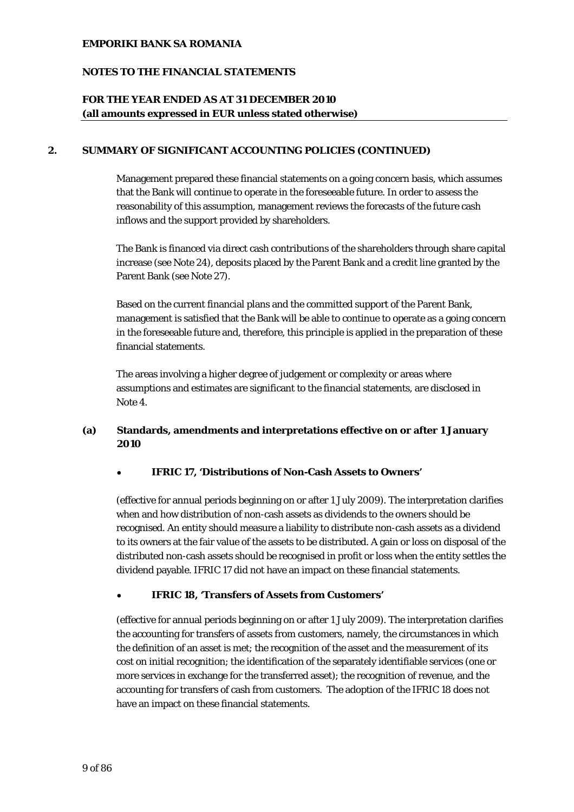## **NOTES TO THE FINANCIAL STATEMENTS**

## **FOR THE YEAR ENDED AS AT 31 DECEMBER 2010 (all amounts expressed in EUR unless stated otherwise)**

## **2. SUMMARY OF SIGNIFICANT ACCOUNTING POLICIES (CONTINUED)**

Management prepared these financial statements on a going concern basis, which assumes that the Bank will continue to operate in the foreseeable future. In order to assess the reasonability of this assumption, management reviews the forecasts of the future cash inflows and the support provided by shareholders.

The Bank is financed via direct cash contributions of the shareholders through share capital increase (see Note 24), deposits placed by the Parent Bank and a credit line granted by the Parent Bank (see Note 27).

Based on the current financial plans and the committed support of the Parent Bank, management is satisfied that the Bank will be able to continue to operate as a going concern in the foreseeable future and, therefore, this principle is applied in the preparation of these financial statements.

The areas involving a higher degree of judgement or complexity or areas where assumptions and estimates are significant to the financial statements, are disclosed in Note 4.

## **(a) Standards, amendments and interpretations effective on or after 1 January 2010**

#### • **IFRIC 17, 'Distributions of Non-Cash Assets to Owners'**

(effective for annual periods beginning on or after 1 July 2009). The interpretation clarifies when and how distribution of non-cash assets as dividends to the owners should be recognised. An entity should measure a liability to distribute non-cash assets as a dividend to its owners at the fair value of the assets to be distributed. A gain or loss on disposal of the distributed non-cash assets should be recognised in profit or loss when the entity settles the dividend payable. IFRIC 17 did not have an impact on these financial statements.

#### • **IFRIC 18, 'Transfers of Assets from Customers'**

(effective for annual periods beginning on or after 1 July 2009). The interpretation clarifies the accounting for transfers of assets from customers, namely, the circumstances in which the definition of an asset is met; the recognition of the asset and the measurement of its cost on initial recognition; the identification of the separately identifiable services (one or more services in exchange for the transferred asset); the recognition of revenue, and the accounting for transfers of cash from customers. The adoption of the IFRIC 18 does not have an impact on these financial statements.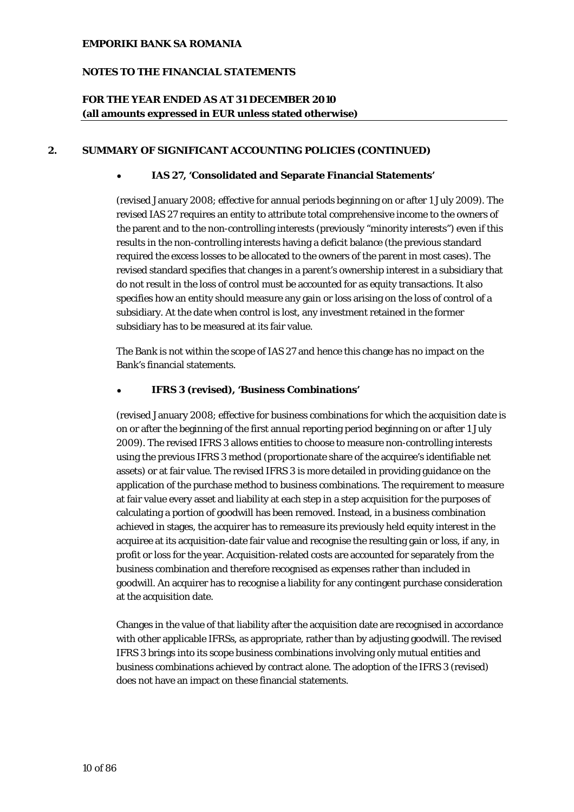## **NOTES TO THE FINANCIAL STATEMENTS**

## **FOR THE YEAR ENDED AS AT 31 DECEMBER 2010 (all amounts expressed in EUR unless stated otherwise)**

## **2. SUMMARY OF SIGNIFICANT ACCOUNTING POLICIES (CONTINUED)**

## • **IAS 27, 'Consolidated and Separate Financial Statements'**

(revised January 2008; effective for annual periods beginning on or after 1 July 2009). The revised IAS 27 requires an entity to attribute total comprehensive income to the owners of the parent and to the non-controlling interests (previously "minority interests") even if this results in the non-controlling interests having a deficit balance (the previous standard required the excess losses to be allocated to the owners of the parent in most cases). The revised standard specifies that changes in a parent's ownership interest in a subsidiary that do not result in the loss of control must be accounted for as equity transactions. It also specifies how an entity should measure any gain or loss arising on the loss of control of a subsidiary. At the date when control is lost, any investment retained in the former subsidiary has to be measured at its fair value.

The Bank is not within the scope of IAS 27 and hence this change has no impact on the Bank's financial statements.

#### • **IFRS 3 (revised), 'Business Combinations'**

(revised January 2008; effective for business combinations for which the acquisition date is on or after the beginning of the first annual reporting period beginning on or after 1 July 2009). The revised IFRS 3 allows entities to choose to measure non-controlling interests using the previous IFRS 3 method (proportionate share of the acquiree's identifiable net assets) or at fair value. The revised IFRS 3 is more detailed in providing guidance on the application of the purchase method to business combinations. The requirement to measure at fair value every asset and liability at each step in a step acquisition for the purposes of calculating a portion of goodwill has been removed. Instead, in a business combination achieved in stages, the acquirer has to remeasure its previously held equity interest in the acquiree at its acquisition-date fair value and recognise the resulting gain or loss, if any, in profit or loss for the year. Acquisition-related costs are accounted for separately from the business combination and therefore recognised as expenses rather than included in goodwill. An acquirer has to recognise a liability for any contingent purchase consideration at the acquisition date.

Changes in the value of that liability after the acquisition date are recognised in accordance with other applicable IFRSs, as appropriate, rather than by adjusting goodwill. The revised IFRS 3 brings into its scope business combinations involving only mutual entities and business combinations achieved by contract alone. The adoption of the IFRS 3 (revised) does not have an impact on these financial statements.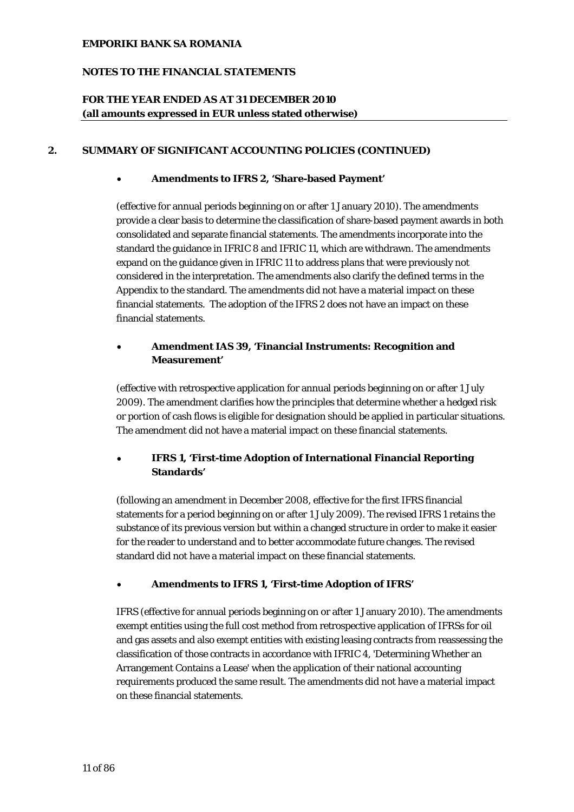## **NOTES TO THE FINANCIAL STATEMENTS**

## **FOR THE YEAR ENDED AS AT 31 DECEMBER 2010 (all amounts expressed in EUR unless stated otherwise)**

## **2. SUMMARY OF SIGNIFICANT ACCOUNTING POLICIES (CONTINUED)**

### • **Amendments to IFRS 2, 'Share-based Payment'**

(effective for annual periods beginning on or after 1 January 2010). The amendments provide a clear basis to determine the classification of share-based payment awards in both consolidated and separate financial statements. The amendments incorporate into the standard the guidance in IFRIC 8 and IFRIC 11, which are withdrawn. The amendments expand on the guidance given in IFRIC 11 to address plans that were previously not considered in the interpretation. The amendments also clarify the defined terms in the Appendix to the standard. The amendments did not have a material impact on these financial statements. The adoption of the IFRS 2 does not have an impact on these financial statements.

## • **Amendment IAS 39, 'Financial Instruments: Recognition and Measurement'**

(effective with retrospective application for annual periods beginning on or after 1 July 2009). The amendment clarifies how the principles that determine whether a hedged risk or portion of cash flows is eligible for designation should be applied in particular situations. The amendment did not have a material impact on these financial statements.

## • **IFRS 1, 'First-time Adoption of International Financial Reporting Standards'**

(following an amendment in December 2008, effective for the first IFRS financial statements for a period beginning on or after 1 July 2009). The revised IFRS 1 retains the substance of its previous version but within a changed structure in order to make it easier for the reader to understand and to better accommodate future changes. The revised standard did not have a material impact on these financial statements.

## • **Amendments to IFRS 1, 'First-time Adoption of IFRS'**

IFRS (effective for annual periods beginning on or after 1 January 2010). The amendments exempt entities using the full cost method from retrospective application of IFRSs for oil and gas assets and also exempt entities with existing leasing contracts from reassessing the classification of those contracts in accordance with IFRIC 4, 'Determining Whether an Arrangement Contains a Lease' when the application of their national accounting requirements produced the same result. The amendments did not have a material impact on these financial statements.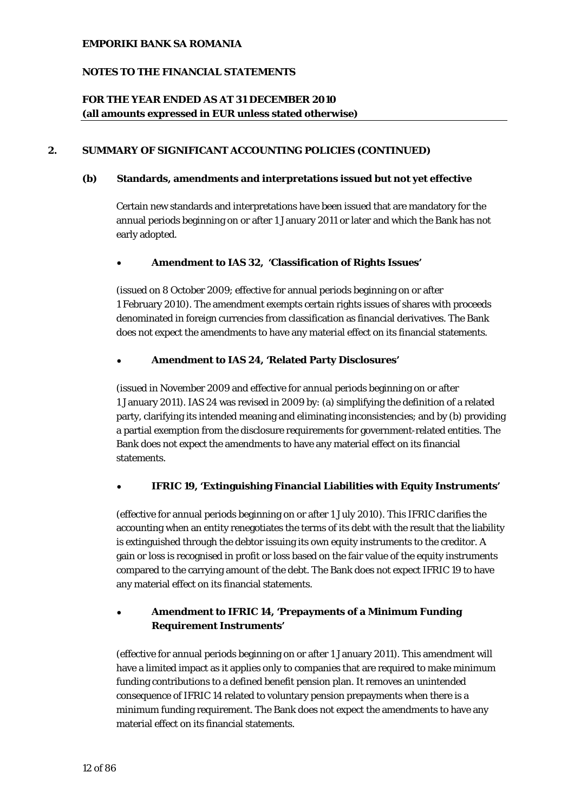## **NOTES TO THE FINANCIAL STATEMENTS**

## **FOR THE YEAR ENDED AS AT 31 DECEMBER 2010 (all amounts expressed in EUR unless stated otherwise)**

## **2. SUMMARY OF SIGNIFICANT ACCOUNTING POLICIES (CONTINUED)**

#### **(b) Standards, amendments and interpretations issued but not yet effective**

Certain new standards and interpretations have been issued that are mandatory for the annual periods beginning on or after 1 January 2011 or later and which the Bank has not early adopted.

### • **Amendment to IAS 32, 'Classification of Rights Issues'**

(issued on 8 October 2009; effective for annual periods beginning on or after 1 February 2010). The amendment exempts certain rights issues of shares with proceeds denominated in foreign currencies from classification as financial derivatives. The Bank does not expect the amendments to have any material effect on its financial statements.

### • **Amendment to IAS 24, 'Related Party Disclosures'**

(issued in November 2009 and effective for annual periods beginning on or after 1 January 2011). IAS 24 was revised in 2009 by: (a) simplifying the definition of a related party, clarifying its intended meaning and eliminating inconsistencies; and by (b) providing a partial exemption from the disclosure requirements for government-related entities. The Bank does not expect the amendments to have any material effect on its financial statements.

## • **IFRIC 19, 'Extinguishing Financial Liabilities with Equity Instruments'**

(effective for annual periods beginning on or after 1 July 2010). This IFRIC clarifies the accounting when an entity renegotiates the terms of its debt with the result that the liability is extinguished through the debtor issuing its own equity instruments to the creditor. A gain or loss is recognised in profit or loss based on the fair value of the equity instruments compared to the carrying amount of the debt. The Bank does not expect IFRIC 19 to have any material effect on its financial statements.

## • **Amendment to IFRIC 14, 'Prepayments of a Minimum Funding Requirement Instruments'**

(effective for annual periods beginning on or after 1 January 2011). This amendment will have a limited impact as it applies only to companies that are required to make minimum funding contributions to a defined benefit pension plan. It removes an unintended consequence of IFRIC 14 related to voluntary pension prepayments when there is a minimum funding requirement. The Bank does not expect the amendments to have any material effect on its financial statements.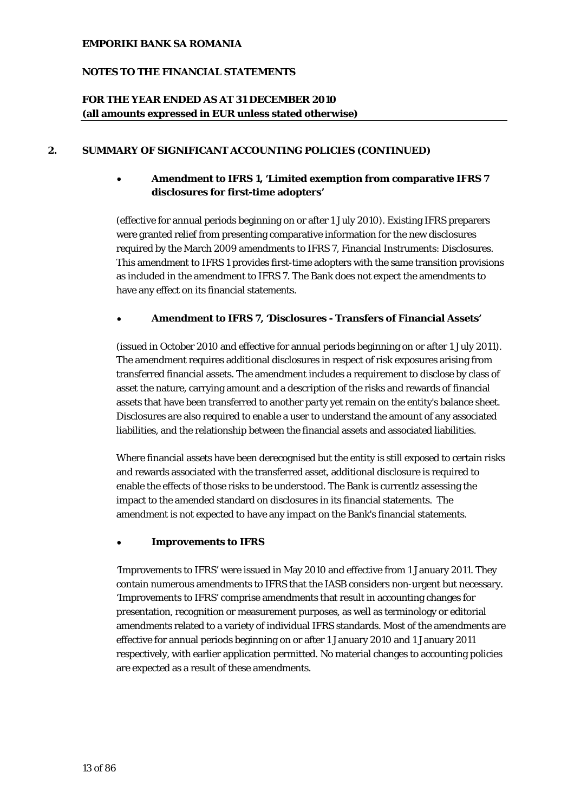## **NOTES TO THE FINANCIAL STATEMENTS**

## **FOR THE YEAR ENDED AS AT 31 DECEMBER 2010 (all amounts expressed in EUR unless stated otherwise)**

## **2. SUMMARY OF SIGNIFICANT ACCOUNTING POLICIES (CONTINUED)**

## • **Amendment to IFRS 1, 'Limited exemption from comparative IFRS 7 disclosures for first-time adopters'**

(effective for annual periods beginning on or after 1 July 2010). Existing IFRS preparers were granted relief from presenting comparative information for the new disclosures required by the March 2009 amendments to IFRS 7, Financial Instruments: Disclosures. This amendment to IFRS 1 provides first-time adopters with the same transition provisions as included in the amendment to IFRS 7. The Bank does not expect the amendments to have any effect on its financial statements.

### • **Amendment to IFRS 7, 'Disclosures - Transfers of Financial Assets'**

(issued in October 2010 and effective for annual periods beginning on or after 1 July 2011). The amendment requires additional disclosures in respect of risk exposures arising from transferred financial assets. The amendment includes a requirement to disclose by class of asset the nature, carrying amount and a description of the risks and rewards of financial assets that have been transferred to another party yet remain on the entity's balance sheet. Disclosures are also required to enable a user to understand the amount of any associated liabilities, and the relationship between the financial assets and associated liabilities.

Where financial assets have been derecognised but the entity is still exposed to certain risks and rewards associated with the transferred asset, additional disclosure is required to enable the effects of those risks to be understood. The Bank is currentlz assessing the impact to the amended standard on disclosures in its financial statements. The amendment is not expected to have any impact on the Bank's financial statements.

#### • **Improvements to IFRS**

'Improvements to IFRS' were issued in May 2010 and effective from 1 January 2011. They contain numerous amendments to IFRS that the IASB considers non-urgent but necessary. 'Improvements to IFRS' comprise amendments that result in accounting changes for presentation, recognition or measurement purposes, as well as terminology or editorial amendments related to a variety of individual IFRS standards. Most of the amendments are effective for annual periods beginning on or after 1 January 2010 and 1 January 2011 respectively, with earlier application permitted. No material changes to accounting policies are expected as a result of these amendments.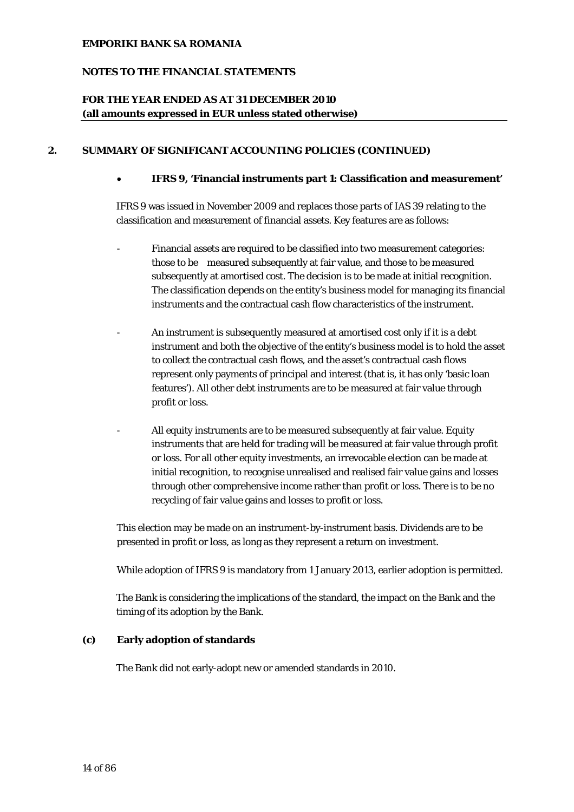## **NOTES TO THE FINANCIAL STATEMENTS**

## **FOR THE YEAR ENDED AS AT 31 DECEMBER 2010 (all amounts expressed in EUR unless stated otherwise)**

## **2. SUMMARY OF SIGNIFICANT ACCOUNTING POLICIES (CONTINUED)**

• **IFRS 9, 'Financial instruments part 1: Classification and measurement'** 

IFRS 9 was issued in November 2009 and replaces those parts of IAS 39 relating to the classification and measurement of financial assets. Key features are as follows:

- Financial assets are required to be classified into two measurement categories: those to be measured subsequently at fair value, and those to be measured subsequently at amortised cost. The decision is to be made at initial recognition. The classification depends on the entity's business model for managing its financial instruments and the contractual cash flow characteristics of the instrument.
- An instrument is subsequently measured at amortised cost only if it is a debt instrument and both the objective of the entity's business model is to hold the asset to collect the contractual cash flows, and the asset's contractual cash flows represent only payments of principal and interest (that is, it has only 'basic loan features'). All other debt instruments are to be measured at fair value through profit or loss.
- All equity instruments are to be measured subsequently at fair value. Equity instruments that are held for trading will be measured at fair value through profit or loss. For all other equity investments, an irrevocable election can be made at initial recognition, to recognise unrealised and realised fair value gains and losses through other comprehensive income rather than profit or loss. There is to be no recycling of fair value gains and losses to profit or loss.

This election may be made on an instrument-by-instrument basis. Dividends are to be presented in profit or loss, as long as they represent a return on investment.

While adoption of IFRS 9 is mandatory from 1 January 2013, earlier adoption is permitted.

The Bank is considering the implications of the standard, the impact on the Bank and the timing of its adoption by the Bank.

## **(c) Early adoption of standards**

The Bank did not early-adopt new or amended standards in 2010.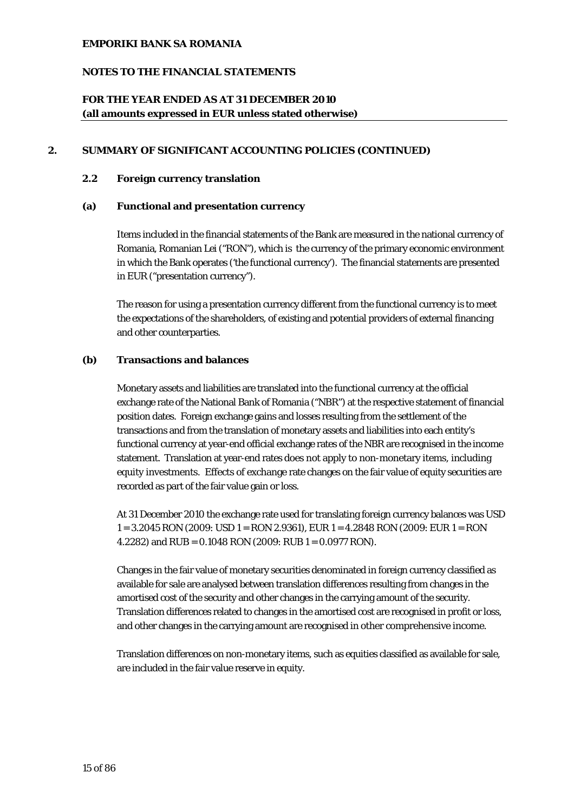## **NOTES TO THE FINANCIAL STATEMENTS**

## **FOR THE YEAR ENDED AS AT 31 DECEMBER 2010 (all amounts expressed in EUR unless stated otherwise)**

## **2. SUMMARY OF SIGNIFICANT ACCOUNTING POLICIES (CONTINUED)**

#### **2.2 Foreign currency translation**

## **(a) Functional and presentation currency**

Items included in the financial statements of the Bank are measured in the national currency of Romania, Romanian Lei ("RON"), which is the currency of the primary economic environment in which the Bank operates ('the functional currency'). The financial statements are presented in EUR ("presentation currency").

The reason for using a presentation currency different from the functional currency is to meet the expectations of the shareholders, of existing and potential providers of external financing and other counterparties.

### **(b) Transactions and balances**

Monetary assets and liabilities are translated into the functional currency at the official exchange rate of the National Bank of Romania ("NBR") at the respective statement of financial position dates. Foreign exchange gains and losses resulting from the settlement of the transactions and from the translation of monetary assets and liabilities into each entity's functional currency at year-end official exchange rates of the NBR are recognised in the income statement. Translation at year-end rates does not apply to non-monetary items, including equity investments. Effects of exchange rate changes on the fair value of equity securities are recorded as part of the fair value gain or loss.

At 31 December 2010 the exchange rate used for translating foreign currency balances was USD 1 = 3.2045 RON (2009: USD 1 = RON 2.9361), EUR 1 = 4.2848 RON (2009: EUR 1 = RON 4.2282) and RUB = 0.1048 RON (2009: RUB 1 = 0.0977 RON).

Changes in the fair value of monetary securities denominated in foreign currency classified as available for sale are analysed between translation differences resulting from changes in the amortised cost of the security and other changes in the carrying amount of the security. Translation differences related to changes in the amortised cost are recognised in profit or loss, and other changes in the carrying amount are recognised in other comprehensive income.

Translation differences on non-monetary items, such as equities classified as available for sale, are included in the fair value reserve in equity.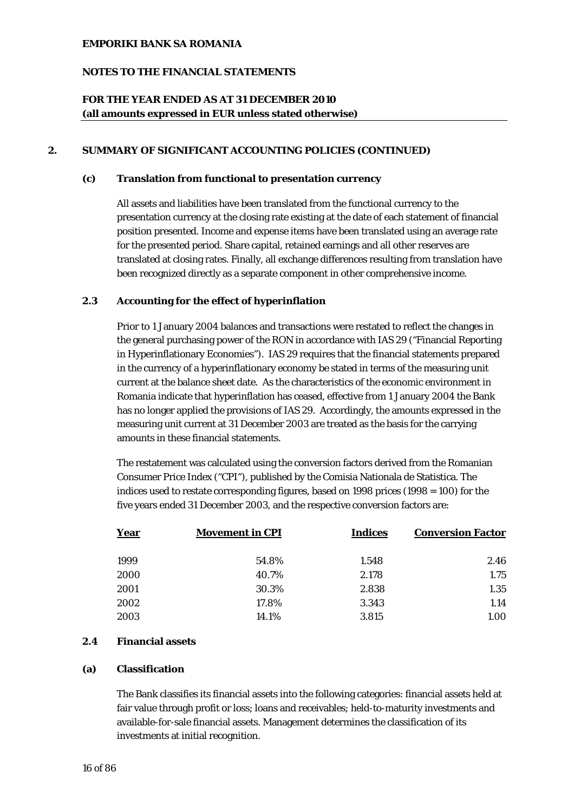## **NOTES TO THE FINANCIAL STATEMENTS**

## **FOR THE YEAR ENDED AS AT 31 DECEMBER 2010 (all amounts expressed in EUR unless stated otherwise)**

### **2. SUMMARY OF SIGNIFICANT ACCOUNTING POLICIES (CONTINUED)**

#### **(c) Translation from functional to presentation currency**

All assets and liabilities have been translated from the functional currency to the presentation currency at the closing rate existing at the date of each statement of financial position presented. Income and expense items have been translated using an average rate for the presented period. Share capital, retained earnings and all other reserves are translated at closing rates. Finally, all exchange differences resulting from translation have been recognized directly as a separate component in other comprehensive income.

## **2.3 Accounting for the effect of hyperinflation**

Prior to 1 January 2004 balances and transactions were restated to reflect the changes in the general purchasing power of the RON in accordance with IAS 29 ("Financial Reporting in Hyperinflationary Economies"). IAS 29 requires that the financial statements prepared in the currency of a hyperinflationary economy be stated in terms of the measuring unit current at the balance sheet date. As the characteristics of the economic environment in Romania indicate that hyperinflation has ceased, effective from 1 January 2004 the Bank has no longer applied the provisions of IAS 29. Accordingly, the amounts expressed in the measuring unit current at 31 December 2003 are treated as the basis for the carrying amounts in these financial statements.

The restatement was calculated using the conversion factors derived from the Romanian Consumer Price Index ("CPI"), published by the Comisia Nationala de Statistica. The indices used to restate corresponding figures, based on 1998 prices (1998 = 100) for the five years ended 31 December 2003, and the respective conversion factors are:

| <b>Year</b> | <b>Movement in CPI</b> | Indices | <b>Conversion Factor</b> |
|-------------|------------------------|---------|--------------------------|
| 1999        | 54.8%                  | 1.548   | 2.46                     |
| 2000        | 40.7%                  | 2.178   | 1.75                     |
| 2001        | 30.3%                  | 2.838   | 1.35                     |
| 2002        | 17.8%                  | 3.343   | 1.14                     |
| 2003        | 14.1%                  | 3.815   | 1.00                     |

#### **2.4 Financial assets**

## **(a) Classification**

The Bank classifies its financial assets into the following categories: financial assets held at fair value through profit or loss; loans and receivables; held-to-maturity investments and available-for-sale financial assets. Management determines the classification of its investments at initial recognition.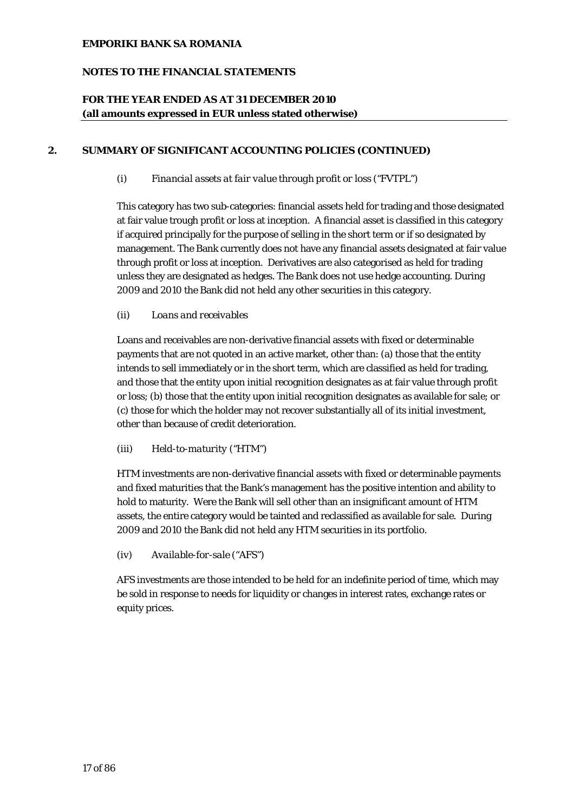## **NOTES TO THE FINANCIAL STATEMENTS**

## **FOR THE YEAR ENDED AS AT 31 DECEMBER 2010 (all amounts expressed in EUR unless stated otherwise)**

## **2. SUMMARY OF SIGNIFICANT ACCOUNTING POLICIES (CONTINUED)**

*(i) Financial assets at fair value through profit or loss ("FVTPL")* 

This category has two sub-categories: financial assets held for trading and those designated at fair value trough profit or loss at inception. A financial asset is classified in this category if acquired principally for the purpose of selling in the short term or if so designated by management. The Bank currently does not have any financial assets designated at fair value through profit or loss at inception. Derivatives are also categorised as held for trading unless they are designated as hedges. The Bank does not use hedge accounting. During 2009 and 2010 the Bank did not held any other securities in this category.

## *(ii) Loans and receivables*

Loans and receivables are non-derivative financial assets with fixed or determinable payments that are not quoted in an active market, other than: (a) those that the entity intends to sell immediately or in the short term, which are classified as held for trading, and those that the entity upon initial recognition designates as at fair value through profit or loss; (b) those that the entity upon initial recognition designates as available for sale; or (c) those for which the holder may not recover substantially all of its initial investment, other than because of credit deterioration.

## *(iii) Held-to-maturity ("HTM")*

HTM investments are non-derivative financial assets with fixed or determinable payments and fixed maturities that the Bank's management has the positive intention and ability to hold to maturity. Were the Bank will sell other than an insignificant amount of HTM assets, the entire category would be tainted and reclassified as available for sale. During 2009 and 2010 the Bank did not held any HTM securities in its portfolio.

## *(iv) Available-for-sale ("AFS")*

AFS investments are those intended to be held for an indefinite period of time, which may be sold in response to needs for liquidity or changes in interest rates, exchange rates or equity prices.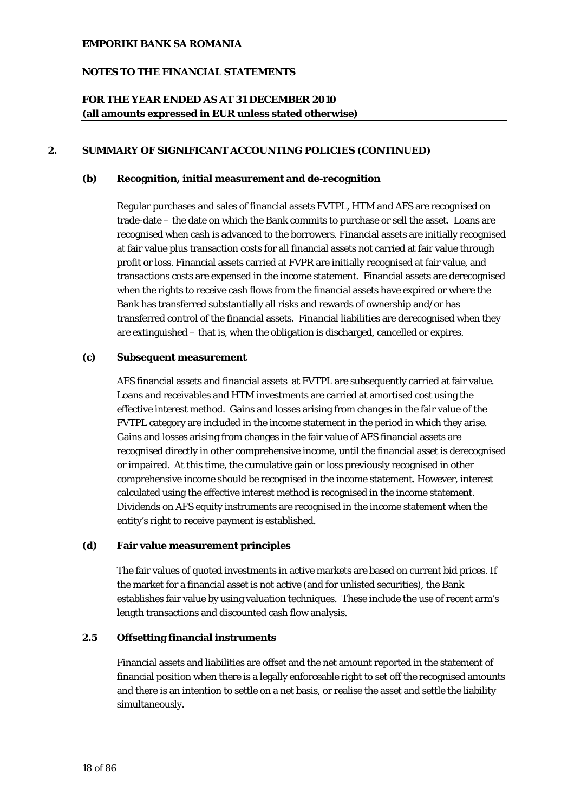## **NOTES TO THE FINANCIAL STATEMENTS**

## **FOR THE YEAR ENDED AS AT 31 DECEMBER 2010 (all amounts expressed in EUR unless stated otherwise)**

## **2. SUMMARY OF SIGNIFICANT ACCOUNTING POLICIES (CONTINUED)**

#### **(b) Recognition, initial measurement and de-recognition**

Regular purchases and sales of financial assets FVTPL, HTM and AFS are recognised on trade-date – the date on which the Bank commits to purchase or sell the asset. Loans are recognised when cash is advanced to the borrowers. Financial assets are initially recognised at fair value plus transaction costs for all financial assets not carried at fair value through profit or loss. Financial assets carried at FVPR are initially recognised at fair value, and transactions costs are expensed in the income statement. Financial assets are derecognised when the rights to receive cash flows from the financial assets have expired or where the Bank has transferred substantially all risks and rewards of ownership and/or has transferred control of the financial assets. Financial liabilities are derecognised when they are extinguished – that is, when the obligation is discharged, cancelled or expires.

#### **(c) Subsequent measurement**

AFS financial assets and financial assets at FVTPL are subsequently carried at fair value. Loans and receivables and HTM investments are carried at amortised cost using the effective interest method. Gains and losses arising from changes in the fair value of the FVTPL category are included in the income statement in the period in which they arise. Gains and losses arising from changes in the fair value of AFS financial assets are recognised directly in other comprehensive income, until the financial asset is derecognised or impaired. At this time, the cumulative gain or loss previously recognised in other comprehensive income should be recognised in the income statement. However, interest calculated using the effective interest method is recognised in the income statement. Dividends on AFS equity instruments are recognised in the income statement when the entity's right to receive payment is established.

## **(d) Fair value measurement principles**

The fair values of quoted investments in active markets are based on current bid prices. If the market for a financial asset is not active (and for unlisted securities), the Bank establishes fair value by using valuation techniques. These include the use of recent arm's length transactions and discounted cash flow analysis.

## **2.5 Offsetting financial instruments**

Financial assets and liabilities are offset and the net amount reported in the statement of financial position when there is a legally enforceable right to set off the recognised amounts and there is an intention to settle on a net basis, or realise the asset and settle the liability simultaneously.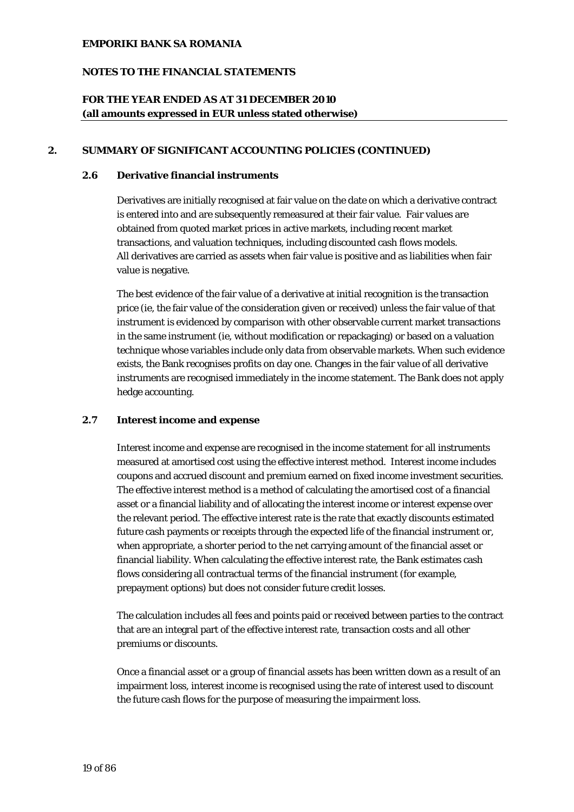## **NOTES TO THE FINANCIAL STATEMENTS**

## **FOR THE YEAR ENDED AS AT 31 DECEMBER 2010 (all amounts expressed in EUR unless stated otherwise)**

## **2. SUMMARY OF SIGNIFICANT ACCOUNTING POLICIES (CONTINUED)**

## **2.6 Derivative financial instruments**

Derivatives are initially recognised at fair value on the date on which a derivative contract is entered into and are subsequently remeasured at their fair value. Fair values are obtained from quoted market prices in active markets, including recent market transactions, and valuation techniques, including discounted cash flows models. All derivatives are carried as assets when fair value is positive and as liabilities when fair value is negative.

The best evidence of the fair value of a derivative at initial recognition is the transaction price (ie, the fair value of the consideration given or received) unless the fair value of that instrument is evidenced by comparison with other observable current market transactions in the same instrument (ie, without modification or repackaging) or based on a valuation technique whose variables include only data from observable markets. When such evidence exists, the Bank recognises profits on day one. Changes in the fair value of all derivative instruments are recognised immediately in the income statement. The Bank does not apply hedge accounting.

## **2.7 Interest income and expense**

Interest income and expense are recognised in the income statement for all instruments measured at amortised cost using the effective interest method. Interest income includes coupons and accrued discount and premium earned on fixed income investment securities. The effective interest method is a method of calculating the amortised cost of a financial asset or a financial liability and of allocating the interest income or interest expense over the relevant period. The effective interest rate is the rate that exactly discounts estimated future cash payments or receipts through the expected life of the financial instrument or, when appropriate, a shorter period to the net carrying amount of the financial asset or financial liability. When calculating the effective interest rate, the Bank estimates cash flows considering all contractual terms of the financial instrument (for example, prepayment options) but does not consider future credit losses.

The calculation includes all fees and points paid or received between parties to the contract that are an integral part of the effective interest rate, transaction costs and all other premiums or discounts.

Once a financial asset or a group of financial assets has been written down as a result of an impairment loss, interest income is recognised using the rate of interest used to discount the future cash flows for the purpose of measuring the impairment loss.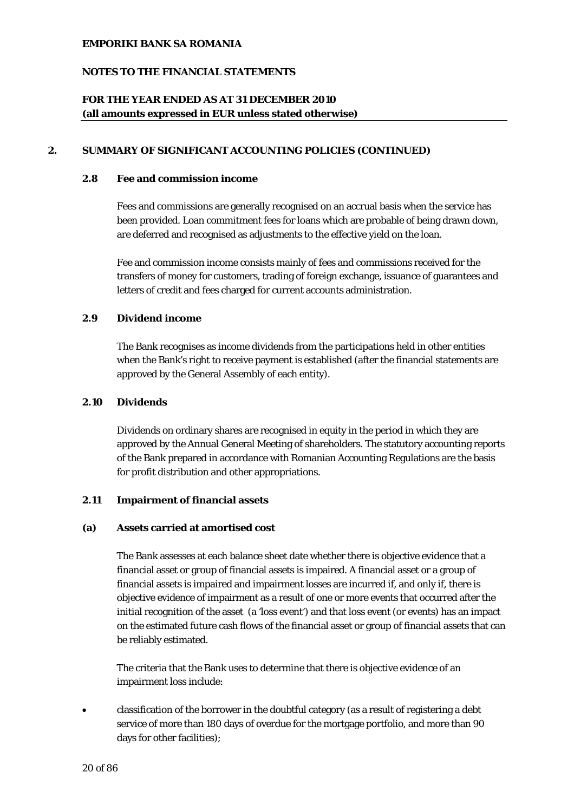## **NOTES TO THE FINANCIAL STATEMENTS**

## **FOR THE YEAR ENDED AS AT 31 DECEMBER 2010 (all amounts expressed in EUR unless stated otherwise)**

## **2. SUMMARY OF SIGNIFICANT ACCOUNTING POLICIES (CONTINUED)**

#### **2.8 Fee and commission income**

Fees and commissions are generally recognised on an accrual basis when the service has been provided. Loan commitment fees for loans which are probable of being drawn down, are deferred and recognised as adjustments to the effective yield on the loan.

Fee and commission income consists mainly of fees and commissions received for the transfers of money for customers, trading of foreign exchange, issuance of guarantees and letters of credit and fees charged for current accounts administration.

## **2.9 Dividend income**

The Bank recognises as income dividends from the participations held in other entities when the Bank's right to receive payment is established (after the financial statements are approved by the General Assembly of each entity).

## **2.10 Dividends**

Dividends on ordinary shares are recognised in equity in the period in which they are approved by the Annual General Meeting of shareholders. The statutory accounting reports of the Bank prepared in accordance with Romanian Accounting Regulations are the basis for profit distribution and other appropriations.

#### **2.11 Impairment of financial assets**

#### **(a) Assets carried at amortised cost**

The Bank assesses at each balance sheet date whether there is objective evidence that a financial asset or group of financial assets is impaired. A financial asset or a group of financial assets is impaired and impairment losses are incurred if, and only if, there is objective evidence of impairment as a result of one or more events that occurred after the initial recognition of the asset (a 'loss event') and that loss event (or events) has an impact on the estimated future cash flows of the financial asset or group of financial assets that can be reliably estimated.

The criteria that the Bank uses to determine that there is objective evidence of an impairment loss include:

• classification of the borrower in the doubtful category (as a result of registering a debt service of more than 180 days of overdue for the mortgage portfolio, and more than 90 days for other facilities);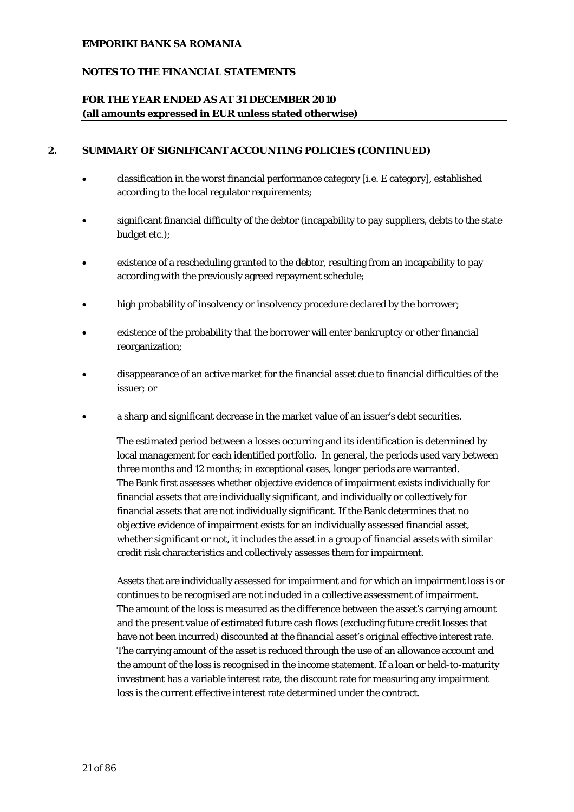## **NOTES TO THE FINANCIAL STATEMENTS**

## **FOR THE YEAR ENDED AS AT 31 DECEMBER 2010 (all amounts expressed in EUR unless stated otherwise)**

### **2. SUMMARY OF SIGNIFICANT ACCOUNTING POLICIES (CONTINUED)**

- classification in the worst financial performance category [i.e. E category], established according to the local regulator requirements;
- significant financial difficulty of the debtor (incapability to pay suppliers, debts to the state budget etc.);
- existence of a rescheduling granted to the debtor, resulting from an incapability to pay according with the previously agreed repayment schedule;
- high probability of insolvency or insolvency procedure declared by the borrower;
- existence of the probability that the borrower will enter bankruptcy or other financial reorganization;
- disappearance of an active market for the financial asset due to financial difficulties of the issuer; or
- a sharp and significant decrease in the market value of an issuer's debt securities.

The estimated period between a losses occurring and its identification is determined by local management for each identified portfolio. In general, the periods used vary between three months and 12 months; in exceptional cases, longer periods are warranted. The Bank first assesses whether objective evidence of impairment exists individually for financial assets that are individually significant, and individually or collectively for financial assets that are not individually significant. If the Bank determines that no objective evidence of impairment exists for an individually assessed financial asset, whether significant or not, it includes the asset in a group of financial assets with similar credit risk characteristics and collectively assesses them for impairment.

Assets that are individually assessed for impairment and for which an impairment loss is or continues to be recognised are not included in a collective assessment of impairment. The amount of the loss is measured as the difference between the asset's carrying amount and the present value of estimated future cash flows (excluding future credit losses that have not been incurred) discounted at the financial asset's original effective interest rate. The carrying amount of the asset is reduced through the use of an allowance account and the amount of the loss is recognised in the income statement. If a loan or held-to-maturity investment has a variable interest rate, the discount rate for measuring any impairment loss is the current effective interest rate determined under the contract.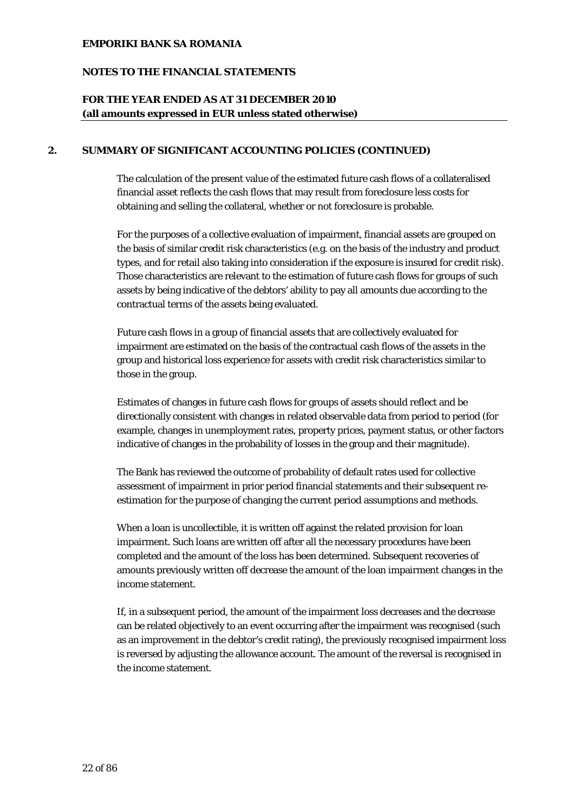## **NOTES TO THE FINANCIAL STATEMENTS**

## **FOR THE YEAR ENDED AS AT 31 DECEMBER 2010 (all amounts expressed in EUR unless stated otherwise)**

## **2. SUMMARY OF SIGNIFICANT ACCOUNTING POLICIES (CONTINUED)**

The calculation of the present value of the estimated future cash flows of a collateralised financial asset reflects the cash flows that may result from foreclosure less costs for obtaining and selling the collateral, whether or not foreclosure is probable.

For the purposes of a collective evaluation of impairment, financial assets are grouped on the basis of similar credit risk characteristics (e.g. on the basis of the industry and product types, and for retail also taking into consideration if the exposure is insured for credit risk). Those characteristics are relevant to the estimation of future cash flows for groups of such assets by being indicative of the debtors' ability to pay all amounts due according to the contractual terms of the assets being evaluated.

Future cash flows in a group of financial assets that are collectively evaluated for impairment are estimated on the basis of the contractual cash flows of the assets in the group and historical loss experience for assets with credit risk characteristics similar to those in the group.

Estimates of changes in future cash flows for groups of assets should reflect and be directionally consistent with changes in related observable data from period to period (for example, changes in unemployment rates, property prices, payment status, or other factors indicative of changes in the probability of losses in the group and their magnitude).

The Bank has reviewed the outcome of probability of default rates used for collective assessment of impairment in prior period financial statements and their subsequent reestimation for the purpose of changing the current period assumptions and methods.

When a loan is uncollectible, it is written off against the related provision for loan impairment. Such loans are written off after all the necessary procedures have been completed and the amount of the loss has been determined. Subsequent recoveries of amounts previously written off decrease the amount of the loan impairment changes in the income statement.

If, in a subsequent period, the amount of the impairment loss decreases and the decrease can be related objectively to an event occurring after the impairment was recognised (such as an improvement in the debtor's credit rating), the previously recognised impairment loss is reversed by adjusting the allowance account. The amount of the reversal is recognised in the income statement.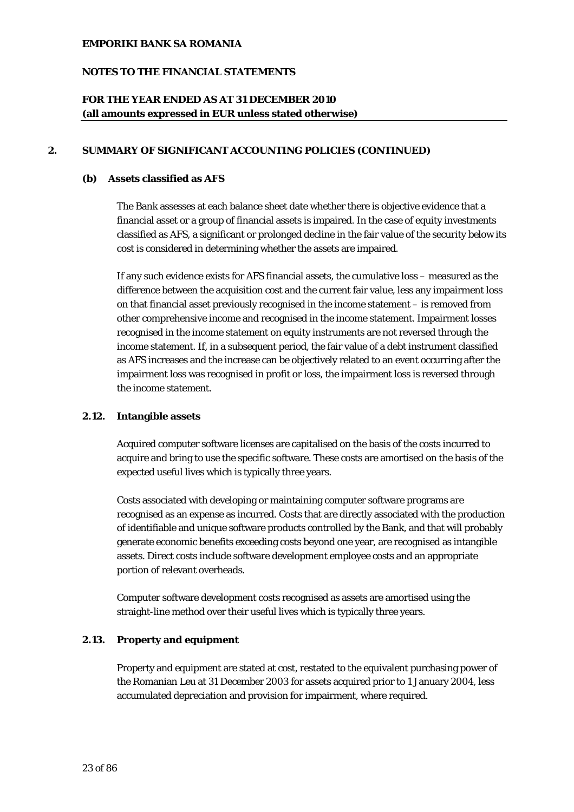## **NOTES TO THE FINANCIAL STATEMENTS**

## **FOR THE YEAR ENDED AS AT 31 DECEMBER 2010 (all amounts expressed in EUR unless stated otherwise)**

## **2. SUMMARY OF SIGNIFICANT ACCOUNTING POLICIES (CONTINUED)**

#### **(b) Assets classified as AFS**

The Bank assesses at each balance sheet date whether there is objective evidence that a financial asset or a group of financial assets is impaired. In the case of equity investments classified as AFS, a significant or prolonged decline in the fair value of the security below its cost is considered in determining whether the assets are impaired.

If any such evidence exists for AFS financial assets, the cumulative loss – measured as the difference between the acquisition cost and the current fair value, less any impairment loss on that financial asset previously recognised in the income statement – is removed from other comprehensive income and recognised in the income statement. Impairment losses recognised in the income statement on equity instruments are not reversed through the income statement. If, in a subsequent period, the fair value of a debt instrument classified as AFS increases and the increase can be objectively related to an event occurring after the impairment loss was recognised in profit or loss, the impairment loss is reversed through the income statement.

## **2.12. Intangible assets**

Acquired computer software licenses are capitalised on the basis of the costs incurred to acquire and bring to use the specific software. These costs are amortised on the basis of the expected useful lives which is typically three years.

Costs associated with developing or maintaining computer software programs are recognised as an expense as incurred. Costs that are directly associated with the production of identifiable and unique software products controlled by the Bank, and that will probably generate economic benefits exceeding costs beyond one year, are recognised as intangible assets. Direct costs include software development employee costs and an appropriate portion of relevant overheads.

Computer software development costs recognised as assets are amortised using the straight-line method over their useful lives which is typically three years.

## **2.13. Property and equipment**

Property and equipment are stated at cost, restated to the equivalent purchasing power of the Romanian Leu at 31 December 2003 for assets acquired prior to 1 January 2004, less accumulated depreciation and provision for impairment, where required.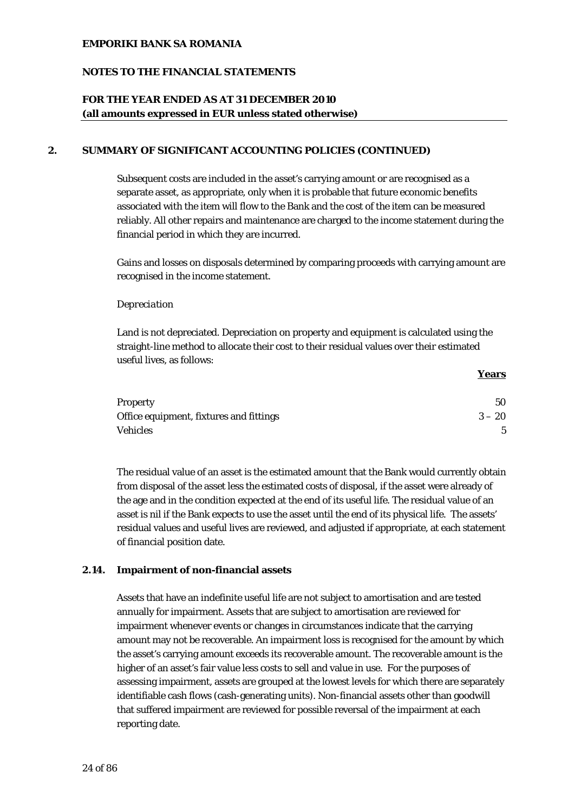## **NOTES TO THE FINANCIAL STATEMENTS**

## **FOR THE YEAR ENDED AS AT 31 DECEMBER 2010 (all amounts expressed in EUR unless stated otherwise)**

## **2. SUMMARY OF SIGNIFICANT ACCOUNTING POLICIES (CONTINUED)**

Subsequent costs are included in the asset's carrying amount or are recognised as a separate asset, as appropriate, only when it is probable that future economic benefits associated with the item will flow to the Bank and the cost of the item can be measured reliably. All other repairs and maintenance are charged to the income statement during the financial period in which they are incurred.

Gains and losses on disposals determined by comparing proceeds with carrying amount are recognised in the income statement.

#### *Depreciation*

Land is not depreciated. Depreciation on property and equipment is calculated using the straight-line method to allocate their cost to their residual values over their estimated useful lives, as follows:

| <b>Property</b>                         | 50       |
|-----------------------------------------|----------|
| Office equipment, fixtures and fittings | $3 - 20$ |
| <b>Vehicles</b>                         |          |

**Years**

The residual value of an asset is the estimated amount that the Bank would currently obtain from disposal of the asset less the estimated costs of disposal, if the asset were already of the age and in the condition expected at the end of its useful life. The residual value of an asset is nil if the Bank expects to use the asset until the end of its physical life. The assets' residual values and useful lives are reviewed, and adjusted if appropriate, at each statement of financial position date.

#### **2.14. Impairment of non-financial assets**

Assets that have an indefinite useful life are not subject to amortisation and are tested annually for impairment. Assets that are subject to amortisation are reviewed for impairment whenever events or changes in circumstances indicate that the carrying amount may not be recoverable. An impairment loss is recognised for the amount by which the asset's carrying amount exceeds its recoverable amount. The recoverable amount is the higher of an asset's fair value less costs to sell and value in use. For the purposes of assessing impairment, assets are grouped at the lowest levels for which there are separately identifiable cash flows (cash-generating units). Non-financial assets other than goodwill that suffered impairment are reviewed for possible reversal of the impairment at each reporting date.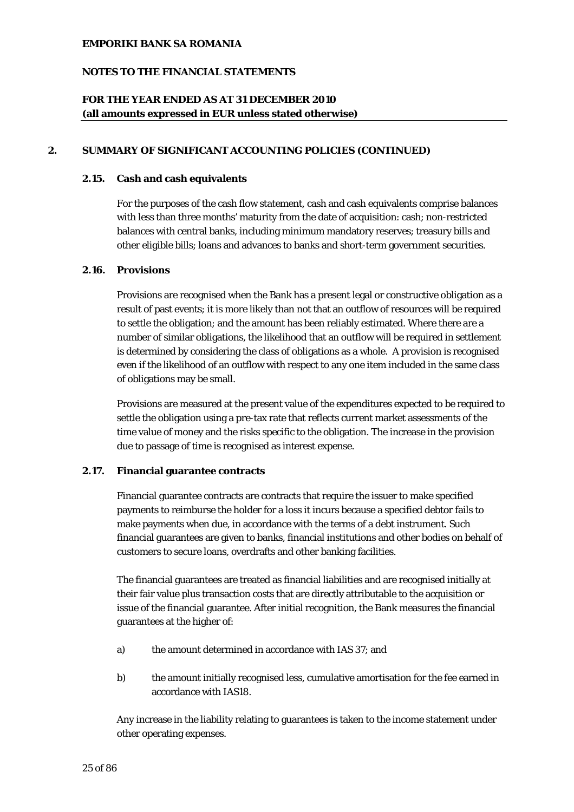## **NOTES TO THE FINANCIAL STATEMENTS**

## **FOR THE YEAR ENDED AS AT 31 DECEMBER 2010 (all amounts expressed in EUR unless stated otherwise)**

### **2. SUMMARY OF SIGNIFICANT ACCOUNTING POLICIES (CONTINUED)**

#### **2.15. Cash and cash equivalents**

For the purposes of the cash flow statement, cash and cash equivalents comprise balances with less than three months' maturity from the date of acquisition: cash; non-restricted balances with central banks, including minimum mandatory reserves; treasury bills and other eligible bills; loans and advances to banks and short-term government securities.

## **2.16. Provisions**

Provisions are recognised when the Bank has a present legal or constructive obligation as a result of past events; it is more likely than not that an outflow of resources will be required to settle the obligation; and the amount has been reliably estimated. Where there are a number of similar obligations, the likelihood that an outflow will be required in settlement is determined by considering the class of obligations as a whole. A provision is recognised even if the likelihood of an outflow with respect to any one item included in the same class of obligations may be small.

Provisions are measured at the present value of the expenditures expected to be required to settle the obligation using a pre-tax rate that reflects current market assessments of the time value of money and the risks specific to the obligation. The increase in the provision due to passage of time is recognised as interest expense.

## **2.17. Financial guarantee contracts**

Financial guarantee contracts are contracts that require the issuer to make specified payments to reimburse the holder for a loss it incurs because a specified debtor fails to make payments when due, in accordance with the terms of a debt instrument. Such financial guarantees are given to banks, financial institutions and other bodies on behalf of customers to secure loans, overdrafts and other banking facilities.

The financial guarantees are treated as financial liabilities and are recognised initially at their fair value plus transaction costs that are directly attributable to the acquisition or issue of the financial guarantee. After initial recognition, the Bank measures the financial guarantees at the higher of:

- a) the amount determined in accordance with IAS 37; and
- b) the amount initially recognised less, cumulative amortisation for the fee earned in accordance with IAS18.

Any increase in the liability relating to guarantees is taken to the income statement under other operating expenses.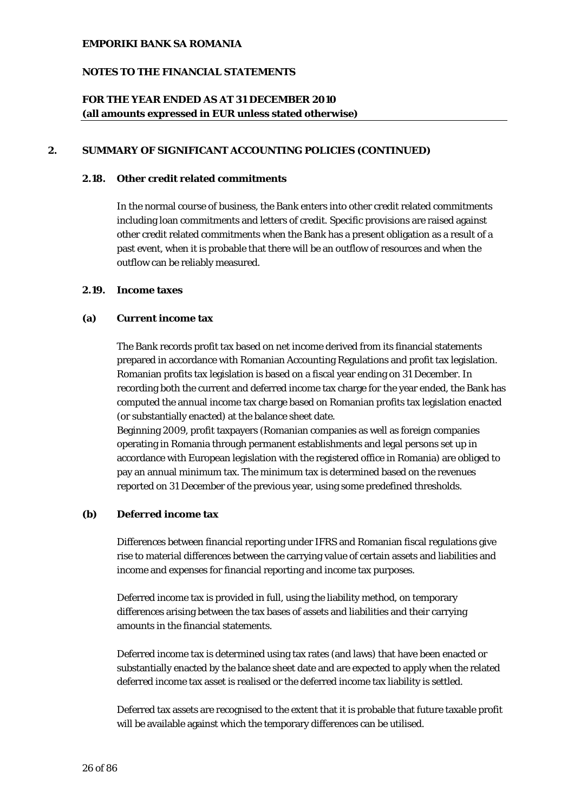## **NOTES TO THE FINANCIAL STATEMENTS**

## **FOR THE YEAR ENDED AS AT 31 DECEMBER 2010 (all amounts expressed in EUR unless stated otherwise)**

### **2. SUMMARY OF SIGNIFICANT ACCOUNTING POLICIES (CONTINUED)**

## **2.18. Other credit related commitments**

In the normal course of business, the Bank enters into other credit related commitments including loan commitments and letters of credit. Specific provisions are raised against other credit related commitments when the Bank has a present obligation as a result of a past event, when it is probable that there will be an outflow of resources and when the outflow can be reliably measured.

## **2.19. Income taxes**

#### **(a) Current income tax**

The Bank records profit tax based on net income derived from its financial statements prepared in accordance with Romanian Accounting Regulations and profit tax legislation. Romanian profits tax legislation is based on a fiscal year ending on 31 December. In recording both the current and deferred income tax charge for the year ended, the Bank has computed the annual income tax charge based on Romanian profits tax legislation enacted (or substantially enacted) at the balance sheet date.

Beginning 2009, profit taxpayers (Romanian companies as well as foreign companies operating in Romania through permanent establishments and legal persons set up in accordance with European legislation with the registered office in Romania) are obliged to pay an annual minimum tax. The minimum tax is determined based on the revenues reported on 31 December of the previous year, using some predefined thresholds.

## **(b) Deferred income tax**

Differences between financial reporting under IFRS and Romanian fiscal regulations give rise to material differences between the carrying value of certain assets and liabilities and income and expenses for financial reporting and income tax purposes.

Deferred income tax is provided in full, using the liability method, on temporary differences arising between the tax bases of assets and liabilities and their carrying amounts in the financial statements.

Deferred income tax is determined using tax rates (and laws) that have been enacted or substantially enacted by the balance sheet date and are expected to apply when the related deferred income tax asset is realised or the deferred income tax liability is settled.

Deferred tax assets are recognised to the extent that it is probable that future taxable profit will be available against which the temporary differences can be utilised.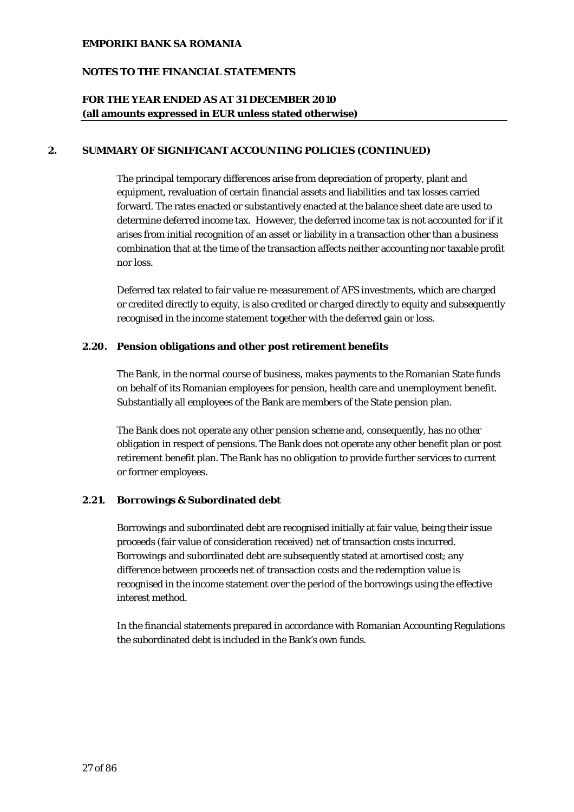## **NOTES TO THE FINANCIAL STATEMENTS**

## **FOR THE YEAR ENDED AS AT 31 DECEMBER 2010 (all amounts expressed in EUR unless stated otherwise)**

## **2. SUMMARY OF SIGNIFICANT ACCOUNTING POLICIES (CONTINUED)**

The principal temporary differences arise from depreciation of property, plant and equipment, revaluation of certain financial assets and liabilities and tax losses carried forward. The rates enacted or substantively enacted at the balance sheet date are used to determine deferred income tax. However, the deferred income tax is not accounted for if it arises from initial recognition of an asset or liability in a transaction other than a business combination that at the time of the transaction affects neither accounting nor taxable profit nor loss.

Deferred tax related to fair value re-measurement of AFS investments, which are charged or credited directly to equity, is also credited or charged directly to equity and subsequently recognised in the income statement together with the deferred gain or loss.

#### **2.20. Pension obligations and other post retirement benefits**

The Bank, in the normal course of business, makes payments to the Romanian State funds on behalf of its Romanian employees for pension, health care and unemployment benefit. Substantially all employees of the Bank are members of the State pension plan.

The Bank does not operate any other pension scheme and, consequently, has no other obligation in respect of pensions. The Bank does not operate any other benefit plan or post retirement benefit plan. The Bank has no obligation to provide further services to current or former employees.

## **2.21. Borrowings & Subordinated debt**

Borrowings and subordinated debt are recognised initially at fair value, being their issue proceeds (fair value of consideration received) net of transaction costs incurred. Borrowings and subordinated debt are subsequently stated at amortised cost; any difference between proceeds net of transaction costs and the redemption value is recognised in the income statement over the period of the borrowings using the effective interest method.

In the financial statements prepared in accordance with Romanian Accounting Regulations the subordinated debt is included in the Bank's own funds.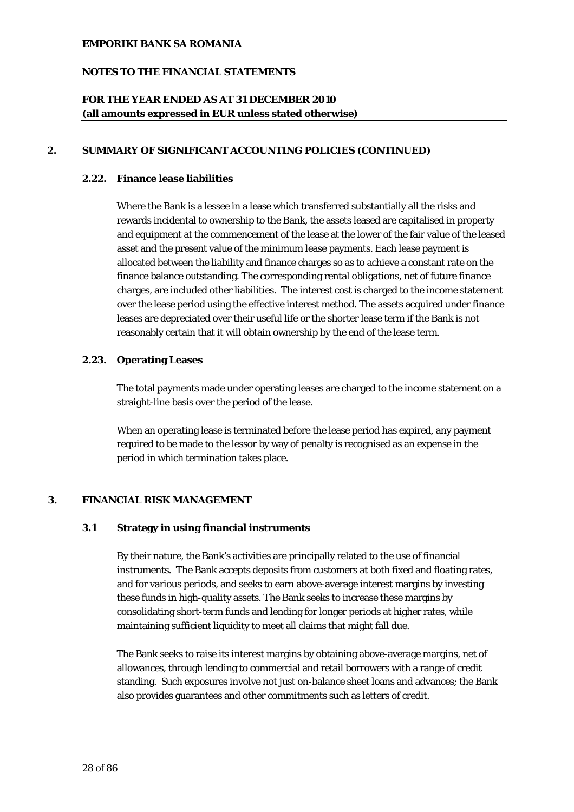## **NOTES TO THE FINANCIAL STATEMENTS**

## **FOR THE YEAR ENDED AS AT 31 DECEMBER 2010 (all amounts expressed in EUR unless stated otherwise)**

## **2. SUMMARY OF SIGNIFICANT ACCOUNTING POLICIES (CONTINUED)**

#### **2.22. Finance lease liabilities**

Where the Bank is a lessee in a lease which transferred substantially all the risks and rewards incidental to ownership to the Bank, the assets leased are capitalised in property and equipment at the commencement of the lease at the lower of the fair value of the leased asset and the present value of the minimum lease payments. Each lease payment is allocated between the liability and finance charges so as to achieve a constant rate on the finance balance outstanding. The corresponding rental obligations, net of future finance charges, are included other liabilities. The interest cost is charged to the income statement over the lease period using the effective interest method. The assets acquired under finance leases are depreciated over their useful life or the shorter lease term if the Bank is not reasonably certain that it will obtain ownership by the end of the lease term.

### **2.23. Operating Leases**

The total payments made under operating leases are charged to the income statement on a straight-line basis over the period of the lease.

When an operating lease is terminated before the lease period has expired, any payment required to be made to the lessor by way of penalty is recognised as an expense in the period in which termination takes place.

## **3. FINANCIAL RISK MANAGEMENT**

## **3.1 Strategy in using financial instruments**

By their nature, the Bank's activities are principally related to the use of financial instruments. The Bank accepts deposits from customers at both fixed and floating rates, and for various periods, and seeks to earn above-average interest margins by investing these funds in high-quality assets. The Bank seeks to increase these margins by consolidating short-term funds and lending for longer periods at higher rates, while maintaining sufficient liquidity to meet all claims that might fall due.

The Bank seeks to raise its interest margins by obtaining above-average margins, net of allowances, through lending to commercial and retail borrowers with a range of credit standing. Such exposures involve not just on-balance sheet loans and advances; the Bank also provides guarantees and other commitments such as letters of credit.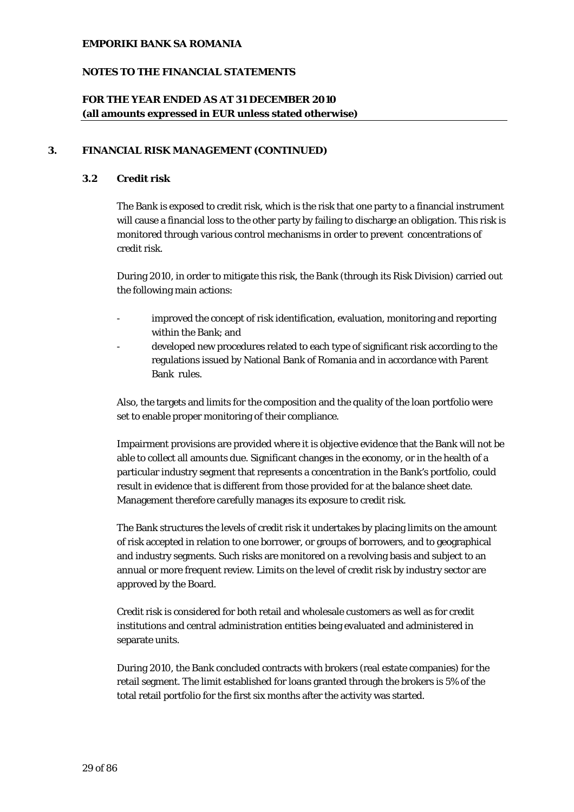## **NOTES TO THE FINANCIAL STATEMENTS**

## **FOR THE YEAR ENDED AS AT 31 DECEMBER 2010 (all amounts expressed in EUR unless stated otherwise)**

### **3. FINANCIAL RISK MANAGEMENT (CONTINUED)**

## **3.2 Credit risk**

The Bank is exposed to credit risk, which is the risk that one party to a financial instrument will cause a financial loss to the other party by failing to discharge an obligation. This risk is monitored through various control mechanisms in order to prevent concentrations of credit risk.

During 2010, in order to mitigate this risk, the Bank (through its Risk Division) carried out the following main actions:

- improved the concept of risk identification, evaluation, monitoring and reporting within the Bank; and
- developed new procedures related to each type of significant risk according to the regulations issued by National Bank of Romania and in accordance with Parent Bank rules.

Also, the targets and limits for the composition and the quality of the loan portfolio were set to enable proper monitoring of their compliance.

Impairment provisions are provided where it is objective evidence that the Bank will not be able to collect all amounts due. Significant changes in the economy, or in the health of a particular industry segment that represents a concentration in the Bank's portfolio, could result in evidence that is different from those provided for at the balance sheet date. Management therefore carefully manages its exposure to credit risk.

The Bank structures the levels of credit risk it undertakes by placing limits on the amount of risk accepted in relation to one borrower, or groups of borrowers, and to geographical and industry segments. Such risks are monitored on a revolving basis and subject to an annual or more frequent review. Limits on the level of credit risk by industry sector are approved by the Board.

Credit risk is considered for both retail and wholesale customers as well as for credit institutions and central administration entities being evaluated and administered in separate units.

During 2010, the Bank concluded contracts with brokers (real estate companies) for the retail segment. The limit established for loans granted through the brokers is 5% of the total retail portfolio for the first six months after the activity was started.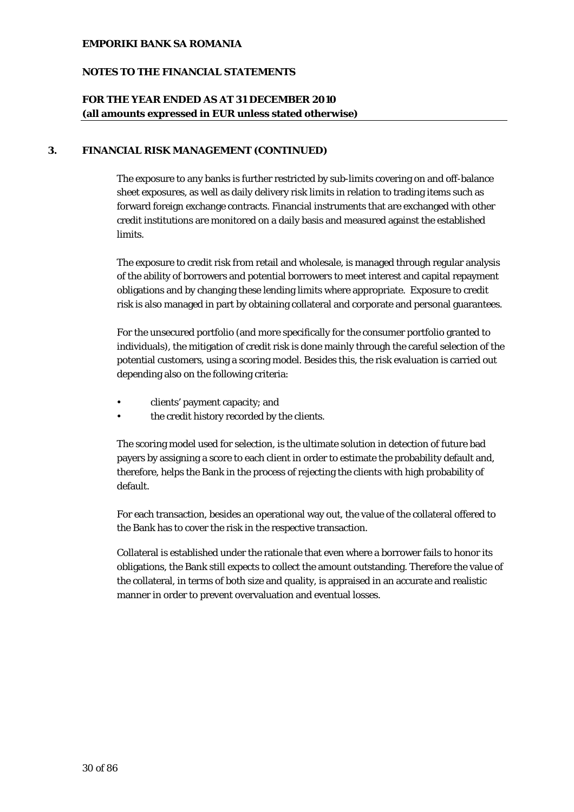## **NOTES TO THE FINANCIAL STATEMENTS**

## **FOR THE YEAR ENDED AS AT 31 DECEMBER 2010 (all amounts expressed in EUR unless stated otherwise)**

## **3. FINANCIAL RISK MANAGEMENT (CONTINUED)**

The exposure to any banks is further restricted by sub-limits covering on and off-balance sheet exposures, as well as daily delivery risk limits in relation to trading items such as forward foreign exchange contracts. Financial instruments that are exchanged with other credit institutions are monitored on a daily basis and measured against the established limits.

The exposure to credit risk from retail and wholesale, is managed through regular analysis of the ability of borrowers and potential borrowers to meet interest and capital repayment obligations and by changing these lending limits where appropriate. Exposure to credit risk is also managed in part by obtaining collateral and corporate and personal guarantees.

For the unsecured portfolio (and more specifically for the consumer portfolio granted to individuals), the mitigation of credit risk is done mainly through the careful selection of the potential customers, using a scoring model. Besides this, the risk evaluation is carried out depending also on the following criteria:

- clients' payment capacity; and
- the credit history recorded by the clients.

The scoring model used for selection, is the ultimate solution in detection of future bad payers by assigning a score to each client in order to estimate the probability default and, therefore, helps the Bank in the process of rejecting the clients with high probability of default.

For each transaction, besides an operational way out, the value of the collateral offered to the Bank has to cover the risk in the respective transaction.

Collateral is established under the rationale that even where a borrower fails to honor its obligations, the Bank still expects to collect the amount outstanding. Therefore the value of the collateral, in terms of both size and quality, is appraised in an accurate and realistic manner in order to prevent overvaluation and eventual losses.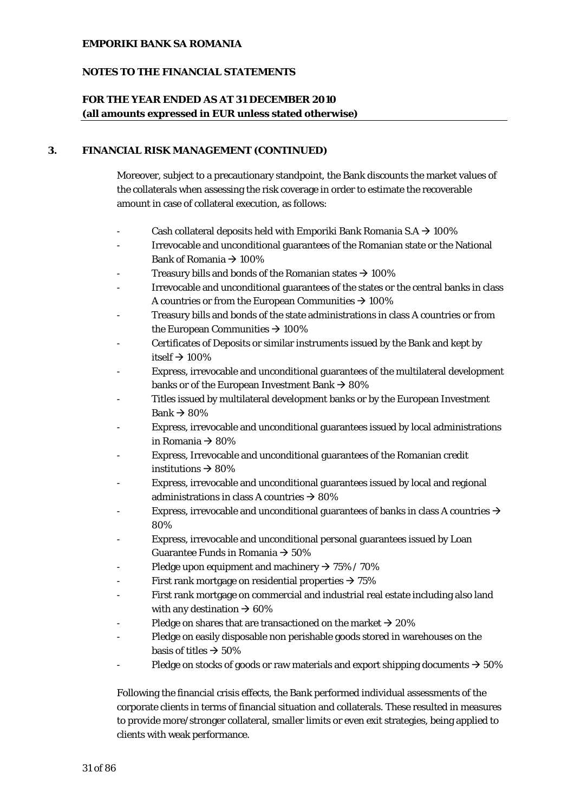## **NOTES TO THE FINANCIAL STATEMENTS**

## **FOR THE YEAR ENDED AS AT 31 DECEMBER 2010 (all amounts expressed in EUR unless stated otherwise)**

### **3. FINANCIAL RISK MANAGEMENT (CONTINUED)**

Moreover, subject to a precautionary standpoint, the Bank discounts the market values of the collaterals when assessing the risk coverage in order to estimate the recoverable amount in case of collateral execution, as follows:

- Cash collateral deposits held with Emporiki Bank Romania S.A  $\rightarrow$  100%
- Irrevocable and unconditional guarantees of the Romanian state or the National Bank of Romania  $\rightarrow$  100%
- Treasury bills and bonds of the Romanian states  $\rightarrow$  100%
- Irrevocable and unconditional guarantees of the states or the central banks in class A countries or from the European Communities  $\rightarrow$  100%
- Treasury bills and bonds of the state administrations in class A countries or from the European Communities  $\rightarrow$  100%
- Certificates of Deposits or similar instruments issued by the Bank and kept by itself  $\rightarrow$  100%
- Express, irrevocable and unconditional guarantees of the multilateral development banks or of the European Investment Bank  $\rightarrow$  80%
- Titles issued by multilateral development banks or by the European Investment Bank  $\rightarrow$  80%
- Express, irrevocable and unconditional guarantees issued by local administrations in Romania  $\rightarrow$  80%
- Express, Irrevocable and unconditional guarantees of the Romanian credit institutions  $\rightarrow$  80%
- Express, irrevocable and unconditional guarantees issued by local and regional administrations in class A countries  $\rightarrow$  80%
- Express, irrevocable and unconditional guarantees of banks in class A countries  $\rightarrow$ 80%
- Express, irrevocable and unconditional personal guarantees issued by Loan Guarantee Funds in Romania  $\rightarrow$  50%
- Pledge upon equipment and machinery  $\rightarrow$  75% / 70%
- First rank mortgage on residential properties  $\rightarrow$  75%
- First rank mortgage on commercial and industrial real estate including also land with any destination  $\rightarrow 60\%$
- Pledge on shares that are transactioned on the market  $\rightarrow$  20%
- Pledge on easily disposable non perishable goods stored in warehouses on the basis of titles  $\rightarrow$  50%
- Pledge on stocks of goods or raw materials and export shipping documents  $\rightarrow$  50%

Following the financial crisis effects, the Bank performed individual assessments of the corporate clients in terms of financial situation and collaterals. These resulted in measures to provide more/stronger collateral, smaller limits or even exit strategies, being applied to clients with weak performance.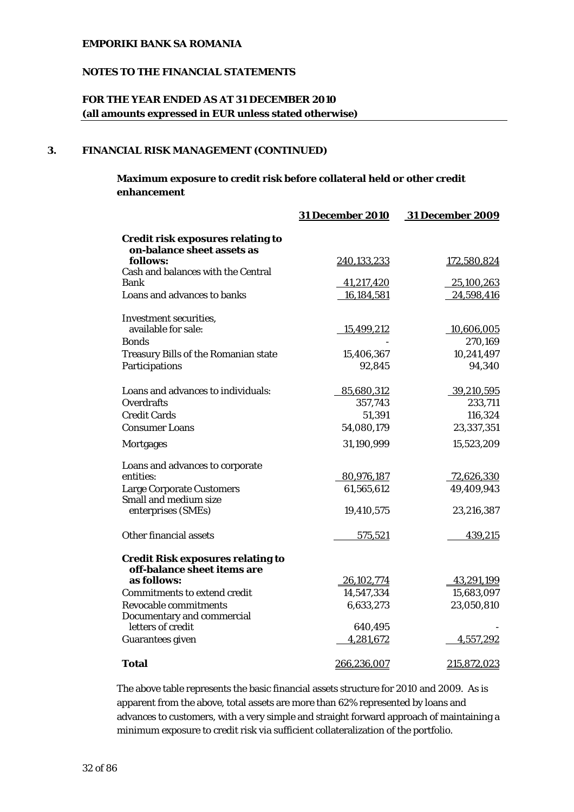## **NOTES TO THE FINANCIAL STATEMENTS**

## **FOR THE YEAR ENDED AS AT 31 DECEMBER 2010 (all amounts expressed in EUR unless stated otherwise)**

## **3. FINANCIAL RISK MANAGEMENT (CONTINUED)**

## **Maximum exposure to credit risk before collateral held or other credit enhancement**

|                                                                         | <b>31 December 2010</b> | <b>31 December 2009</b> |
|-------------------------------------------------------------------------|-------------------------|-------------------------|
| <b>Credit risk exposures relating to</b><br>on-balance sheet assets as  |                         |                         |
| follows:                                                                | 240,133,233             | 172,580,824             |
| Cash and balances with the Central<br>Bank                              | 41,217,420              | 25,100,263              |
| Loans and advances to banks                                             | 16,184,581              | 24,598,416              |
|                                                                         |                         |                         |
| Investment securities,                                                  |                         |                         |
| available for sale:                                                     | 15,499,212              | 10,606,005              |
| <b>Bonds</b>                                                            |                         | 270,169                 |
| <b>Treasury Bills of the Romanian state</b>                             | 15,406,367              | 10,241,497              |
| Participations                                                          | 92,845                  | 94,340                  |
| Loans and advances to individuals:                                      | 85,680,312              | 39,210,595              |
| <b>Overdrafts</b>                                                       | 357,743                 | 233,711                 |
| <b>Credit Cards</b>                                                     | 51,391                  | 116,324                 |
| <b>Consumer Loans</b>                                                   | 54,080,179              | 23,337,351              |
| <b>Mortgages</b>                                                        | 31,190,999              | 15,523,209              |
| Loans and advances to corporate                                         |                         |                         |
| entities:                                                               | 80,976,187              | 72,626,330              |
| <b>Large Corporate Customers</b>                                        | 61,565,612              | 49,409,943              |
| Small and medium size                                                   |                         |                         |
| enterprises (SMEs)                                                      | 19,410,575              | 23,216,387              |
| Other financial assets                                                  | 575,521                 | 439,215                 |
| <b>Credit Risk exposures relating to</b><br>off-balance sheet items are |                         |                         |
| as follows:                                                             | 26,102,774              | 43,291,199              |
| <b>Commitments to extend credit</b>                                     | 14,547,334              | 15,683,097              |
| <b>Revocable commitments</b>                                            | 6,633,273               | 23,050,810              |
| Documentary and commercial                                              |                         |                         |
| letters of credit                                                       | 640,495                 |                         |
| <b>Guarantees given</b>                                                 | 4,281,672               | 4,557,292               |
| <b>Total</b>                                                            | 266,236,007             | 215,872,023             |

The above table represents the basic financial assets structure for 2010 and 2009. As is apparent from the above, total assets are more than 62% represented by loans and advances to customers, with a very simple and straight forward approach of maintaining a minimum exposure to credit risk via sufficient collateralization of the portfolio.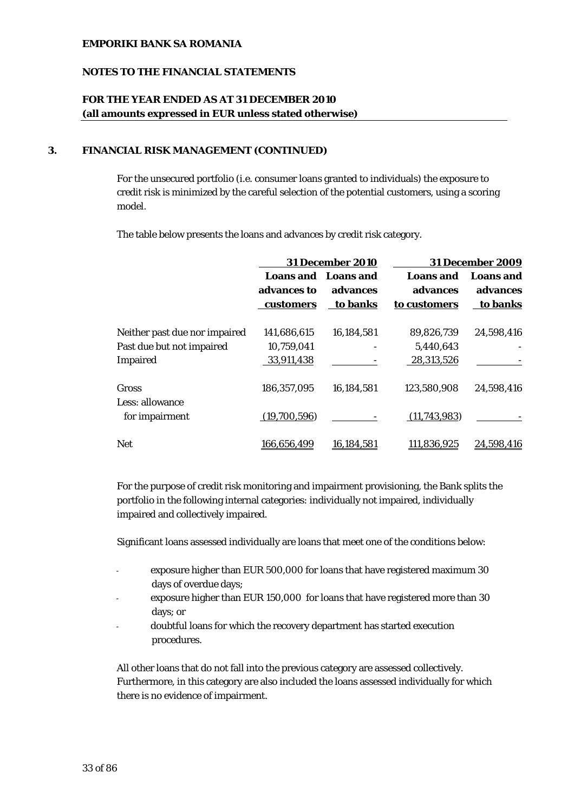## **NOTES TO THE FINANCIAL STATEMENTS**

## **FOR THE YEAR ENDED AS AT 31 DECEMBER 2010 (all amounts expressed in EUR unless stated otherwise)**

### **3. FINANCIAL RISK MANAGEMENT (CONTINUED)**

For the unsecured portfolio (i.e. consumer loans granted to individuals) the exposure to credit risk is minimized by the careful selection of the potential customers, using a scoring model.

The table below presents the loans and advances by credit risk category.

|                               | <b>31 December 2010</b> |                     |                  | <b>31 December 2009</b> |
|-------------------------------|-------------------------|---------------------|------------------|-------------------------|
|                               |                         | Loans and Loans and | <b>Loans</b> and | <b>Loans</b> and        |
|                               | advances to             | advances            | advances         | advances                |
|                               | customers               | to banks            | to customers     | to banks                |
| Neither past due nor impaired | 141.686.615             | 16,184,581          | 89.826.739       | 24,598,416              |
| Past due but not impaired     | 10,759,041              |                     | 5,440,643        |                         |
| Impaired                      | 33,911,438              |                     | 28,313,526       |                         |
| Gross<br>Less: allowance      | 186,357,095             | 16,184,581          | 123,580,908      | 24,598,416              |
| for impairment                | (19,700,596)            |                     | (11, 743, 983)   |                         |
| <b>Net</b>                    | 166,656,499             | 16,184,581          | 111,836,925      | 24,598,416              |

For the purpose of credit risk monitoring and impairment provisioning, the Bank splits the portfolio in the following internal categories: individually not impaired, individually impaired and collectively impaired.

Significant loans assessed individually are loans that meet one of the conditions below:

- exposure higher than EUR 500,000 for loans that have registered maximum 30 days of overdue days;
- exposure higher than EUR 150,000 for loans that have registered more than 30 days; or
- doubtful loans for which the recovery department has started execution procedures.

All other loans that do not fall into the previous category are assessed collectively. Furthermore, in this category are also included the loans assessed individually for which there is no evidence of impairment.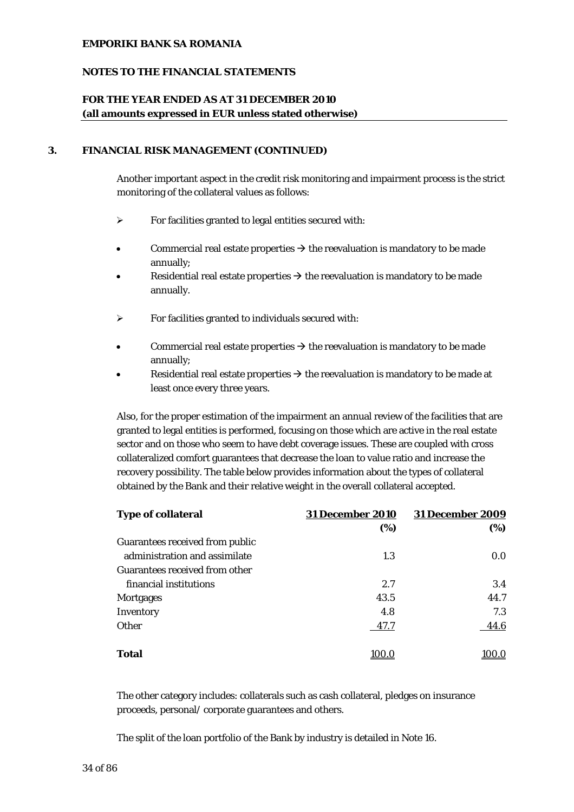## **NOTES TO THE FINANCIAL STATEMENTS**

## **FOR THE YEAR ENDED AS AT 31 DECEMBER 2010 (all amounts expressed in EUR unless stated otherwise)**

### **3. FINANCIAL RISK MANAGEMENT (CONTINUED)**

Another important aspect in the credit risk monitoring and impairment process is the strict monitoring of the collateral values as follows:

- ¾ For facilities granted to legal entities secured with:
- Commercial real estate properties  $\rightarrow$  the reevaluation is mandatory to be made annually;
- Residential real estate properties  $\rightarrow$  the reevaluation is mandatory to be made annually.
- $\triangleright$  For facilities granted to individuals secured with:
- Commercial real estate properties  $\rightarrow$  the reevaluation is mandatory to be made annually;
- Residential real estate properties  $\rightarrow$  the reevaluation is mandatory to be made at least once every three years.

Also, for the proper estimation of the impairment an annual review of the facilities that are granted to legal entities is performed, focusing on those which are active in the real estate sector and on those who seem to have debt coverage issues. These are coupled with cross collateralized comfort guarantees that decrease the loan to value ratio and increase the recovery possibility. The table below provides information about the types of collateral obtained by the Bank and their relative weight in the overall collateral accepted.

| <b>Type of collateral</b>       | <b>31 December 2010</b> | <b>31 December 2009</b> |
|---------------------------------|-------------------------|-------------------------|
|                                 | (%)                     | (%)                     |
| Guarantees received from public |                         |                         |
| administration and assimilate   | 1.3                     | 0.0 <sub>1</sub>        |
| Guarantees received from other  |                         |                         |
| financial institutions          | 2.7                     | 3.4                     |
| <b>Mortgages</b>                | 43.5                    | 44.7                    |
| Inventory                       | 4.8                     | 7.3                     |
| Other                           | 47.7                    | 44.6                    |
| <b>Total</b>                    | 100.0                   | IOO.O                   |

The other category includes: collaterals such as cash collateral, pledges on insurance proceeds, personal/ corporate guarantees and others.

The split of the loan portfolio of the Bank by industry is detailed in Note 16.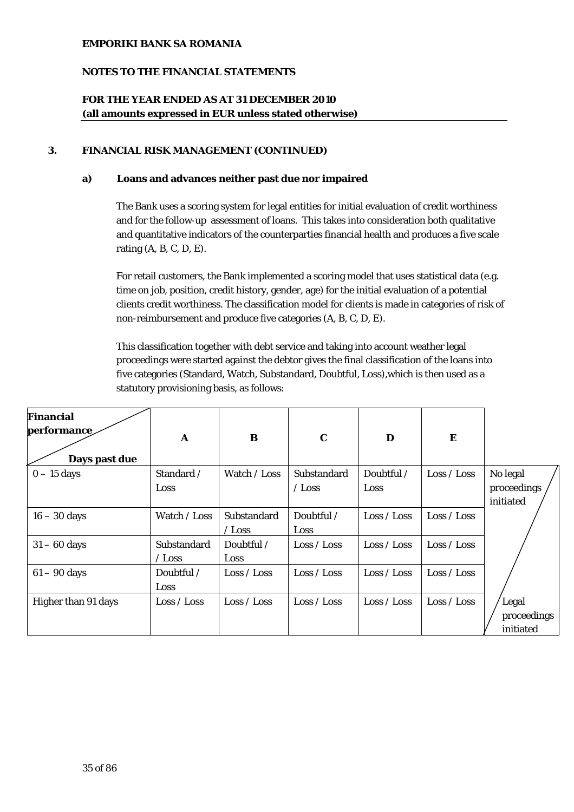## **NOTES TO THE FINANCIAL STATEMENTS**

# **FOR THE YEAR ENDED AS AT 31 DECEMBER 2010 (all amounts expressed in EUR unless stated otherwise)**

### **3. FINANCIAL RISK MANAGEMENT (CONTINUED)**

### **a) Loans and advances neither past due nor impaired**

The Bank uses a scoring system for legal entities for initial evaluation of credit worthiness and for the follow-up assessment of loans. This takes into consideration both qualitative and quantitative indicators of the counterparties financial health and produces a five scale rating (A, B, C, D, E).

For retail customers, the Bank implemented a scoring model that uses statistical data (e.g. time on job, position, credit history, gender, age) for the initial evaluation of a potential clients credit worthiness. The classification model for clients is made in categories of risk of non-reimbursement and produce five categories (A, B, C, D, E).

This classification together with debt service and taking into account weather legal proceedings were started against the debtor gives the final classification of the loans into five categories (Standard, Watch, Substandard, Doubtful, Loss),which is then used as a statutory provisioning basis, as follows:

| <b>Financial</b><br>performance | A                            | B                            | $\mathbf C$                  | D                  | E                           |                                      |
|---------------------------------|------------------------------|------------------------------|------------------------------|--------------------|-----------------------------|--------------------------------------|
| Days past due                   |                              |                              |                              |                    |                             |                                      |
| $0 - 15$ days                   | Standard /<br>Loss           | Watch / Loss                 | Substandard<br>$\angle$ Loss | Doubtful /<br>Loss | $\text{Loss} / \text{Loss}$ | No legal<br>proceedings<br>initiated |
| $16 - 30$ days                  | Watch / Loss                 | Substandard<br>$\angle$ Loss | Doubtful /<br><b>Loss</b>    | Loss / Loss        | Loss / Loss                 |                                      |
| $31 - 60$ days                  | Substandard<br>$\angle$ Loss | Doubtful /<br>Loss           | Loss / Loss                  | Loss / Loss        | Loss / Loss                 |                                      |
| $61 - 90$ days                  | Doubtful /<br><b>Loss</b>    | Loss / Loss                  | Loss / Loss                  | Loss / Loss        | Loss / Loss                 |                                      |
| Higher than 91 days             | Loss / Loss                  | Loss / Loss                  | Loss / Loss                  | Loss / Loss        | Loss / Loss                 | Legal<br>proceedings<br>initiated    |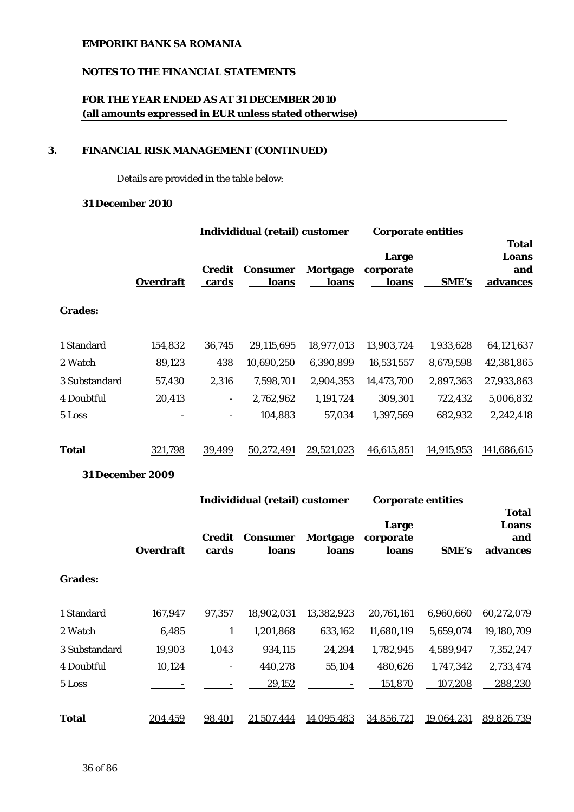## **NOTES TO THE FINANCIAL STATEMENTS**

# **FOR THE YEAR ENDED AS AT 31 DECEMBER 2010 (all amounts expressed in EUR unless stated otherwise)**

## **3. FINANCIAL RISK MANAGEMENT (CONTINUED)**

Details are provided in the table below:

### **31 December 2010**

| <b>Overdraft</b> | Credit<br>cards          | <b>Consumer</b><br>loans | Mortgage<br>loans | Large<br>corporate<br>loans           | <b>SME's</b> | <b>Total</b><br>Loans<br>and<br>advances |
|------------------|--------------------------|--------------------------|-------------------|---------------------------------------|--------------|------------------------------------------|
|                  |                          |                          |                   |                                       |              |                                          |
| 154,832          | 36,745                   | 29,115,695               | 18,977,013        | 13,903,724                            | 1,933,628    | 64,121,637                               |
| 89,123           | 438                      | 10,690,250               | 6,390,899         | 16,531,557                            | 8,679,598    | 42,381,865                               |
| 57,430           | 2,316                    | 7,598,701                | 2,904,353         | 14,473,700                            | 2,897,363    | 27,933,863                               |
| 20,413           | $\overline{\phantom{a}}$ | 2,762,962                | 1,191,724         | 309,301                               | 722,432      | 5,006,832                                |
|                  |                          | 104,883                  | 57,034            | 1,397,569                             | 682,932      | 2,242,418                                |
|                  |                          |                          |                   |                                       |              |                                          |
| 321,798          | 39,499                   | 50,272,491               | 29,521,023        | 46,615,851                            | 14,915,953   | 141.686.615                              |
|                  |                          |                          |                   | <b>Individidual (retail) customer</b> |              | <b>Corporate entities</b>                |

## **31 December 2009**

|                |                  |                 | Individidual (retail) customer |                   | <b>Corporate entities</b>          |              |                                                 |
|----------------|------------------|-----------------|--------------------------------|-------------------|------------------------------------|--------------|-------------------------------------------------|
|                | <b>Overdraft</b> | Credit<br>cards | <b>Consumer</b><br>loans       | Mortgage<br>loans | Large<br>corporate<br><u>loans</u> | <b>SME's</b> | <b>Total</b><br>Loans<br>and<br><u>advances</u> |
| <b>Grades:</b> |                  |                 |                                |                   |                                    |              |                                                 |
| 1 Standard     | 167,947          | 97,357          | 18,902,031                     | 13,382,923        | 20,761,161                         | 6,960,660    | 60,272,079                                      |
| 2 Watch        | 6,485            | 1               | 1,201,868                      | 633,162           | 11,680,119                         | 5,659,074    | 19,180,709                                      |
| 3 Substandard  | 19,903           | 1,043           | 934,115                        | 24,294            | 1,782,945                          | 4,589,947    | 7,352,247                                       |
| 4 Doubtful     | 10,124           |                 | 440,278                        | 55,104            | 480,626                            | 1,747,342    | 2,733,474                                       |
| 5 Loss         |                  |                 | 29,152                         |                   | 151,870                            | 107,208      | 288,230                                         |
| <b>Total</b>   | 204,459          | 98,401          | 21,507,444                     | 14,095,483        | 34,856,721                         | 19,064,231   | 89,826,739                                      |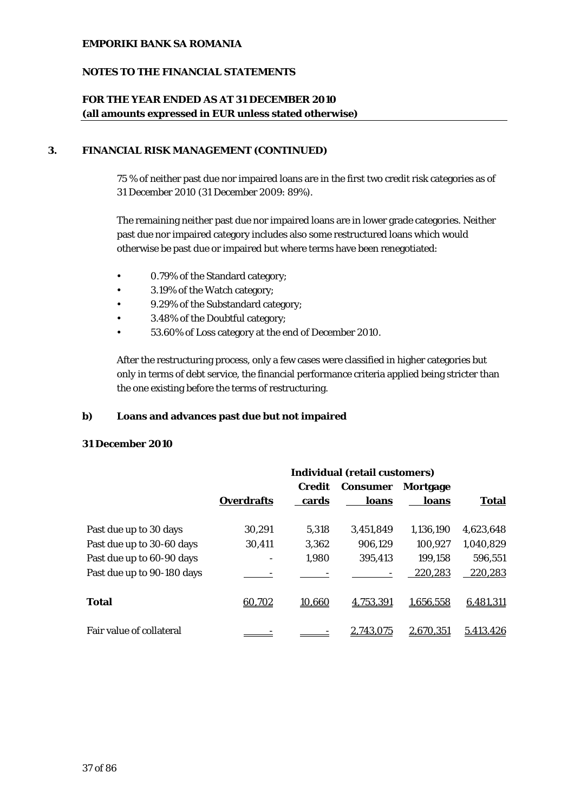## **NOTES TO THE FINANCIAL STATEMENTS**

## **FOR THE YEAR ENDED AS AT 31 DECEMBER 2010 (all amounts expressed in EUR unless stated otherwise)**

### **3. FINANCIAL RISK MANAGEMENT (CONTINUED)**

75 % of neither past due nor impaired loans are in the first two credit risk categories as of 31 December 2010 (31 December 2009: 89%).

The remaining neither past due nor impaired loans are in lower grade categories. Neither past due nor impaired category includes also some restructured loans which would otherwise be past due or impaired but where terms have been renegotiated:

- 0.79% of the Standard category;
- 3.19% of the Watch category;
- 9.29% of the Substandard category;
- 3.48% of the Doubtful category;
- 53.60% of Loss category at the end of December 2010.

After the restructuring process, only a few cases were classified in higher categories but only in terms of debt service, the financial performance criteria applied being stricter than the one existing before the terms of restructuring.

#### **b) Loans and advances past due but not impaired**

#### **31 December 2010**

|                            | <b>Individual (retail customers)</b> |        |                 |           |           |  |
|----------------------------|--------------------------------------|--------|-----------------|-----------|-----------|--|
|                            |                                      | Credit | <b>Consumer</b> | Mortgage  |           |  |
|                            | <b>Overdrafts</b>                    | cards  | loans           | loans     | Total     |  |
| Past due up to 30 days     | 30,291                               | 5.318  | 3.451.849       | 1,136,190 | 4,623,648 |  |
| Past due up to 30-60 days  | 30,411                               | 3,362  | 906,129         | 100,927   | 1,040,829 |  |
| Past due up to 60-90 days  |                                      | 1,980  | 395,413         | 199,158   | 596,551   |  |
| Past due up to 90-180 days |                                      |        |                 | 220,283   | 220,283   |  |
| <b>Total</b>               | 60,702                               | 10,660 | 4,753,391       | 1,656,558 | 6,481,311 |  |
| Fair value of collateral   |                                      |        | 2.743.075       | 2.670.351 | 5.413.426 |  |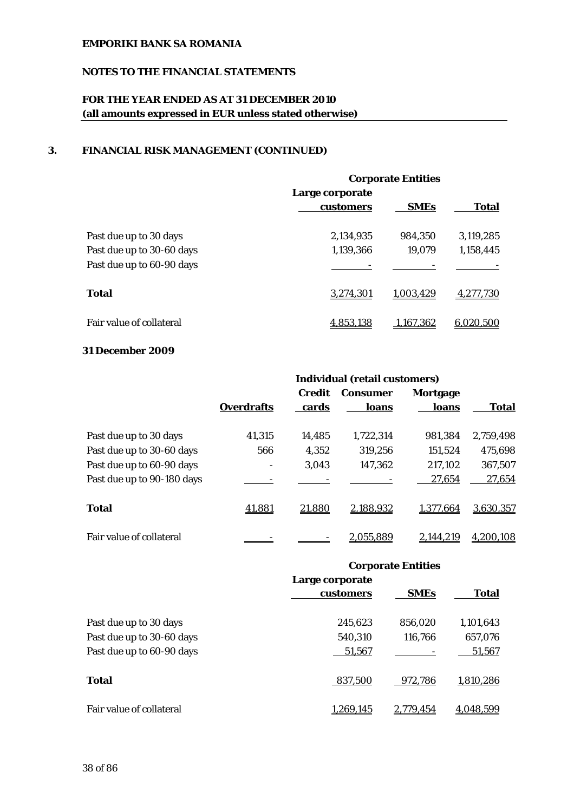## **NOTES TO THE FINANCIAL STATEMENTS**

# **FOR THE YEAR ENDED AS AT 31 DECEMBER 2010 (all amounts expressed in EUR unless stated otherwise)**

## **3. FINANCIAL RISK MANAGEMENT (CONTINUED)**

|                                 | <b>Corporate Entities</b> |             |              |  |  |
|---------------------------------|---------------------------|-------------|--------------|--|--|
|                                 | Large corporate           |             |              |  |  |
|                                 | customers                 | <b>SMEs</b> | <b>Total</b> |  |  |
| Past due up to 30 days          | 2,134,935                 | 984.350     | 3.119.285    |  |  |
| Past due up to 30-60 days       | 1,139,366                 | 19,079      | 1,158,445    |  |  |
| Past due up to 60-90 days       |                           |             |              |  |  |
| Total                           | 3,274,301                 | 1.003.429   | 4,277,730    |  |  |
| <b>Fair value of collateral</b> | 4.853.138                 | 1.167.362   | 6.020.500    |  |  |

## **31 December 2009**

|                            | <b>Individual (retail customers)</b> |                        |                          |                   |           |  |
|----------------------------|--------------------------------------|------------------------|--------------------------|-------------------|-----------|--|
|                            | <b>Overdrafts</b>                    | <b>Credit</b><br>cards | <b>Consumer</b><br>loans | Mortgage<br>loans | Total     |  |
| Past due up to 30 days     | 41,315                               | 14,485                 | 1,722,314                | 981,384           | 2,759,498 |  |
| Past due up to 30-60 days  | 566                                  | 4,352                  | 319,256                  | 151,524           | 475,698   |  |
| Past due up to 60-90 days  | -                                    | 3,043                  | 147,362                  | 217,102           | 367,507   |  |
| Past due up to 90-180 days |                                      |                        |                          | 27,654            | 27,654    |  |
| <b>Total</b>               | 41,881                               | 21,880                 | 2,188,932                | 1,377,664         | 3,630,357 |  |
| Fair value of collateral   |                                      |                        | 2,055,889                | 2.144.219         | 4,200,108 |  |

## **Corporate Entities**

|                           | Large corporate<br>customers | <b>SMEs</b> | <b>Total</b> |
|---------------------------|------------------------------|-------------|--------------|
| Past due up to 30 days    | 245,623                      | 856,020     | 1,101,643    |
| Past due up to 30-60 days | 540,310                      | 116,766     | 657,076      |
| Past due up to 60-90 days | 51,567                       |             | 51,567       |
| Total                     | 837,500                      | 972,786     | 1,810,286    |
| Fair value of collateral  | 1.269.145                    | 2,779,454   | 4,048,599    |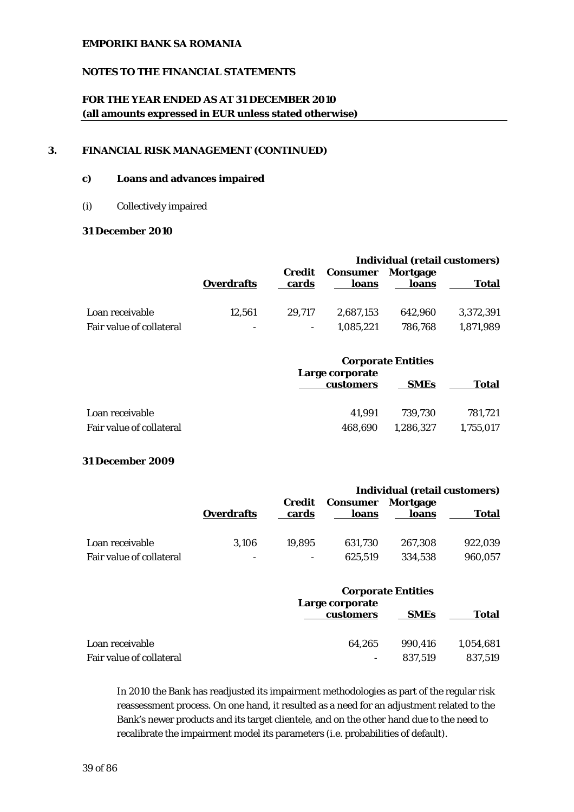### **NOTES TO THE FINANCIAL STATEMENTS**

# **FOR THE YEAR ENDED AS AT 31 DECEMBER 2010 (all amounts expressed in EUR unless stated otherwise)**

#### **3. FINANCIAL RISK MANAGEMENT (CONTINUED)**

#### **c) Loans and advances impaired**

#### (i) Collectively impaired

### **31 December 2010**

|                                             |                                    |                 | Individual (retail customers) |                    |                        |  |  |
|---------------------------------------------|------------------------------------|-----------------|-------------------------------|--------------------|------------------------|--|--|
|                                             | <b>Overdrafts</b>                  | Credit<br>cards | <b>Consumer</b><br>loans      | Mortgage<br>loans  | <b>Total</b>           |  |  |
| Loan receivable<br>Fair value of collateral | 12.561<br>$\overline{\phantom{a}}$ | 29.717          | 2.687.153<br>1.085.221        | 642.960<br>786.768 | 3.372.391<br>1.871.989 |  |  |

|                          | <b>Corporate Entities</b>    |             |           |  |
|--------------------------|------------------------------|-------------|-----------|--|
|                          | Large corporate<br>customers | <b>SMEs</b> | Total     |  |
| Loan receivable          | 41.991                       | 739.730     | 781.721   |  |
| Fair value of collateral | 468.690                      | 1.286.327   | 1,755,017 |  |

### **31 December 2009**

|                          |                          |                 | <b>Individual (retail customers)</b> |                   |              |  |
|--------------------------|--------------------------|-----------------|--------------------------------------|-------------------|--------------|--|
|                          | <b>Overdrafts</b>        | Credit<br>cards | Consumer<br>loans                    | Mortgage<br>loans | <b>Total</b> |  |
| Loan receivable          | 3.106                    | 19.895          | 631.730                              | 267.308           | 922.039      |  |
| Fair value of collateral | $\overline{\phantom{a}}$ |                 | 625.519                              | 334.538           | 960,057      |  |

|                          | <b>Corporate Entities</b>    |             |              |
|--------------------------|------------------------------|-------------|--------------|
|                          | Large corporate<br>customers | <b>SMEs</b> | <b>Total</b> |
| Loan receivable          | 64.265                       | 990.416     | 1,054,681    |
| Fair value of collateral | $\overline{\phantom{a}}$     | 837.519     | 837,519      |

In 2010 the Bank has readjusted its impairment methodologies as part of the regular risk reassessment process. On one hand, it resulted as a need for an adjustment related to the Bank's newer products and its target clientele, and on the other hand due to the need to recalibrate the impairment model its parameters (i.e. probabilities of default).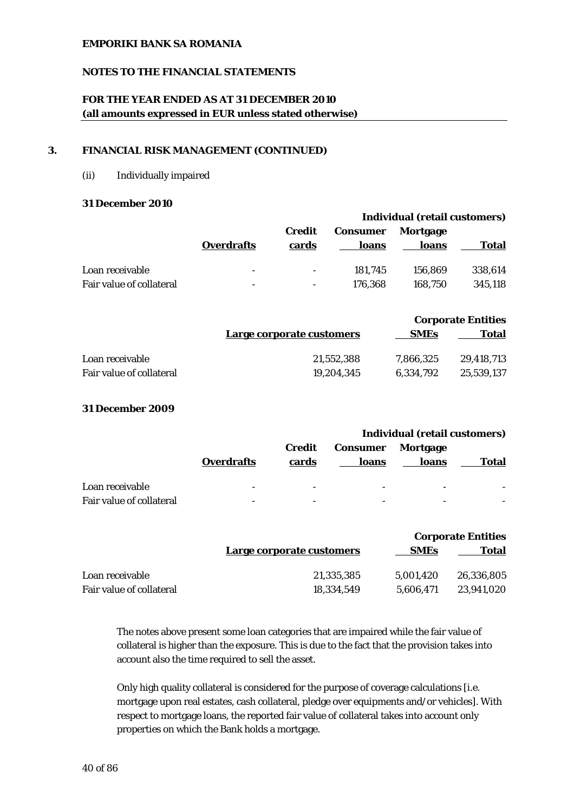### **NOTES TO THE FINANCIAL STATEMENTS**

## **FOR THE YEAR ENDED AS AT 31 DECEMBER 2010 (all amounts expressed in EUR unless stated otherwise)**

#### **3. FINANCIAL RISK MANAGEMENT (CONTINUED)**

(ii) Individually impaired

#### **31 December 2010**

|                          |                          |                          | Individual (retail customers) |                   |         |  |
|--------------------------|--------------------------|--------------------------|-------------------------------|-------------------|---------|--|
|                          | <b>Overdrafts</b>        | Credit<br>cards          | <b>Consumer</b><br>loans      | Mortgage<br>loans | Total   |  |
| Loan receivable          | $\overline{\phantom{a}}$ | $\overline{\phantom{a}}$ | 181.745                       | 156.869           | 338,614 |  |
| Fair value of collateral | $\overline{\phantom{a}}$ |                          | 176.368                       | 168.750           | 345.118 |  |

|                          |                           |             | <b>Corporate Entities</b> |
|--------------------------|---------------------------|-------------|---------------------------|
|                          | Large corporate customers | <b>SMEs</b> | Total                     |
| Loan receivable          | 21.552.388                | 7.866.325   | 29.418.713                |
| Fair value of collateral | 19.204.345                | 6.334.792   | 25.539.137                |

#### **31 December 2009**

|                          |                          |                 | Individual (retail customers) |                   |       |  |
|--------------------------|--------------------------|-----------------|-------------------------------|-------------------|-------|--|
|                          | <b>Overdrafts</b>        | Credit<br>cards | <b>Consumer</b><br>loans      | Mortgage<br>loans | Total |  |
| Loan receivable          | -                        |                 |                               |                   |       |  |
| Fair value of collateral | $\overline{\phantom{0}}$ | -               |                               |                   |       |  |

|                          |                           |             | <b>Corporate Entities</b> |
|--------------------------|---------------------------|-------------|---------------------------|
|                          | Large corporate customers | <b>SMEs</b> | Total                     |
| Loan receivable          | 21,335,385                | 5.001.420   | 26.336.805                |
| Fair value of collateral | 18.334.549                | 5.606.471   | 23,941,020                |

The notes above present some loan categories that are impaired while the fair value of collateral is higher than the exposure. This is due to the fact that the provision takes into account also the time required to sell the asset.

Only high quality collateral is considered for the purpose of coverage calculations [i.e. mortgage upon real estates, cash collateral, pledge over equipments and/or vehicles]. With respect to mortgage loans, the reported fair value of collateral takes into account only properties on which the Bank holds a mortgage.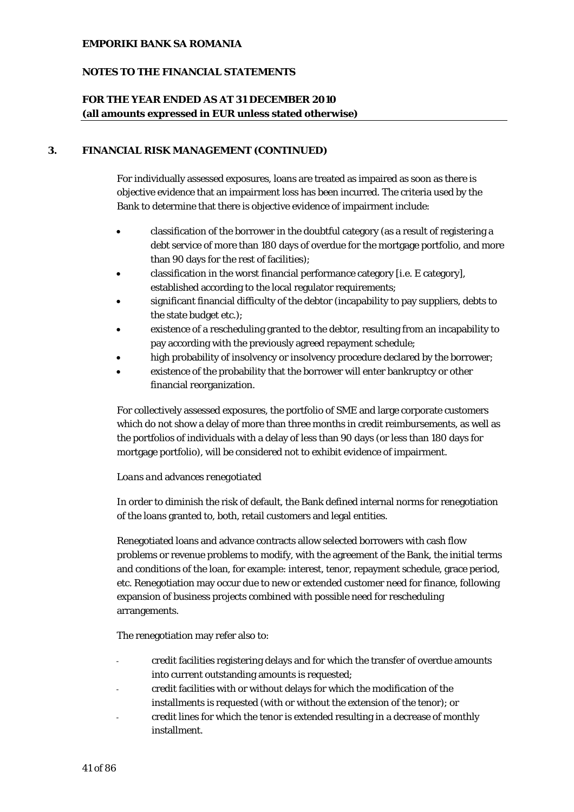## **NOTES TO THE FINANCIAL STATEMENTS**

## **FOR THE YEAR ENDED AS AT 31 DECEMBER 2010 (all amounts expressed in EUR unless stated otherwise)**

#### **3. FINANCIAL RISK MANAGEMENT (CONTINUED)**

For individually assessed exposures, loans are treated as impaired as soon as there is objective evidence that an impairment loss has been incurred. The criteria used by the Bank to determine that there is objective evidence of impairment include:

- classification of the borrower in the doubtful category (as a result of registering a debt service of more than 180 days of overdue for the mortgage portfolio, and more than 90 days for the rest of facilities);
- classification in the worst financial performance category [i.e. E category], established according to the local regulator requirements;
- significant financial difficulty of the debtor (incapability to pay suppliers, debts to the state budget etc.);
- existence of a rescheduling granted to the debtor, resulting from an incapability to pay according with the previously agreed repayment schedule;
- high probability of insolvency or insolvency procedure declared by the borrower;
- existence of the probability that the borrower will enter bankruptcy or other financial reorganization.

For collectively assessed exposures, the portfolio of SME and large corporate customers which do not show a delay of more than three months in credit reimbursements, as well as the portfolios of individuals with a delay of less than 90 days (or less than 180 days for mortgage portfolio), will be considered not to exhibit evidence of impairment.

#### *Loans and* advances *renegotiated*

In order to diminish the risk of default, the Bank defined internal norms for renegotiation of the loans granted to, both, retail customers and legal entities.

Renegotiated loans and advance contracts allow selected borrowers with cash flow problems or revenue problems to modify, with the agreement of the Bank, the initial terms and conditions of the loan, for example: interest, tenor, repayment schedule, grace period, etc. Renegotiation may occur due to new or extended customer need for finance, following expansion of business projects combined with possible need for rescheduling arrangements.

The renegotiation may refer also to:

- credit facilities registering delays and for which the transfer of overdue amounts into current outstanding amounts is requested;
- credit facilities with or without delays for which the modification of the installments is requested (with or without the extension of the tenor); or
- credit lines for which the tenor is extended resulting in a decrease of monthly installment.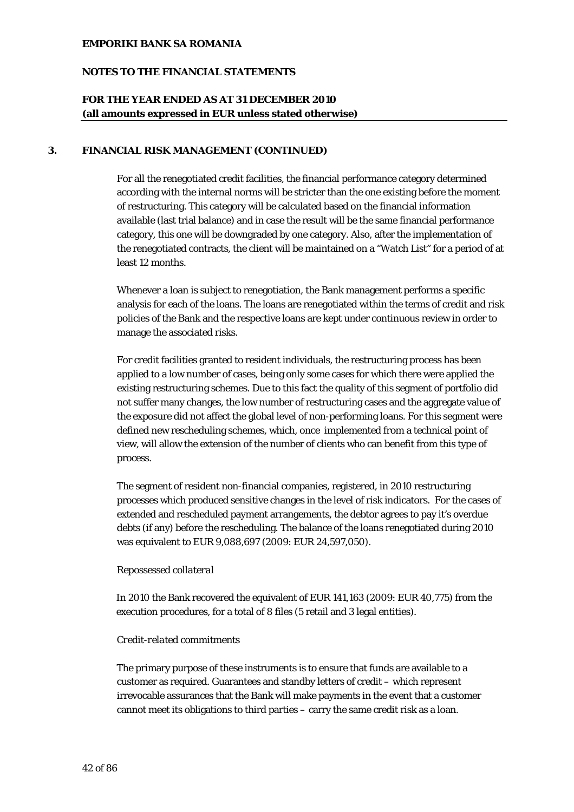## **NOTES TO THE FINANCIAL STATEMENTS**

## **FOR THE YEAR ENDED AS AT 31 DECEMBER 2010 (all amounts expressed in EUR unless stated otherwise)**

#### **3. FINANCIAL RISK MANAGEMENT (CONTINUED)**

For all the renegotiated credit facilities, the financial performance category determined according with the internal norms will be stricter than the one existing before the moment of restructuring. This category will be calculated based on the financial information available (last trial balance) and in case the result will be the same financial performance category, this one will be downgraded by one category. Also, after the implementation of the renegotiated contracts, the client will be maintained on a "Watch List" for a period of at least 12 months.

Whenever a loan is subject to renegotiation, the Bank management performs a specific analysis for each of the loans. The loans are renegotiated within the terms of credit and risk policies of the Bank and the respective loans are kept under continuous review in order to manage the associated risks.

For credit facilities granted to resident individuals, the restructuring process has been applied to a low number of cases, being only some cases for which there were applied the existing restructuring schemes. Due to this fact the quality of this segment of portfolio did not suffer many changes, the low number of restructuring cases and the aggregate value of the exposure did not affect the global level of non-performing loans. For this segment were defined new rescheduling schemes, which, once implemented from a technical point of view, will allow the extension of the number of clients who can benefit from this type of process.

The segment of resident non-financial companies, registered, in 2010 restructuring processes which produced sensitive changes in the level of risk indicators. For the cases of extended and rescheduled payment arrangements, the debtor agrees to pay it's overdue debts (if any) before the rescheduling. The balance of the loans renegotiated during 2010 was equivalent to EUR 9,088,697 (2009: EUR 24,597,050).

### *Repossessed collateral*

In 2010 the Bank recovered the equivalent of EUR 141,163 (2009: EUR 40,775) from the execution procedures, for a total of 8 files (5 retail and 3 legal entities).

### *Credit*-*related* commitments

The primary purpose of these instruments is to ensure that funds are available to a customer as required. Guarantees and standby letters of credit – which represent irrevocable assurances that the Bank will make payments in the event that a customer cannot meet its obligations to third parties – carry the same credit risk as a loan.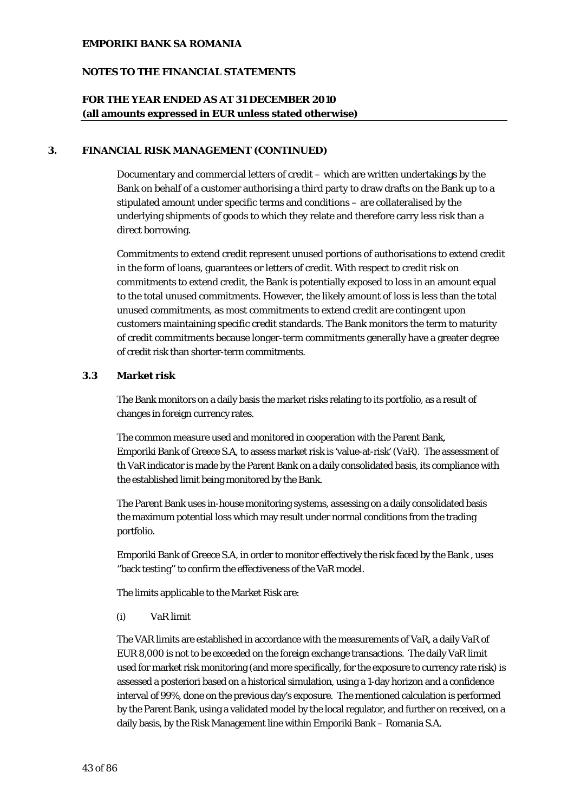### **NOTES TO THE FINANCIAL STATEMENTS**

## **FOR THE YEAR ENDED AS AT 31 DECEMBER 2010 (all amounts expressed in EUR unless stated otherwise)**

#### **3. FINANCIAL RISK MANAGEMENT (CONTINUED)**

Documentary and commercial letters of credit – which are written undertakings by the Bank on behalf of a customer authorising a third party to draw drafts on the Bank up to a stipulated amount under specific terms and conditions – are collateralised by the underlying shipments of goods to which they relate and therefore carry less risk than a direct borrowing.

Commitments to extend credit represent unused portions of authorisations to extend credit in the form of loans, guarantees or letters of credit. With respect to credit risk on commitments to extend credit, the Bank is potentially exposed to loss in an amount equal to the total unused commitments. However, the likely amount of loss is less than the total unused commitments, as most commitments to extend credit are contingent upon customers maintaining specific credit standards. The Bank monitors the term to maturity of credit commitments because longer-term commitments generally have a greater degree of credit risk than shorter-term commitments.

#### **3.3 Market risk**

The Bank monitors on a daily basis the market risks relating to its portfolio, as a result of changes in foreign currency rates.

The common measure used and monitored in cooperation with the Parent Bank, Emporiki Bank of Greece S.A, to assess market risk is 'value-at-risk' (VaR). The assessment of th VaR indicator is made by the Parent Bank on a daily consolidated basis, its compliance with the established limit being monitored by the Bank.

The Parent Bank uses in-house monitoring systems, assessing on a daily consolidated basis the maximum potential loss which may result under normal conditions from the trading portfolio.

Emporiki Bank of Greece S.A, in order to monitor effectively the risk faced by the Bank , uses ''back testing'' to confirm the effectiveness of the VaR model.

The limits applicable to the Market Risk are:

(i) VaR limit

The VAR limits are established in accordance with the measurements of VaR, a daily VaR of EUR 8,000 is not to be exceeded on the foreign exchange transactions. The daily VaR limit used for market risk monitoring (and more specifically, for the exposure to currency rate risk) is assessed a posteriori based on a historical simulation, using a 1-day horizon and a confidence interval of 99%, done on the previous day's exposure. The mentioned calculation is performed by the Parent Bank, using a validated model by the local regulator, and further on received, on a daily basis, by the Risk Management line within Emporiki Bank – Romania S.A.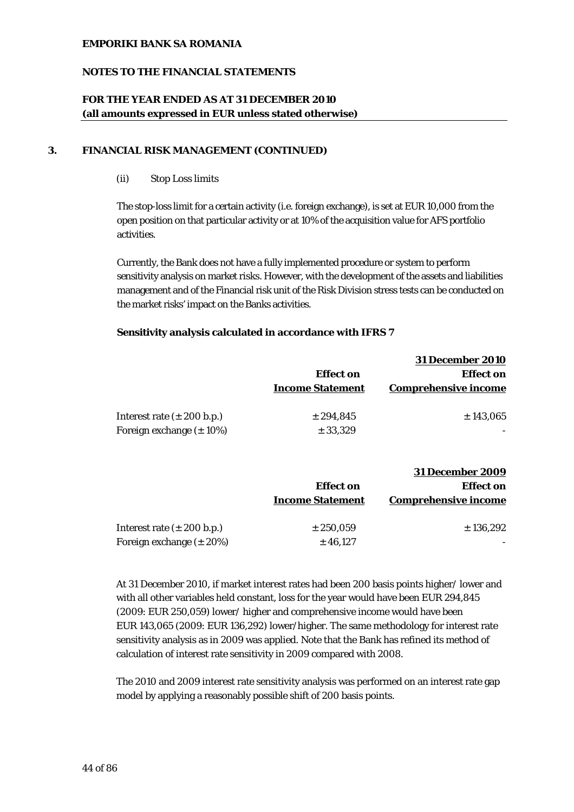## **NOTES TO THE FINANCIAL STATEMENTS**

## **FOR THE YEAR ENDED AS AT 31 DECEMBER 2010 (all amounts expressed in EUR unless stated otherwise)**

#### **3. FINANCIAL RISK MANAGEMENT (CONTINUED)**

(ii) Stop Loss limits

The stop-loss limit for a certain activity (i.e. foreign exchange), is set at EUR 10,000 from the open position on that particular activity or at 10% of the acquisition value for AFS portfolio activities.

Currently, the Bank does not have a fully implemented procedure or system to perform sensitivity analysis on market risks. However, with the development of the assets and liabilities management and of the Financial risk unit of the Risk Division stress tests can be conducted on the market risks' impact on the Banks activities.

#### **Sensitivity analysis calculated in accordance with IFRS 7**

|                                        |                         | <b>31 December 2010</b>     |
|----------------------------------------|-------------------------|-----------------------------|
|                                        | <b>Effect</b> on        | <b>Effect on</b>            |
|                                        | <b>Income Statement</b> | <b>Comprehensive income</b> |
|                                        |                         |                             |
| Interest rate $(\pm 200 \text{ b.p.})$ | ± 294,845               | ± 143,065                   |
| Foreign exchange $(\pm 10\%)$          | ± 33,329                |                             |
|                                        |                         |                             |

|                                        |                         | <b>31 December 2009</b>     |
|----------------------------------------|-------------------------|-----------------------------|
|                                        | <b>Effect on</b>        | <b>Effect on</b>            |
|                                        | <b>Income Statement</b> | <b>Comprehensive income</b> |
| Interest rate $(\pm 200 \text{ b.p.})$ | $\pm 250.059$           | ± 136,292                   |
| Foreign exchange $(\pm 20\%)$          | ± 46,127                |                             |

At 31 December 2010, if market interest rates had been 200 basis points higher/ lower and with all other variables held constant, loss for the year would have been EUR 294,845 (2009: EUR 250,059) lower/ higher and comprehensive income would have been EUR 143,065 (2009: EUR 136,292) lower/higher. The same methodology for interest rate sensitivity analysis as in 2009 was applied. Note that the Bank has refined its method of calculation of interest rate sensitivity in 2009 compared with 2008.

The 2010 and 2009 interest rate sensitivity analysis was performed on an interest rate gap model by applying a reasonably possible shift of 200 basis points.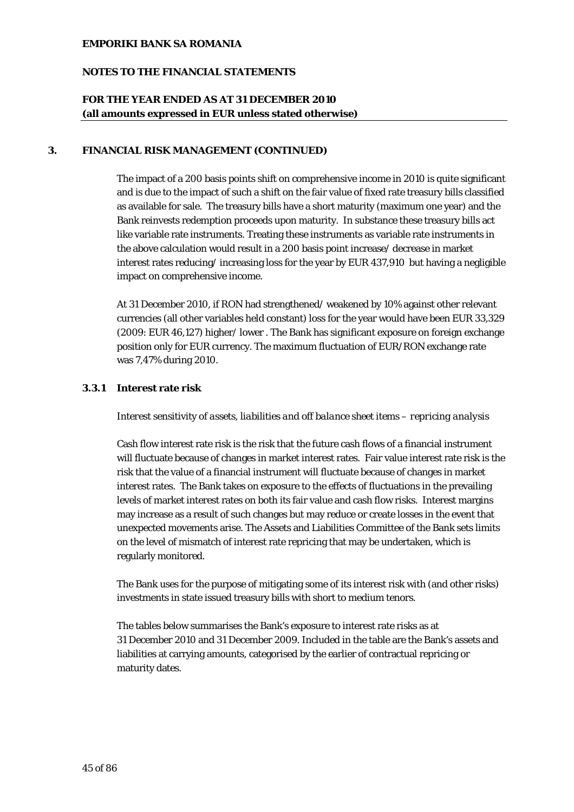## **NOTES TO THE FINANCIAL STATEMENTS**

## **FOR THE YEAR ENDED AS AT 31 DECEMBER 2010 (all amounts expressed in EUR unless stated otherwise)**

#### **3. FINANCIAL RISK MANAGEMENT (CONTINUED)**

The impact of a 200 basis points shift on comprehensive income in 2010 is quite significant and is due to the impact of such a shift on the fair value of fixed rate treasury bills classified as available for sale. The treasury bills have a short maturity (maximum one year) and the Bank reinvests redemption proceeds upon maturity. In substance these treasury bills act like variable rate instruments. Treating these instruments as variable rate instruments in the above calculation would result in a 200 basis point increase/ decrease in market interest rates reducing/ increasing loss for the year by EUR 437,910 but having a negligible impact on comprehensive income.

At 31 December 2010, if RON had strengthened/ weakened by 10% against other relevant currencies (all other variables held constant) loss for the year would have been EUR 33,329 (2009: EUR 46,127) higher/ lower . The Bank has significant exposure on foreign exchange position only for EUR currency. The maximum fluctuation of EUR/RON exchange rate was 7,47% during 2010.

#### **3.3.1 Interest rate risk**

*Interest* sensitivity *of assets, liabilities and off balance sheet items – repricing analysis* 

Cash flow interest rate risk is the risk that the future cash flows of a financial instrument will fluctuate because of changes in market interest rates. Fair value interest rate risk is the risk that the value of a financial instrument will fluctuate because of changes in market interest rates. The Bank takes on exposure to the effects of fluctuations in the prevailing levels of market interest rates on both its fair value and cash flow risks. Interest margins may increase as a result of such changes but may reduce or create losses in the event that unexpected movements arise. The Assets and Liabilities Committee of the Bank sets limits on the level of mismatch of interest rate repricing that may be undertaken, which is regularly monitored.

The Bank uses for the purpose of mitigating some of its interest risk with (and other risks) investments in state issued treasury bills with short to medium tenors.

The tables below summarises the Bank's exposure to interest rate risks as at 31 December 2010 and 31 December 2009. Included in the table are the Bank's assets and liabilities at carrying amounts, categorised by the earlier of contractual repricing or maturity dates.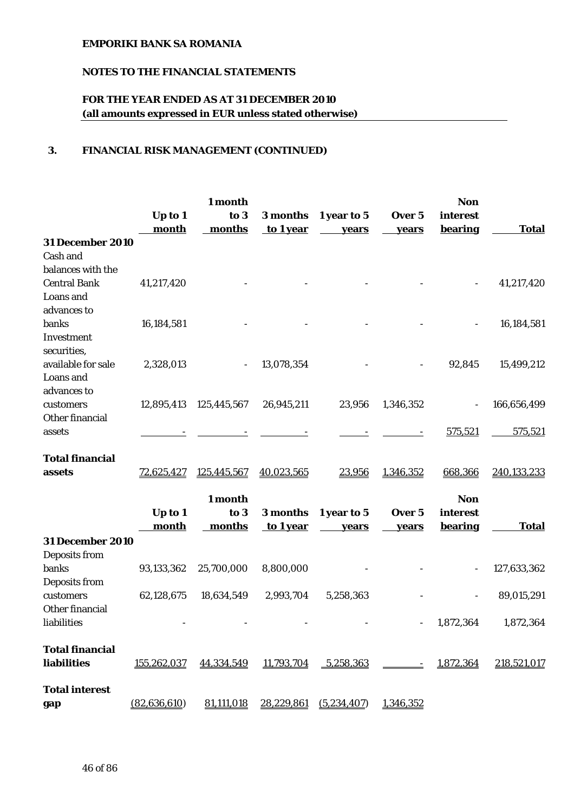# **NOTES TO THE FINANCIAL STATEMENTS**

# **FOR THE YEAR ENDED AS AT 31 DECEMBER 2010 (all amounts expressed in EUR unless stated otherwise)**

## **3. FINANCIAL RISK MANAGEMENT (CONTINUED)**

|                         | 1 month        |             |            |                      | <b>Non</b>               |                |              |
|-------------------------|----------------|-------------|------------|----------------------|--------------------------|----------------|--------------|
|                         | Up to 1        | to 3        |            | 3 months 1 year to 5 | Over 5                   | interest       |              |
|                         | month          | months      | to 1 year  | vears                | years                    | bearing        | <b>Total</b> |
| <b>31 December 2010</b> |                |             |            |                      |                          |                |              |
| Cash and                |                |             |            |                      |                          |                |              |
| balances with the       |                |             |            |                      |                          |                |              |
| <b>Central Bank</b>     | 41,217,420     |             |            |                      |                          |                | 41,217,420   |
| Loans and               |                |             |            |                      |                          |                |              |
| advances to             |                |             |            |                      |                          |                |              |
| banks                   | 16,184,581     |             |            |                      |                          |                | 16,184,581   |
| Investment              |                |             |            |                      |                          |                |              |
| securities,             |                |             |            |                      |                          |                |              |
| available for sale      | 2,328,013      |             | 13,078,354 |                      |                          | 92,845         | 15,499,212   |
| Loans and               |                |             |            |                      |                          |                |              |
| advances to             |                |             |            |                      |                          |                |              |
| customers               | 12,895,413     | 125,445,567 | 26,945,211 | 23,956               | 1,346,352                |                | 166,656,499  |
| Other financial         |                |             |            |                      |                          |                |              |
| assets                  |                |             |            |                      |                          | 575,521        | 575,521      |
|                         |                |             |            |                      |                          |                |              |
| <b>Total financial</b>  |                |             |            |                      |                          |                |              |
| assets                  | 72,625,427     | 125,445,567 | 40,023,565 | 23,956               | 1,346,352                | 668,366        | 240,133,233  |
|                         |                |             |            |                      |                          |                |              |
|                         |                | 1 month     |            |                      |                          | <b>Non</b>     |              |
|                         | Up to 1        | to 3        | 3 months   | 1 year to 5          | Over 5                   | interest       |              |
|                         | month          | months      | to 1 year  | years                | years                    | <b>bearing</b> | <b>Total</b> |
| <b>31 December 2010</b> |                |             |            |                      |                          |                |              |
| Deposits from           |                |             |            |                      |                          |                |              |
| banks                   | 93,133,362     | 25,700,000  | 8,800,000  |                      |                          |                | 127,633,362  |
| Deposits from           |                |             |            |                      |                          |                |              |
| customers               | 62,128,675     | 18,634,549  | 2,993,704  | 5,258,363            |                          |                | 89,015,291   |
| Other financial         |                |             |            |                      |                          |                |              |
| liabilities             |                |             |            |                      | $\overline{\phantom{a}}$ | 1,872,364      | 1,872,364    |
|                         |                |             |            |                      |                          |                |              |
| <b>Total financial</b>  |                |             |            |                      |                          |                |              |
| liabilities             | 155,262,037    | 44,334,549  | 11,793,704 | 5,258,363            |                          | 1,872,364      | 218,521,017  |
|                         |                |             |            |                      |                          |                |              |
| <b>Total interest</b>   |                |             |            |                      |                          |                |              |
| gap                     | (82, 636, 610) | 81,111,018  | 28,229,861 | (5,234,407)          | 1,346,352                |                |              |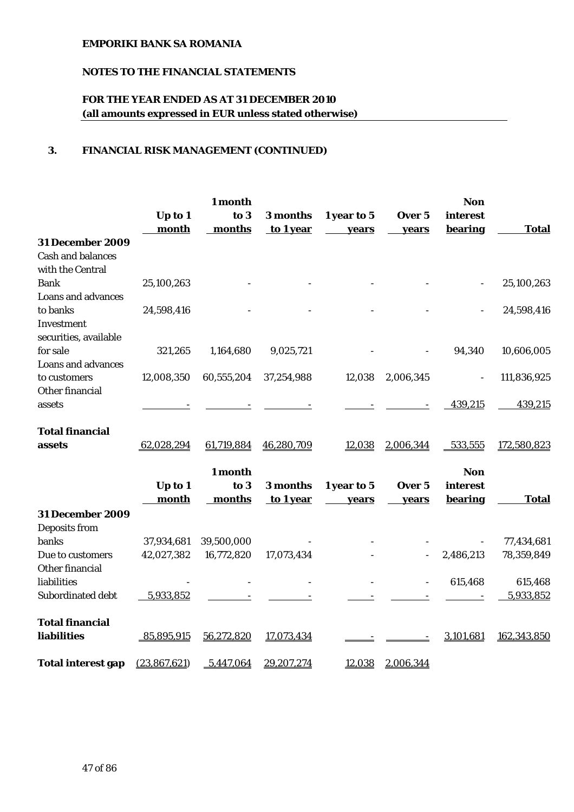# **NOTES TO THE FINANCIAL STATEMENTS**

# **FOR THE YEAR ENDED AS AT 31 DECEMBER 2010 (all amounts expressed in EUR unless stated otherwise)**

## **3. FINANCIAL RISK MANAGEMENT (CONTINUED)**

|                           | 1 month      |            |            |             | <b>Non</b> |                |              |
|---------------------------|--------------|------------|------------|-------------|------------|----------------|--------------|
|                           | Up to 1      | to 3       | 3 months   | 1 year to 5 | Over 5     | interest       |              |
|                           | month        | months     | to 1 year  | years       | years      | bearing        | <b>Total</b> |
| <b>31 December 2009</b>   |              |            |            |             |            |                |              |
| <b>Cash and balances</b>  |              |            |            |             |            |                |              |
| with the Central          |              |            |            |             |            |                |              |
| <b>Bank</b>               | 25,100,263   |            |            |             |            |                | 25,100,263   |
| <b>Loans and advances</b> |              |            |            |             |            |                |              |
| to banks                  | 24,598,416   |            |            |             |            |                | 24,598,416   |
| Investment                |              |            |            |             |            |                |              |
| securities, available     |              |            |            |             |            |                |              |
| for sale                  | 321,265      | 1,164,680  | 9,025,721  |             |            | 94,340         | 10,606,005   |
| <b>Loans and advances</b> |              |            |            |             |            |                |              |
| to customers              | 12,008,350   | 60,555,204 | 37,254,988 | 12,038      | 2,006,345  | $\blacksquare$ | 111,836,925  |
| Other financial           |              |            |            |             |            |                |              |
| assets                    |              |            |            |             |            | 439,215        | 439,215      |
| <b>Total financial</b>    |              |            |            |             |            |                |              |
| assets                    | 62,028,294   | 61,719,884 | 46,280,709 | 12,038      | 2,006,344  | 533,555        | 172,580,823  |
|                           |              |            |            |             |            |                |              |
|                           |              | 1 month    |            |             |            | <b>Non</b>     |              |
|                           | Up to 1      | to 3       | 3 months   | 1 year to 5 | Over 5     | interest       |              |
|                           | month        | months     | to 1 year  | years       | years      | bearing        | <b>Total</b> |
| <b>31 December 2009</b>   |              |            |            |             |            |                |              |
| Deposits from             |              |            |            |             |            |                |              |
| banks                     | 37,934,681   | 39,500,000 |            |             |            |                | 77,434,681   |
| Due to customers          | 42,027,382   | 16,772,820 | 17,073,434 |             |            | 2,486,213      | 78,359,849   |
| Other financial           |              |            |            |             |            |                |              |
| liabilities               |              |            |            |             |            | 615,468        | 615,468      |
| Subordinated debt         | 5,933,852    |            |            |             |            |                | 5,933,852    |
|                           |              |            |            |             |            |                |              |
| <b>Total financial</b>    |              |            |            |             |            |                |              |
| <b>liabilities</b>        | 85,895,915   | 56,272,820 | 17,073,434 |             |            | 3,101,681      | 162,343,850  |
|                           |              |            |            |             |            |                |              |
| <b>Total interest gap</b> | (23,867,621) | 5,447,064  | 29,207,274 | 12,038      | 2,006,344  |                |              |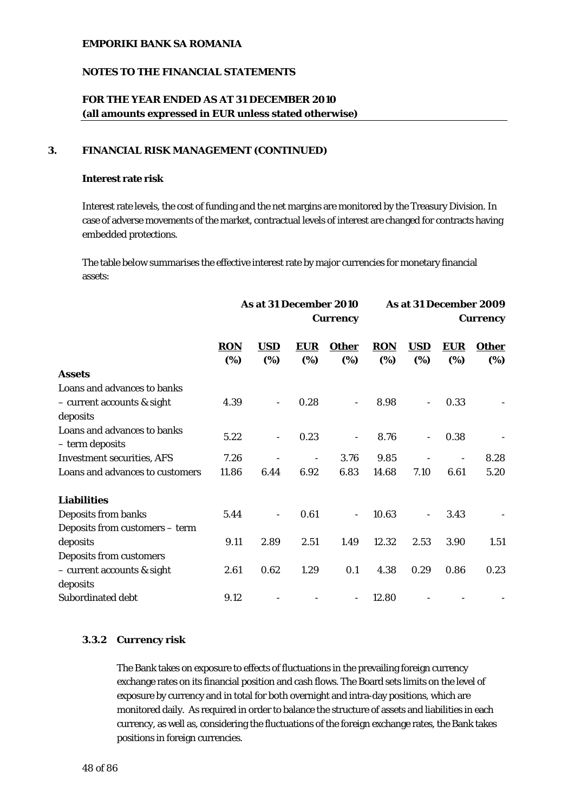### **NOTES TO THE FINANCIAL STATEMENTS**

## **FOR THE YEAR ENDED AS AT 31 DECEMBER 2010 (all amounts expressed in EUR unless stated otherwise)**

### **3. FINANCIAL RISK MANAGEMENT (CONTINUED)**

#### **Interest rate risk**

Interest rate levels, the cost of funding and the net margins are monitored by the Treasury Division. In case of adverse movements of the market, contractual levels of interest are changed for contracts having embedded protections.

The table below summarises the effective interest rate by major currencies for monetary financial assets:

|                                                | As at 31 December 2010<br><b>Currency</b> |                          |            |                          |            |            |            | As at 31 December 2009<br><b>Currency</b> |  |
|------------------------------------------------|-------------------------------------------|--------------------------|------------|--------------------------|------------|------------|------------|-------------------------------------------|--|
|                                                | <b>RON</b>                                | <b>USD</b>               | <b>EUR</b> | <b>Other</b>             | <b>RON</b> | <b>USD</b> | <b>EUR</b> | <b>Other</b>                              |  |
|                                                | (%)                                       | (%)                      | (%)        | (%)                      | (%)        | (%)        | (%)        | (%)                                       |  |
| <b>Assets</b>                                  |                                           |                          |            |                          |            |            |            |                                           |  |
| Loans and advances to banks                    |                                           |                          |            |                          |            |            |            |                                           |  |
| - current accounts & sight                     | 4.39                                      |                          | 0.28       |                          | 8.98       |            | 0.33       |                                           |  |
| deposits                                       |                                           |                          |            |                          |            |            |            |                                           |  |
| Loans and advances to banks<br>- term deposits | 5.22                                      | $\overline{\phantom{a}}$ | 0.23       | -                        | 8.76       | ÷          | 0.38       |                                           |  |
| <b>Investment securities, AFS</b>              | 7.26                                      |                          |            | 3.76                     | 9.85       |            |            | 8.28                                      |  |
| Loans and advances to customers                | 11.86                                     | 6.44                     | 6.92       | 6.83                     | 14.68      | 7.10       | 6.61       | 5.20                                      |  |
| <b>Liabilities</b>                             |                                           |                          |            |                          |            |            |            |                                           |  |
| Deposits from banks                            | 5.44                                      | $\overline{\phantom{a}}$ | 0.61       | $\overline{\phantom{0}}$ | 10.63      |            | 3.43       |                                           |  |
| Deposits from customers - term                 |                                           |                          |            |                          |            |            |            |                                           |  |
| deposits                                       | 9.11                                      | 2.89                     | 2.51       | 1.49                     | 12.32      | 2.53       | 3.90       | 1.51                                      |  |
| <b>Deposits from customers</b>                 |                                           |                          |            |                          |            |            |            |                                           |  |
| - current accounts & sight                     | 2.61                                      | 0.62                     | 1.29       | 0.1                      | 4.38       | 0.29       | 0.86       | 0.23                                      |  |
| deposits                                       |                                           |                          |            |                          |            |            |            |                                           |  |
| Subordinated debt                              | 9.12                                      |                          |            |                          | 12.80      |            |            |                                           |  |

### **3.3.2 Currency risk**

The Bank takes on exposure to effects of fluctuations in the prevailing foreign currency exchange rates on its financial position and cash flows. The Board sets limits on the level of exposure by currency and in total for both overnight and intra-day positions, which are monitored daily. As required in order to balance the structure of assets and liabilities in each currency, as well as, considering the fluctuations of the foreign exchange rates, the Bank takes positions in foreign currencies.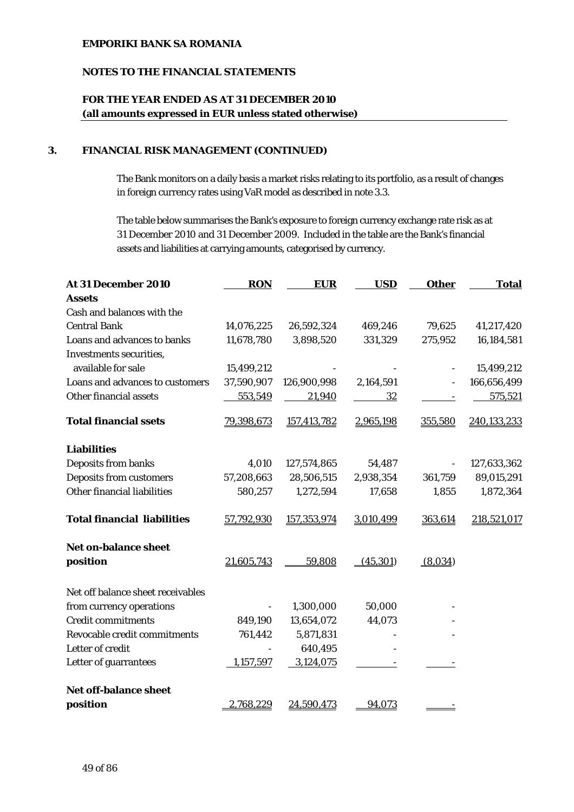### **NOTES TO THE FINANCIAL STATEMENTS**

# **FOR THE YEAR ENDED AS AT 31 DECEMBER 2010 (all amounts expressed in EUR unless stated otherwise)**

### **3. FINANCIAL RISK MANAGEMENT (CONTINUED)**

The Bank monitors on a daily basis a market risks relating to its portfolio, as a result of changes in foreign currency rates using VaR model as described in note 3.3.

The table below summarises the Bank's exposure to foreign currency exchange rate risk as at 31 December 2010 and 31 December 2009. Included in the table are the Bank's financial assets and liabilities at carrying amounts, categorised by currency.

| At 31 December 2010                | <b>RON</b> | <b>EUR</b>  | <b>USD</b> | <b>Other</b> | <b>Total</b> |
|------------------------------------|------------|-------------|------------|--------------|--------------|
| <b>Assets</b>                      |            |             |            |              |              |
| Cash and balances with the         |            |             |            |              |              |
| <b>Central Bank</b>                | 14,076,225 | 26,592,324  | 469,246    | 79,625       | 41,217,420   |
| Loans and advances to banks        | 11,678,780 | 3,898,520   | 331,329    | 275,952      | 16,184,581   |
| <b>Investments securities,</b>     |            |             |            |              |              |
| available for sale                 | 15,499,212 |             |            |              | 15,499,212   |
| Loans and advances to customers    | 37,590,907 | 126,900,998 | 2,164,591  |              | 166,656,499  |
| Other financial assets             | 553,549    | 21,940      | 32         |              | 575,521      |
| <b>Total financial ssets</b>       | 79,398,673 | 157,413,782 | 2,965,198  | 355,580      | 240,133,233  |
| <b>Liabilities</b>                 |            |             |            |              |              |
| Deposits from banks                | 4,010      | 127,574,865 | 54,487     |              | 127,633,362  |
| <b>Deposits from customers</b>     | 57,208,663 | 28,506,515  | 2,938,354  | 361,759      | 89,015,291   |
| Other financial liabilities        | 580,257    | 1,272,594   | 17,658     | 1,855        | 1,872,364    |
| <b>Total financial liabilities</b> | 57,792,930 | 157,353,974 | 3,010,499  | 363,614      | 218,521,017  |
| <b>Net on-balance sheet</b>        |            |             |            |              |              |
| position                           | 21,605,743 | 59,808      | (45, 301)  | (8,034)      |              |
| Net off balance sheet receivables  |            |             |            |              |              |
| from currency operations           |            | 1,300,000   | 50,000     |              |              |
| <b>Credit commitments</b>          | 849,190    | 13,654,072  | 44,073     |              |              |
| Revocable credit commitments       | 761,442    | 5,871,831   |            |              |              |
| Letter of credit                   |            | 640,495     |            |              |              |
| Letter of guarrantees              | 1,157,597  | 3,124,075   |            |              |              |
| <b>Net off-balance sheet</b>       |            |             |            |              |              |
| position                           | 2,768,229  | 24,590,473  | 94,073     |              |              |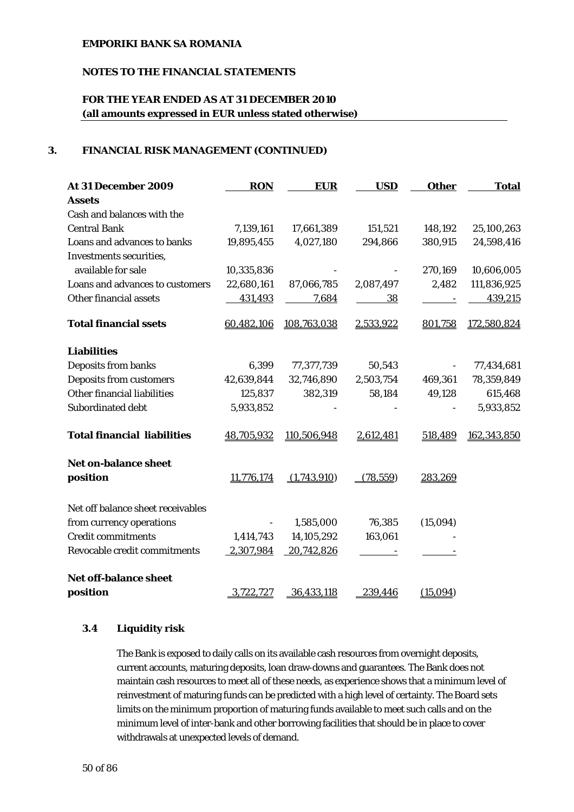## **NOTES TO THE FINANCIAL STATEMENTS**

# **FOR THE YEAR ENDED AS AT 31 DECEMBER 2010 (all amounts expressed in EUR unless stated otherwise)**

### **3. FINANCIAL RISK MANAGEMENT (CONTINUED)**

| At 31 December 2009                | <b>RON</b> | <b>EUR</b>  | <b>USD</b> | <b>Other</b>             | <b>Total</b> |
|------------------------------------|------------|-------------|------------|--------------------------|--------------|
| <b>Assets</b>                      |            |             |            |                          |              |
| Cash and balances with the         |            |             |            |                          |              |
| <b>Central Bank</b>                | 7,139,161  | 17,661,389  | 151,521    | 148,192                  | 25,100,263   |
| Loans and advances to banks        | 19,895,455 | 4,027,180   | 294,866    | 380,915                  | 24,598,416   |
| Investments securities,            |            |             |            |                          |              |
| available for sale                 | 10,335,836 |             |            | 270,169                  | 10,606,005   |
| Loans and advances to customers    | 22,680,161 | 87,066,785  | 2,087,497  | 2,482                    | 111,836,925  |
| Other financial assets             | 431,493    | 7,684       | <u>38</u>  | <b>Contract Contract</b> | 439,215      |
| <b>Total financial ssets</b>       | 60,482,106 | 108,763,038 | 2,533,922  | 801,758                  | 172,580,824  |
| <b>Liabilities</b>                 |            |             |            |                          |              |
| Deposits from banks                | 6,399      | 77,377,739  | 50,543     |                          | 77,434,681   |
| <b>Deposits from customers</b>     | 42,639,844 | 32,746,890  | 2,503,754  | 469,361                  | 78,359,849   |
| Other financial liabilities        | 125,837    | 382,319     | 58,184     | 49,128                   | 615,468      |
| Subordinated debt                  | 5,933,852  |             |            |                          | 5,933,852    |
| <b>Total financial liabilities</b> | 48,705,932 | 110,506,948 | 2,612,481  | 518,489                  | 162,343,850  |
| <b>Net on-balance sheet</b>        |            |             |            |                          |              |
| position                           | 11,776,174 | (1,743,910) | (78, 559)  | 283,269                  |              |
| Net off balance sheet receivables  |            |             |            |                          |              |
| from currency operations           |            | 1,585,000   | 76,385     | (15,094)                 |              |
| <b>Credit commitments</b>          | 1,414,743  | 14,105,292  | 163,061    |                          |              |
| Revocable credit commitments       | 2,307,984  | 20,742,826  |            |                          |              |
| <b>Net off-balance sheet</b>       |            |             |            |                          |              |
| position                           | 3,722,727  | 36,433,118  | 239,446    | (15,094)                 |              |

### **3.4 Liquidity risk**

The Bank is exposed to daily calls on its available cash resources from overnight deposits, current accounts, maturing deposits, loan draw-downs and guarantees. The Bank does not maintain cash resources to meet all of these needs, as experience shows that a minimum level of reinvestment of maturing funds can be predicted with a high level of certainty. The Board sets limits on the minimum proportion of maturing funds available to meet such calls and on the minimum level of inter-bank and other borrowing facilities that should be in place to cover withdrawals at unexpected levels of demand.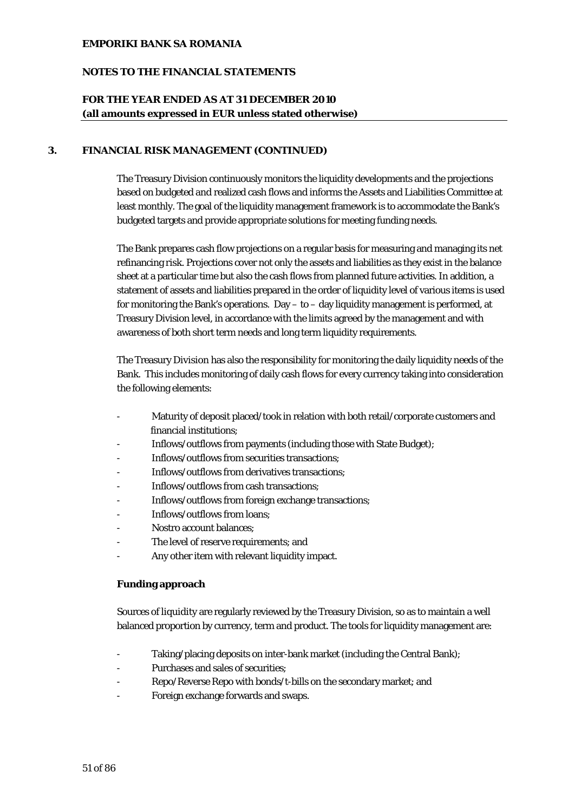#### **NOTES TO THE FINANCIAL STATEMENTS**

## **FOR THE YEAR ENDED AS AT 31 DECEMBER 2010 (all amounts expressed in EUR unless stated otherwise)**

#### **3. FINANCIAL RISK MANAGEMENT (CONTINUED)**

The Treasury Division continuously monitors the liquidity developments and the projections based on budgeted and realized cash flows and informs the Assets and Liabilities Committee at least monthly. The goal of the liquidity management framework is to accommodate the Bank's budgeted targets and provide appropriate solutions for meeting funding needs.

The Bank prepares cash flow projections on a regular basis for measuring and managing its net refinancing risk. Projections cover not only the assets and liabilities as they exist in the balance sheet at a particular time but also the cash flows from planned future activities. In addition, a statement of assets and liabilities prepared in the order of liquidity level of various items is used for monitoring the Bank's operations. Day  $-$  to  $-$  day liquidity management is performed, at Treasury Division level, in accordance with the limits agreed by the management and with awareness of both short term needs and long term liquidity requirements.

The Treasury Division has also the responsibility for monitoring the daily liquidity needs of the Bank. This includes monitoring of daily cash flows for every currency taking into consideration the following elements:

- Maturity of deposit placed/took in relation with both retail/corporate customers and financial institutions;
- Inflows/outflows from payments (including those with State Budget);
- Inflows/outflows from securities transactions;
- Inflows/outflows from derivatives transactions:
- Inflows/outflows from cash transactions;
- Inflows/outflows from foreign exchange transactions;
- Inflows/outflows from loans;
- Nostro account balances:
- The level of reserve requirements; and
- Any other item with relevant liquidity impact.

#### **Funding approach**

Sources of liquidity are regularly reviewed by the Treasury Division, so as to maintain a well balanced proportion by currency, term and product. The tools for liquidity management are:

- Taking/placing deposits on inter-bank market (including the Central Bank);
- Purchases and sales of securities;
- Repo/Reverse Repo with bonds/t-bills on the secondary market; and
- Foreign exchange forwards and swaps.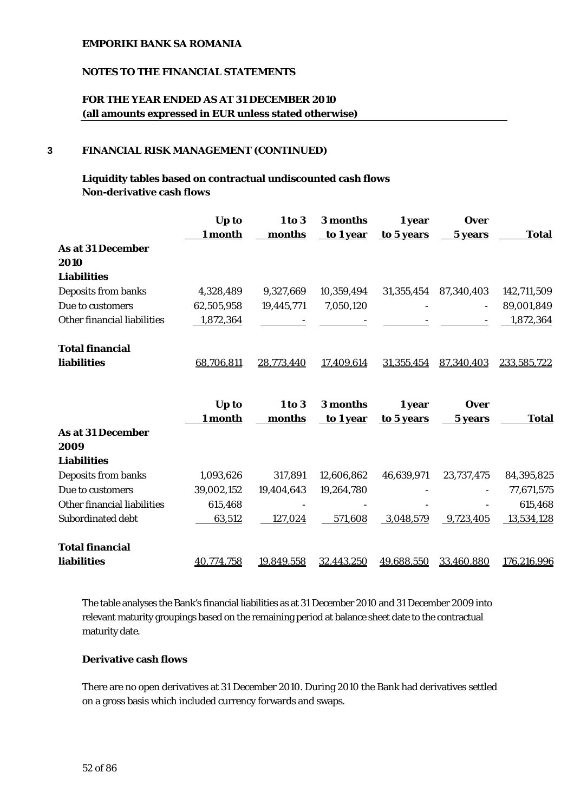### **NOTES TO THE FINANCIAL STATEMENTS**

## **FOR THE YEAR ENDED AS AT 31 DECEMBER 2010 (all amounts expressed in EUR unless stated otherwise)**

#### **3 FINANCIAL RISK MANAGEMENT (CONTINUED)**

## **Liquidity tables based on contractual undiscounted cash flows Non-derivative cash flows**

|                             | Up to      | 1 to 3     | 3 months   | 1 year     | <b>Over</b> |              |
|-----------------------------|------------|------------|------------|------------|-------------|--------------|
|                             | 1 month    | months     | to 1 year  | to 5 years | 5 years     | <b>Total</b> |
| <b>As at 31 December</b>    |            |            |            |            |             |              |
| 2010                        |            |            |            |            |             |              |
| <b>Liabilities</b>          |            |            |            |            |             |              |
| Deposits from banks         | 4,328,489  | 9,327,669  | 10,359,494 | 31,355,454 | 87,340,403  | 142,711,509  |
| Due to customers            | 62,505,958 | 19,445,771 | 7,050,120  |            |             | 89,001,849   |
| Other financial liabilities | 1,872,364  |            |            |            |             | 1,872,364    |
| <b>Total financial</b>      |            |            |            |            |             |              |
| <b>liabilities</b>          | 68,706,811 | 28,773,440 | 17,409,614 | 31,355,454 | 87,340,403  | 233,585,722  |
|                             |            |            |            |            |             |              |
|                             |            |            |            |            |             |              |
|                             | Up to      | 1 to 3     | 3 months   | 1 year     | <b>Over</b> |              |
|                             | 1 month    | months     | to 1 year  | to 5 years | 5 years     | <b>Total</b> |
| <b>As at 31 December</b>    |            |            |            |            |             |              |
| 2009                        |            |            |            |            |             |              |
| <b>Liabilities</b>          |            |            |            |            |             |              |
| Deposits from banks         | 1,093,626  | 317,891    | 12,606,862 | 46,639,971 | 23,737,475  | 84,395,825   |
| Due to customers            | 39,002,152 | 19,404,643 | 19,264,780 |            |             | 77,671,575   |
| Other financial liabilities | 615,468    |            |            |            |             | 615,468      |
| Subordinated debt           | 63,512     | 127,024    | 571,608    | 3,048,579  | 9,723,405   | 13,534,128   |
| <b>Total financial</b>      |            |            |            |            |             |              |

The table analyses the Bank's financial liabilities as at 31 December 2010 and 31 December 2009 into relevant maturity groupings based on the remaining period at balance sheet date to the contractual maturity date.

#### **Derivative cash flows**

There are no open derivatives at 31 December 2010. During 2010 the Bank had derivatives settled on a gross basis which included currency forwards and swaps.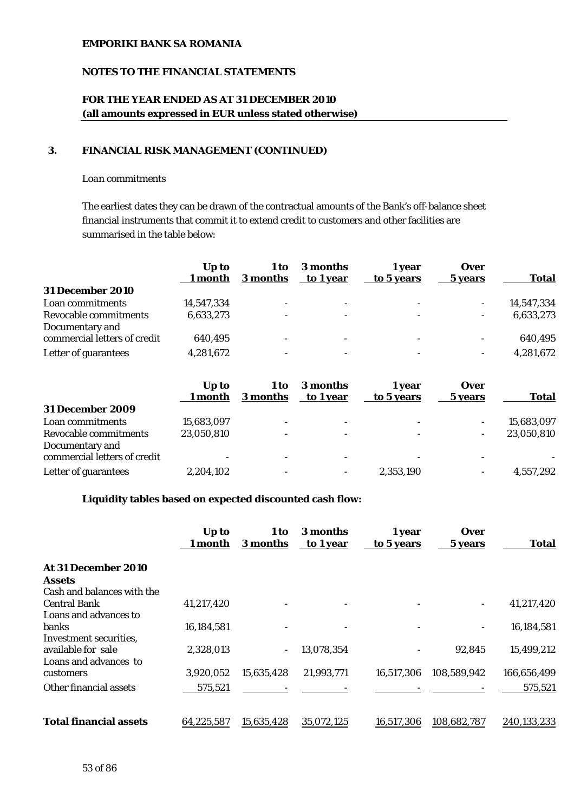### **NOTES TO THE FINANCIAL STATEMENTS**

# **FOR THE YEAR ENDED AS AT 31 DECEMBER 2010 (all amounts expressed in EUR unless stated otherwise)**

#### **3. FINANCIAL RISK MANAGEMENT (CONTINUED)**

#### *Loan commitments*

The earliest dates they can be drawn of the contractual amounts of the Bank's off-balance sheet financial instruments that commit it to extend credit to customers and other facilities are summarised in the table below:

|                              | U <sub>p</sub> to<br>1 month | 1 to<br>3 months         | 3 months<br>to 1 year | 1 vear<br>to 5 years     | <b>Over</b><br>5 years | <b>Total</b> |
|------------------------------|------------------------------|--------------------------|-----------------------|--------------------------|------------------------|--------------|
| <b>31 December 2010</b>      |                              |                          |                       |                          |                        |              |
| Loan commitments             | 14,547,334                   | $\overline{\phantom{0}}$ |                       | ۰                        |                        | 14,547,334   |
| Revocable commitments        | 6,633,273                    | $\overline{\phantom{a}}$ |                       | $\overline{\phantom{a}}$ |                        | 6,633,273    |
| Documentary and              |                              |                          |                       |                          |                        |              |
| commercial letters of credit | 640,495                      | -                        |                       | $\overline{\phantom{0}}$ |                        | 640,495      |
| Letter of guarantees         | 4,281,672                    | $\overline{\phantom{0}}$ |                       | $\overline{\phantom{a}}$ |                        | 4,281,672    |

|                                                                          | Up to<br>1 month | 1 to<br>3 months         | 3 months<br>to 1 year | 1 vear<br>to 5 years          | <b>Over</b><br>5 years   | <b>Total</b> |
|--------------------------------------------------------------------------|------------------|--------------------------|-----------------------|-------------------------------|--------------------------|--------------|
| <b>31 December 2009</b>                                                  |                  |                          |                       |                               |                          |              |
| Loan commitments                                                         | 15,683,097       | $\overline{\phantom{a}}$ |                       | $\overline{\phantom{0}}$      |                          | 15,683,097   |
| Revocable commitments<br>Documentary and<br>commercial letters of credit | 23,050,810       | $\overline{\phantom{a}}$ | -                     | $\overline{\phantom{a}}$<br>- | $\overline{\phantom{0}}$ | 23,050,810   |
| Letter of guarantees                                                     | 2,204,102        | $\overline{\phantom{0}}$ |                       | 2,353,190                     | ۰.                       | 4,557,292    |
|                                                                          |                  |                          |                       |                               |                          |              |

#### **Liquidity tables based on expected discounted cash flow:**

|                                      | Up to<br>1 month | 1 to<br>3 months | 3 months<br>to 1 year | 1 year<br>to 5 years | <b>Over</b><br>5 years | <b>Total</b> |
|--------------------------------------|------------------|------------------|-----------------------|----------------------|------------------------|--------------|
| At 31 December 2010<br><b>Assets</b> |                  |                  |                       |                      |                        |              |
| Cash and balances with the           |                  |                  |                       |                      |                        |              |
| <b>Central Bank</b>                  | 41,217,420       |                  |                       |                      |                        | 41,217,420   |
| Loans and advances to                |                  |                  |                       |                      |                        |              |
| <b>banks</b>                         | 16,184,581       |                  |                       |                      | -                      | 16,184,581   |
| Investment securities.               |                  |                  |                       |                      |                        |              |
| available for sale                   | 2,328,013        | $\blacksquare$   | 13,078,354            |                      | 92,845                 | 15,499,212   |
| Loans and advances to                |                  |                  |                       |                      |                        |              |
| customers                            | 3,920,052        | 15,635,428       | 21,993,771            | 16,517,306           | 108,589,942            | 166,656,499  |
| Other financial assets               | 575,521          |                  |                       |                      |                        | 575,521      |
|                                      |                  |                  |                       |                      |                        |              |
| <b>Total financial assets</b>        | 64,225,587       | 15,635,428       | 35,072,125            | 16,517,306           | 108,682,787            | 240,133,233  |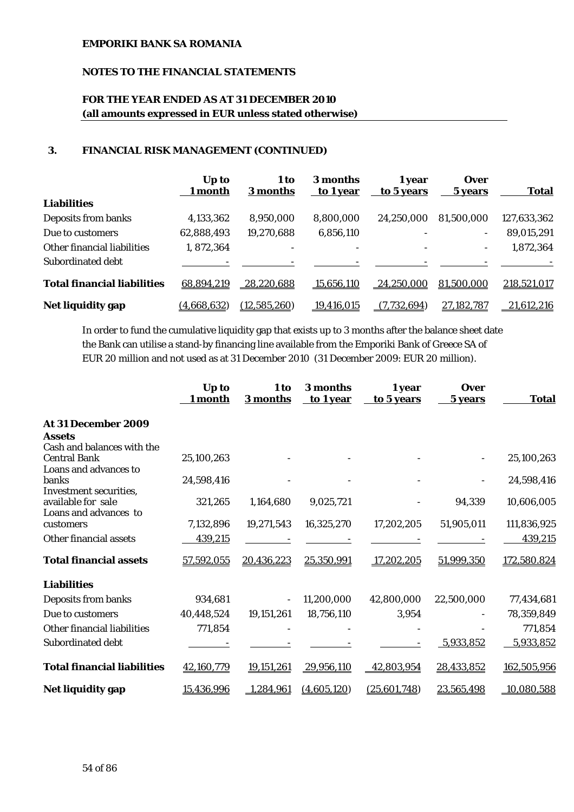## **NOTES TO THE FINANCIAL STATEMENTS**

# **FOR THE YEAR ENDED AS AT 31 DECEMBER 2010 (all amounts expressed in EUR unless stated otherwise)**

### **3. FINANCIAL RISK MANAGEMENT (CONTINUED)**

|                                    | Up to<br>1 month | 1 to<br>3 months  | 3 months<br>to 1 year | 1 year<br>to 5 years | <b>Over</b><br>5 years   | <b>Total</b> |
|------------------------------------|------------------|-------------------|-----------------------|----------------------|--------------------------|--------------|
| <b>Liabilities</b>                 |                  |                   |                       |                      |                          |              |
| Deposits from banks                | 4,133,362        | 8,950,000         | 8,800,000             | 24,250,000           | 81,500,000               | 127,633,362  |
| Due to customers                   | 62,888,493       | 19,270,688        | 6,856,110             |                      | $\sim$                   | 89,015,291   |
| Other financial liabilities        | 1,872,364        | -                 |                       |                      | $\overline{\phantom{0}}$ | 1,872,364    |
| Subordinated debt                  |                  |                   |                       |                      |                          |              |
| <b>Total financial liabilities</b> | 68,894,219       | <u>28,220,688</u> | 15,656,110            | 24,250,000           | 81,500,000               | 218,521,017  |
| Net liquidity gap                  | (4,668,632)      | (12, 585, 260)    | 19,416,015            | (7,732,694)          | 27,182,787               | 21,612,216   |

In order to fund the cumulative liquidity gap that exists up to 3 months after the balance sheet date the Bank can utilise a stand-by financing line available from the Emporiki Bank of Greece SA of EUR 20 million and not used as at 31 December 2010 (31 December 2009: EUR 20 million).

|                                    | Up to<br>1 month | 1 to<br>3 months | 3 months<br>to 1 year | 1 year<br>to 5 years | <b>Over</b><br>5 years | <b>Total</b> |
|------------------------------------|------------------|------------------|-----------------------|----------------------|------------------------|--------------|
| At 31 December 2009                |                  |                  |                       |                      |                        |              |
| <b>Assets</b>                      |                  |                  |                       |                      |                        |              |
| Cash and balances with the         |                  |                  |                       |                      |                        |              |
| <b>Central Bank</b>                | 25,100,263       |                  |                       |                      |                        | 25,100,263   |
| Loans and advances to<br>banks     | 24,598,416       |                  |                       |                      |                        | 24,598,416   |
| Investment securities,             |                  |                  |                       |                      |                        |              |
| available for sale                 | 321,265          | 1,164,680        | 9,025,721             |                      | 94,339                 | 10,606,005   |
| Loans and advances to              |                  |                  |                       |                      |                        |              |
| customers                          | 7,132,896        | 19,271,543       | 16,325,270            | 17,202,205           | 51,905,011             | 111,836,925  |
| Other financial assets             | 439,215          |                  |                       |                      |                        | 439,215      |
| <b>Total financial assets</b>      | 57,592,055       | 20,436,223       | 25,350,991            | 17,202,205           | 51,999,350             | 172,580.824  |
| <b>Liabilities</b>                 |                  |                  |                       |                      |                        |              |
| Deposits from banks                | 934,681          |                  | 11,200,000            | 42,800,000           | 22,500,000             | 77,434,681   |
| Due to customers                   | 40,448,524       | 19,151,261       | 18,756,110            | 3,954                |                        | 78,359,849   |
| Other financial liabilities        | 771,854          |                  |                       |                      |                        | 771,854      |
| Subordinated debt                  |                  |                  |                       |                      | 5,933,852              | 5,933,852    |
| <b>Total financial liabilities</b> | 42,160,779       | 19,151,261       | 29,956,110            | 42,803,954           | 28,433,852             | 162,505,956  |
| Net liquidity gap                  | 15,436,996       | 1,284,961        | (4,605,120)           | (25,601,748)         | 23,565,498             | 10,080,588   |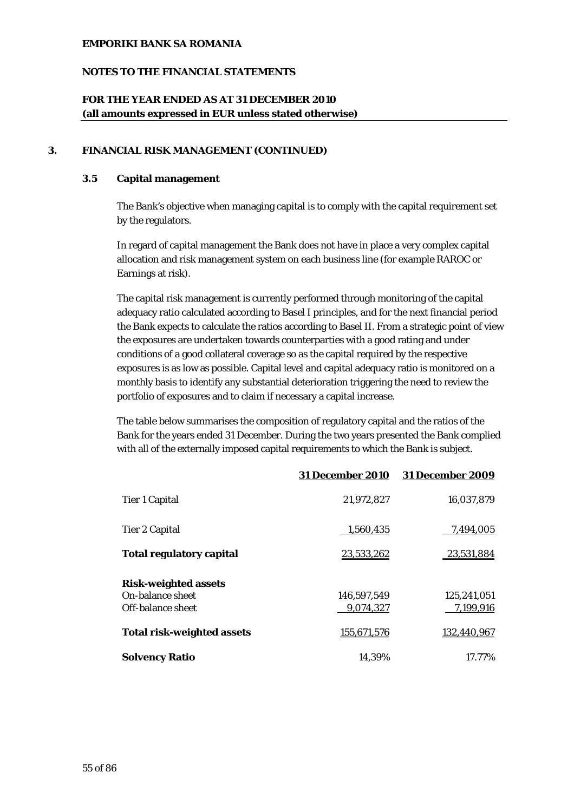### **NOTES TO THE FINANCIAL STATEMENTS**

## **FOR THE YEAR ENDED AS AT 31 DECEMBER 2010 (all amounts expressed in EUR unless stated otherwise)**

### **3. FINANCIAL RISK MANAGEMENT (CONTINUED)**

### **3.5 Capital management**

The Bank's objective when managing capital is to comply with the capital requirement set by the regulators.

In regard of capital management the Bank does not have in place a very complex capital allocation and risk management system on each business line (for example RAROC or Earnings at risk).

The capital risk management is currently performed through monitoring of the capital adequacy ratio calculated according to Basel I principles, and for the next financial period the Bank expects to calculate the ratios according to Basel II. From a strategic point of view the exposures are undertaken towards counterparties with a good rating and under conditions of a good collateral coverage so as the capital required by the respective exposures is as low as possible. Capital level and capital adequacy ratio is monitored on a monthly basis to identify any substantial deterioration triggering the need to review the portfolio of exposures and to claim if necessary a capital increase.

The table below summarises the composition of regulatory capital and the ratios of the Bank for the years ended 31 December. During the two years presented the Bank complied with all of the externally imposed capital requirements to which the Bank is subject.

|                                   | <b>31 December 2010</b> | <b>31 December 2009</b> |
|-----------------------------------|-------------------------|-------------------------|
| <b>Tier 1 Capital</b>             | 21,972,827              | 16,037,879              |
| <b>Tier 2 Capital</b>             | 1,560,435               | 7,494,005               |
| <b>Total regulatory capital</b>   | 23,533,262              | 23,531,884              |
| <b>Risk-weighted assets</b>       |                         |                         |
| <b>On-balance sheet</b>           | 146.597.549             | 125.241.051             |
| Off-balance sheet                 | 9,074,327               | 7,199,916               |
| <b>Total risk-weighted assets</b> | 155,671,576             | 132,440,967             |
| <b>Solvency Ratio</b>             | 14.39%                  | 17.77%                  |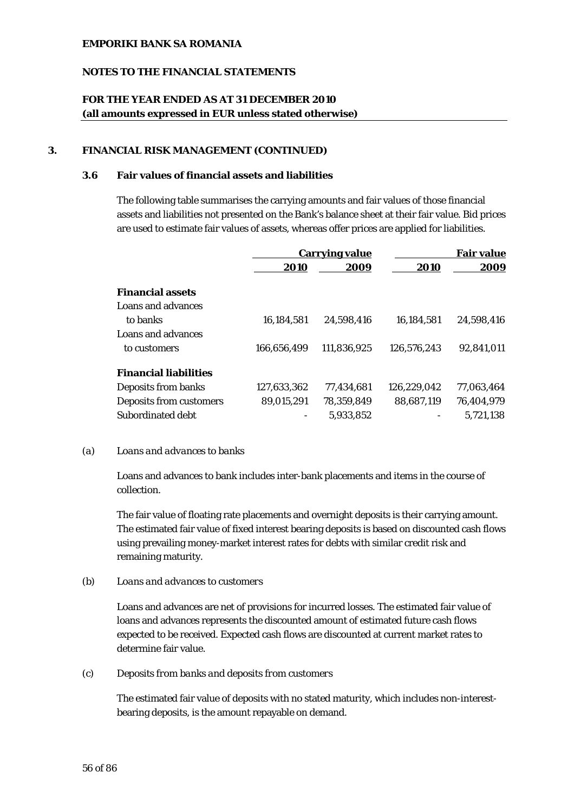### **NOTES TO THE FINANCIAL STATEMENTS**

## **FOR THE YEAR ENDED AS AT 31 DECEMBER 2010 (all amounts expressed in EUR unless stated otherwise)**

#### **3. FINANCIAL RISK MANAGEMENT (CONTINUED)**

### **3.6 Fair values of financial assets and liabilities**

The following table summarises the carrying amounts and fair values of those financial assets and liabilities not presented on the Bank's balance sheet at their fair value. Bid prices are used to estimate fair values of assets, whereas offer prices are applied for liabilities.

|                              | <b>Carrying value</b> |             |             | <b>Fair value</b> |  |
|------------------------------|-----------------------|-------------|-------------|-------------------|--|
|                              | 2010                  | 2009        | 2010        | 2009              |  |
| <b>Financial assets</b>      |                       |             |             |                   |  |
| Loans and advances           |                       |             |             |                   |  |
| to banks                     | 16,184,581            | 24,598,416  | 16,184,581  | 24.598.416        |  |
| Loans and advances           |                       |             |             |                   |  |
| to customers                 | 166.656.499           | 111,836,925 | 126.576.243 | 92.841.011        |  |
| <b>Financial liabilities</b> |                       |             |             |                   |  |
| Deposits from banks          | 127.633.362           | 77.434.681  | 126.229.042 | 77.063.464        |  |
| Deposits from customers      | 89,015,291            | 78,359,849  | 88,687,119  | 76,404,979        |  |
| Subordinated debt            |                       | 5,933,852   |             | 5,721,138         |  |

#### *(a) Loans and advances to banks*

Loans and advances to bank includes inter-bank placements and items in the course of collection.

The fair value of floating rate placements and overnight deposits is their carrying amount. The estimated fair value of fixed interest bearing deposits is based on discounted cash flows using prevailing money-market interest rates for debts with similar credit risk and remaining maturity.

#### *(b) Loans and advances to customers*

Loans and advances are net of provisions for incurred losses. The estimated fair value of loans and advances represents the discounted amount of estimated future cash flows expected to be received. Expected cash flows are discounted at current market rates to determine fair value.

#### *(c) Deposits from banks and deposits from customers*

The estimated fair value of deposits with no stated maturity, which includes non-interestbearing deposits, is the amount repayable on demand.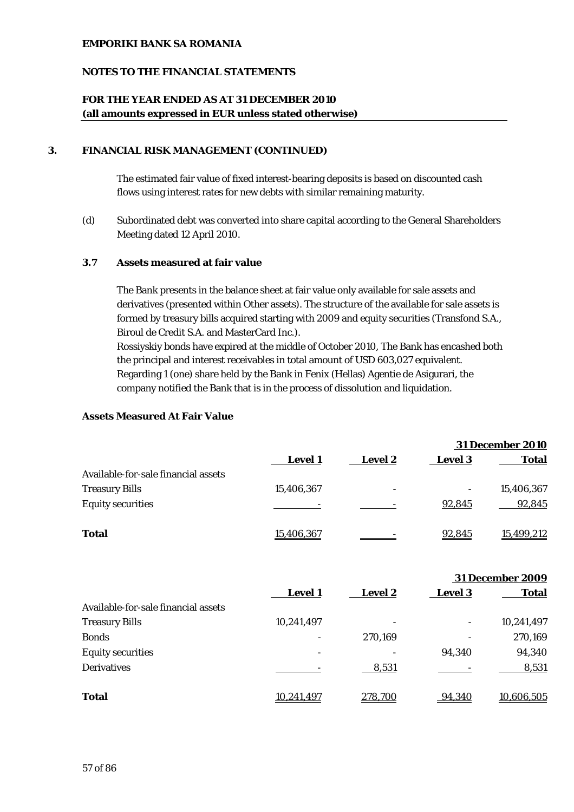## **NOTES TO THE FINANCIAL STATEMENTS**

## **FOR THE YEAR ENDED AS AT 31 DECEMBER 2010 (all amounts expressed in EUR unless stated otherwise)**

### **3. FINANCIAL RISK MANAGEMENT (CONTINUED)**

The estimated fair value of fixed interest-bearing deposits is based on discounted cash flows using interest rates for new debts with similar remaining maturity.

*(d)* Subordinated debt was converted into share capital according to the General Shareholders Meeting dated 12 April 2010.

#### **3.7 Assets measured at fair value**

The Bank presents in the balance sheet at fair value only available for sale assets and derivatives (presented within Other assets). The structure of the available for sale assets is formed by treasury bills acquired starting with 2009 and equity securities (Transfond S.A., Biroul de Credit S.A. and MasterCard Inc.).

Rossiyskiy bonds have expired at the middle of October 2010, The Bank has encashed both the principal and interest receivables in total amount of USD 603,027 equivalent. Regarding 1 (one) share held by the Bank in Fenix (Hellas) Agentie de Asigurari, the company notified the Bank that is in the process of dissolution and liquidation.

### **Assets Measured At Fair Value**

|                                     |                |                |                | <b>31 December 2010</b> |
|-------------------------------------|----------------|----------------|----------------|-------------------------|
|                                     | <b>Level 1</b> | <b>Level 2</b> | <b>Level 3</b> | <b>Total</b>            |
| Available-for-sale financial assets |                |                |                |                         |
| <b>Treasury Bills</b>               | 15,406,367     | -              | -              | 15,406,367              |
| <b>Equity securities</b>            |                |                | 92,845         | 92,845                  |
| <b>Total</b>                        | 15,406,367     |                | 92,845         | 15.499.212              |

|                                     |                   |                |                | <b>31 December 2009</b> |
|-------------------------------------|-------------------|----------------|----------------|-------------------------|
|                                     | <b>Level 1</b>    | <b>Level 2</b> | <b>Level 3</b> | <b>Total</b>            |
| Available-for-sale financial assets |                   |                |                |                         |
| <b>Treasury Bills</b>               | 10,241,497        |                | -              | 10,241,497              |
| <b>Bonds</b>                        |                   | 270,169        |                | 270,169                 |
| <b>Equity securities</b>            |                   |                | 94,340         | 94,340                  |
| <b>Derivatives</b>                  |                   | 8,531          |                | 8,531                   |
| <b>Total</b>                        | <u>10,241,497</u> | 278,700        | 94,340         | 10,606,505              |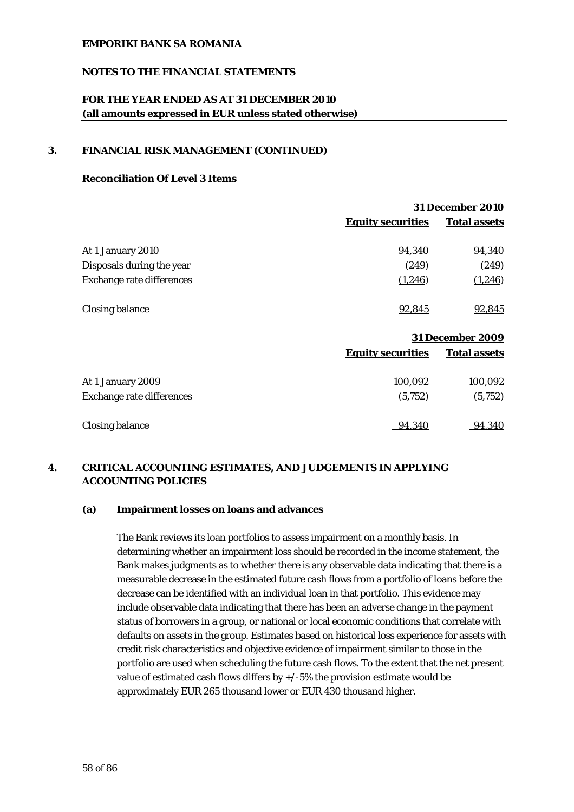### **NOTES TO THE FINANCIAL STATEMENTS**

## **FOR THE YEAR ENDED AS AT 31 DECEMBER 2010 (all amounts expressed in EUR unless stated otherwise)**

#### **3. FINANCIAL RISK MANAGEMENT (CONTINUED)**

### **Reconciliation Of Level 3 Items**

|                                  |                          | <b>31 December 2010</b> |  |  |
|----------------------------------|--------------------------|-------------------------|--|--|
|                                  | <b>Equity securities</b> | <b>Total assets</b>     |  |  |
| At 1 January 2010                | 94,340                   | 94,340                  |  |  |
| Disposals during the year        | (249)                    | (249)                   |  |  |
| <b>Exchange rate differences</b> | (1,246)                  | (1,246)                 |  |  |
| <b>Closing balance</b>           | 92,845                   | 92,845                  |  |  |
|                                  |                          | <b>31 December 2009</b> |  |  |
|                                  | <b>Equity securities</b> | <b>Total assets</b>     |  |  |

|                                  | .       |         |
|----------------------------------|---------|---------|
| At 1 January 2009                | 100,092 | 100,092 |
| <b>Exchange rate differences</b> | (5,752) | (5,752) |
| <b>Closing balance</b>           | 94,340  | 94.340  |

# **4. CRITICAL ACCOUNTING ESTIMATES, AND JUDGEMENTS IN APPLYING ACCOUNTING POLICIES**

#### **(a) Impairment losses on loans and advances**

The Bank reviews its loan portfolios to assess impairment on a monthly basis. In determining whether an impairment loss should be recorded in the income statement, the Bank makes judgments as to whether there is any observable data indicating that there is a measurable decrease in the estimated future cash flows from a portfolio of loans before the decrease can be identified with an individual loan in that portfolio. This evidence may include observable data indicating that there has been an adverse change in the payment status of borrowers in a group, or national or local economic conditions that correlate with defaults on assets in the group. Estimates based on historical loss experience for assets with credit risk characteristics and objective evidence of impairment similar to those in the portfolio are used when scheduling the future cash flows. To the extent that the net present value of estimated cash flows differs by  $+/-5\%$  the provision estimate would be approximately EUR 265 thousand lower or EUR 430 thousand higher.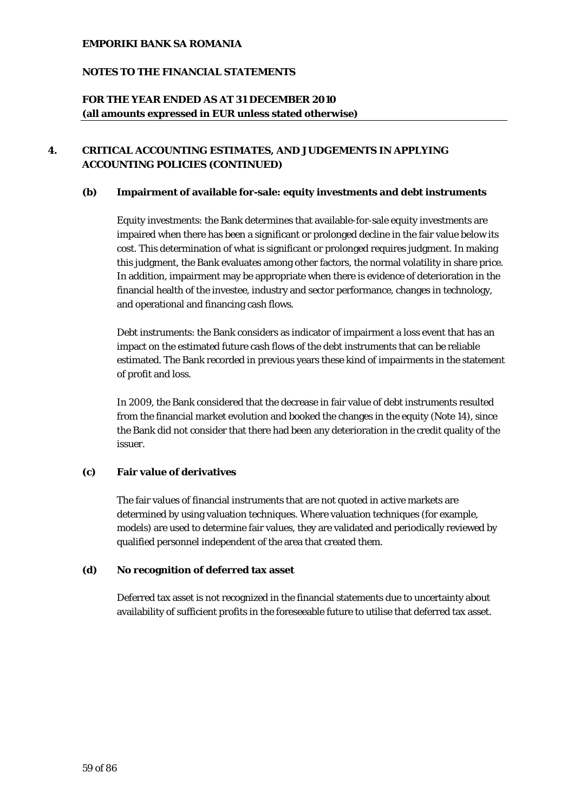## **NOTES TO THE FINANCIAL STATEMENTS**

## **FOR THE YEAR ENDED AS AT 31 DECEMBER 2010 (all amounts expressed in EUR unless stated otherwise)**

# **4. CRITICAL ACCOUNTING ESTIMATES, AND JUDGEMENTS IN APPLYING ACCOUNTING POLICIES (CONTINUED)**

#### **(b) Impairment of available for-sale: equity investments and debt instruments**

Equity investments: the Bank determines that available-for-sale equity investments are impaired when there has been a significant or prolonged decline in the fair value below its cost. This determination of what is significant or prolonged requires judgment. In making this judgment, the Bank evaluates among other factors, the normal volatility in share price. In addition, impairment may be appropriate when there is evidence of deterioration in the financial health of the investee, industry and sector performance, changes in technology, and operational and financing cash flows.

Debt instruments: the Bank considers as indicator of impairment a loss event that has an impact on the estimated future cash flows of the debt instruments that can be reliable estimated. The Bank recorded in previous years these kind of impairments in the statement of profit and loss.

In 2009, the Bank considered that the decrease in fair value of debt instruments resulted from the financial market evolution and booked the changes in the equity (Note 14), since the Bank did not consider that there had been any deterioration in the credit quality of the issuer.

#### **(c) Fair value of derivatives**

The fair values of financial instruments that are not quoted in active markets are determined by using valuation techniques. Where valuation techniques (for example, models) are used to determine fair values, they are validated and periodically reviewed by qualified personnel independent of the area that created them.

#### **(d) No recognition of deferred tax asset**

Deferred tax asset is not recognized in the financial statements due to uncertainty about availability of sufficient profits in the foreseeable future to utilise that deferred tax asset.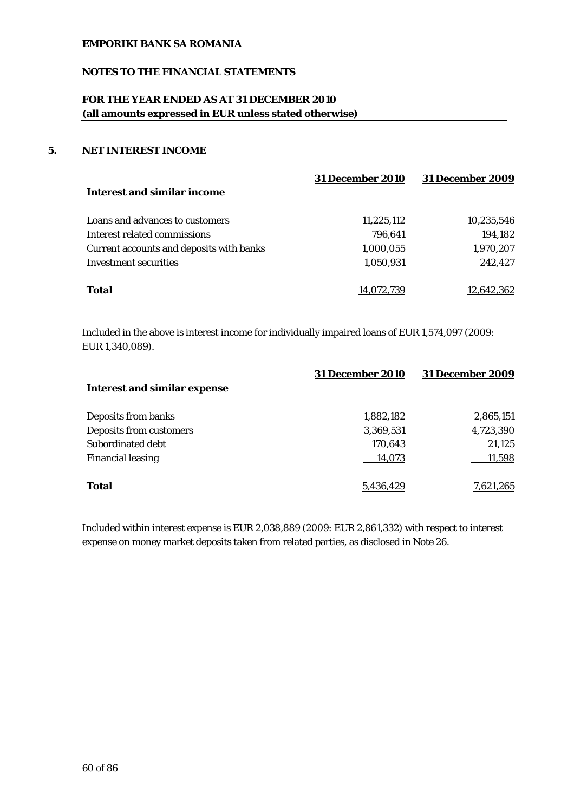## **NOTES TO THE FINANCIAL STATEMENTS**

# **FOR THE YEAR ENDED AS AT 31 DECEMBER 2010 (all amounts expressed in EUR unless stated otherwise)**

## **5. NET INTEREST INCOME**

|                                          | <b>31 December 2010</b> | <b>31 December 2009</b> |
|------------------------------------------|-------------------------|-------------------------|
| Interest and similar income              |                         |                         |
| Loans and advances to customers          | 11,225,112              | 10,235,546              |
| Interest related commissions             | 796.641                 | 194,182                 |
| Current accounts and deposits with banks | 1,000,055               | 1,970,207               |
| Investment securities                    | 1,050,931               | 242,427                 |
|                                          |                         |                         |
| Total                                    | 14.072.739              | 12,642,362              |
|                                          |                         |                         |

Included in the above is interest income for individually impaired loans of EUR 1,574,097 (2009: EUR 1,340,089).

|                                     | <b>31 December 2010</b> | <b>31 December 2009</b> |
|-------------------------------------|-------------------------|-------------------------|
| <b>Interest and similar expense</b> |                         |                         |
| Deposits from banks                 | 1,882,182               | 2,865,151               |
| Deposits from customers             | 3,369,531               | 4,723,390               |
| Subordinated debt                   | 170,643                 | 21,125                  |
| <b>Financial leasing</b>            | 14,073                  | 11,598                  |
| <b>Total</b>                        | 5.436.429               | <u>7,621,265</u>        |

Included within interest expense is EUR 2,038,889 (2009: EUR 2,861,332) with respect to interest expense on money market deposits taken from related parties, as disclosed in Note 26.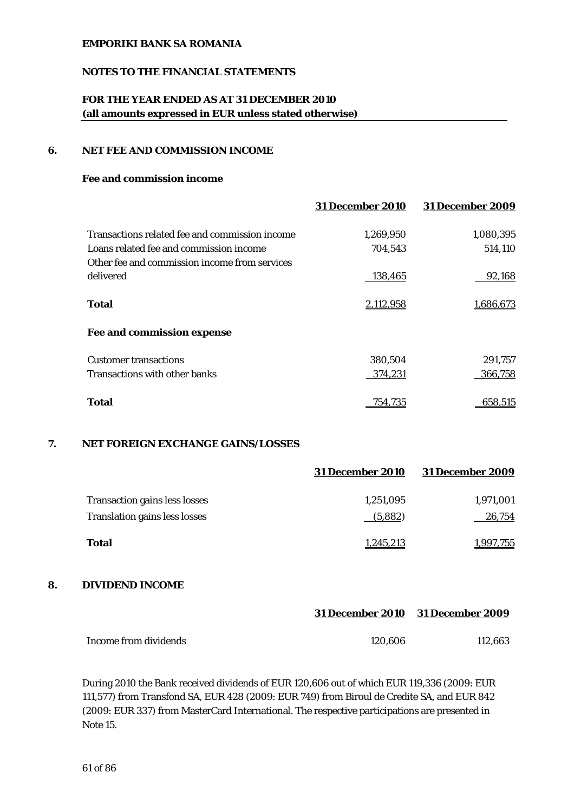### **NOTES TO THE FINANCIAL STATEMENTS**

## **FOR THE YEAR ENDED AS AT 31 DECEMBER 2010 (all amounts expressed in EUR unless stated otherwise)**

#### **6. NET FEE AND COMMISSION INCOME**

#### **Fee and commission income**

|                                                | <b>31 December 2010</b> | <b>31 December 2009</b> |
|------------------------------------------------|-------------------------|-------------------------|
| Transactions related fee and commission income | 1.269.950               | 1,080,395               |
| Loans related fee and commission income        | 704,543                 | 514,110                 |
| Other fee and commission income from services  |                         |                         |
| delivered                                      | 138,465                 | 92,168                  |
| Total                                          | 2,112,958               | 1,686,673               |
| Fee and commission expense                     |                         |                         |
| <b>Customer transactions</b>                   | 380,504                 | 291,757                 |
| Transactions with other banks                  | 374,231                 | 366,758                 |
| <b>Total</b>                                   | 754.735                 | 658.515                 |

#### **7. NET FOREIGN EXCHANGE GAINS/LOSSES**

|                                      | <b>31 December 2010</b> | <b>31 December 2009</b> |
|--------------------------------------|-------------------------|-------------------------|
| <b>Transaction gains less losses</b> | 1,251,095               | 1,971,001               |
| <b>Translation gains less losses</b> | (5,882)                 | 26,754                  |
| <b>Total</b>                         | 1,245,213               | 1,997,755               |

#### **8. DIVIDEND INCOME**

|                       |         | 31 December 2010 31 December 2009 |
|-----------------------|---------|-----------------------------------|
| Income from dividends | 120.606 | 112.663                           |

During 2010 the Bank received dividends of EUR 120,606 out of which EUR 119,336 (2009: EUR 111,577) from Transfond SA, EUR 428 (2009: EUR 749) from Biroul de Credite SA, and EUR 842 (2009: EUR 337) from MasterCard International. The respective participations are presented in Note 15.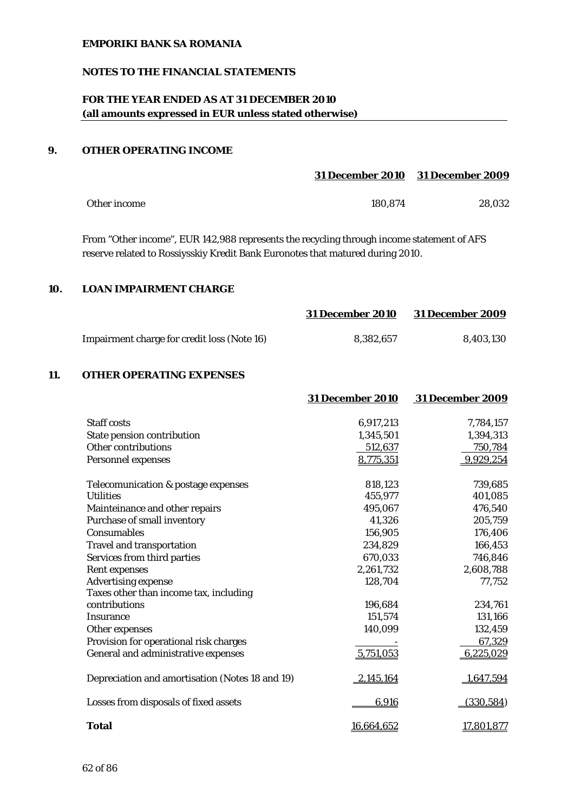### **NOTES TO THE FINANCIAL STATEMENTS**

# **FOR THE YEAR ENDED AS AT 31 DECEMBER 2010 (all amounts expressed in EUR unless stated otherwise)**

## **9. OTHER OPERATING INCOME**

|              |         | 31 December 2010 31 December 2009 |
|--------------|---------|-----------------------------------|
| Other income | 180.874 | 28.032                            |

From "Other income", EUR 142,988 represents the recycling through income statement of AFS reserve related to Rossiysskiy Kredit Bank Euronotes that matured during 2010.

#### **10. LOAN IMPAIRMENT CHARGE**

|                                             | <b>31 December 2010</b> | <b>31 December 2009</b> |
|---------------------------------------------|-------------------------|-------------------------|
| Impairment charge for credit loss (Note 16) | 8.382.657               | 8.403.130               |

## **11. OTHER OPERATING EXPENSES**

|                                                 | <b>31 December 2010</b> | <b>31 December 2009</b> |
|-------------------------------------------------|-------------------------|-------------------------|
|                                                 |                         |                         |
| <b>Staff costs</b>                              | 6,917,213               | 7,784,157               |
| State pension contribution                      | 1,345,501               | 1,394,313               |
| <b>Other contributions</b>                      | 512,637                 | 750,784                 |
| Personnel expenses                              | 8,775,351               | 9,929,254               |
| Telecomunication & postage expenses             | 818,123                 | 739,685                 |
| <b>Utilities</b>                                | 455,977                 | 401,085                 |
| Mainteinance and other repairs                  | 495,067                 | 476,540                 |
| Purchase of small inventory                     | 41,326                  | 205,759                 |
| Consumables                                     | 156,905                 | 176,406                 |
| <b>Travel and transportation</b>                | 234,829                 | 166,453                 |
| Services from third parties                     | 670,033                 | 746,846                 |
| <b>Rent expenses</b>                            | 2,261,732               | 2,608,788               |
| <b>Advertising expense</b>                      | 128,704                 | 77,752                  |
| Taxes other than income tax, including          |                         |                         |
| contributions                                   | 196,684                 | 234,761                 |
| <b>Insurance</b>                                | 151,574                 | 131,166                 |
| Other expenses                                  | 140,099                 | 132,459                 |
| Provision for operational risk charges          |                         | 67,329                  |
| General and administrative expenses             | 5,751,053               | 6,225,029               |
| Depreciation and amortisation (Notes 18 and 19) | 2,145,164               | 1,647,594               |
| Losses from disposals of fixed assets           | 6,916                   | (330, 584)              |
| <b>Total</b>                                    | 16,664,652              | 17,801,877              |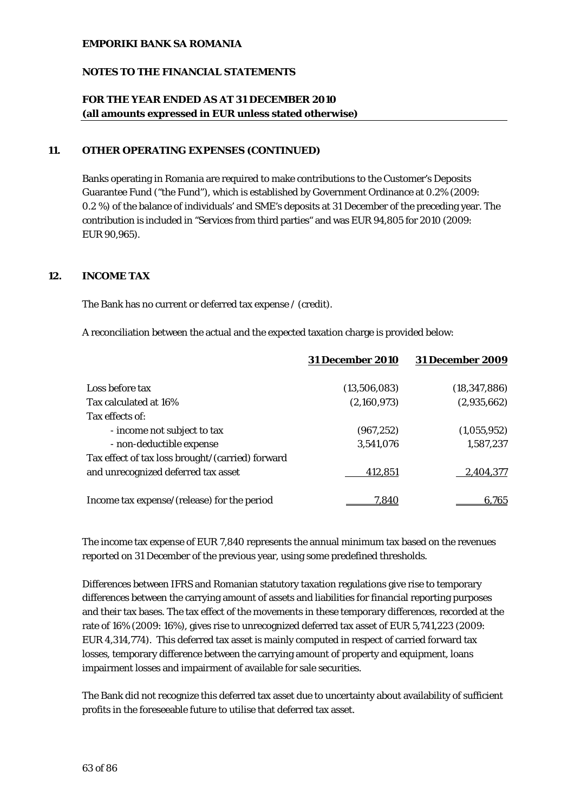## **NOTES TO THE FINANCIAL STATEMENTS**

## **FOR THE YEAR ENDED AS AT 31 DECEMBER 2010 (all amounts expressed in EUR unless stated otherwise)**

#### **11. OTHER OPERATING EXPENSES (CONTINUED)**

Banks operating in Romania are required to make contributions to the Customer's Deposits Guarantee Fund ("the Fund"), which is established by Government Ordinance at 0.2% (2009: 0.2 %) of the balance of individuals' and SME's deposits at 31 December of the preceding year. The contribution is included in "Services from third parties" and was EUR 94,805 for 2010 (2009: EUR 90,965).

#### **12. INCOME TAX**

The Bank has no current or deferred tax expense / (credit).

A reconciliation between the actual and the expected taxation charge is provided below:

|                                                  | <b>31 December 2010</b> | <b>31 December 2009</b> |
|--------------------------------------------------|-------------------------|-------------------------|
| Loss before tax                                  | (13,506,083)            | (18, 347, 886)          |
| Tax calculated at 16%                            | (2,160,973)             | (2,935,662)             |
| Tax effects of:                                  |                         |                         |
| - income not subject to tax                      | (967, 252)              | (1,055,952)             |
| - non-deductible expense                         | 3,541,076               | 1,587,237               |
| Tax effect of tax loss brought/(carried) forward |                         |                         |
| and unrecognized deferred tax asset              | 412,851                 | 2,404,377               |
| Income tax expense/(release) for the period      | 7.840                   | 6,765                   |

The income tax expense of EUR 7,840 represents the annual minimum tax based on the revenues reported on 31 December of the previous year, using some predefined thresholds.

Differences between IFRS and Romanian statutory taxation regulations give rise to temporary differences between the carrying amount of assets and liabilities for financial reporting purposes and their tax bases. The tax effect of the movements in these temporary differences, recorded at the rate of 16% (2009: 16%), gives rise to unrecognized deferred tax asset of EUR 5,741,223 (2009: EUR 4,314,774). This deferred tax asset is mainly computed in respect of carried forward tax losses, temporary difference between the carrying amount of property and equipment, loans impairment losses and impairment of available for sale securities.

The Bank did not recognize this deferred tax asset due to uncertainty about availability of sufficient profits in the foreseeable future to utilise that deferred tax asset.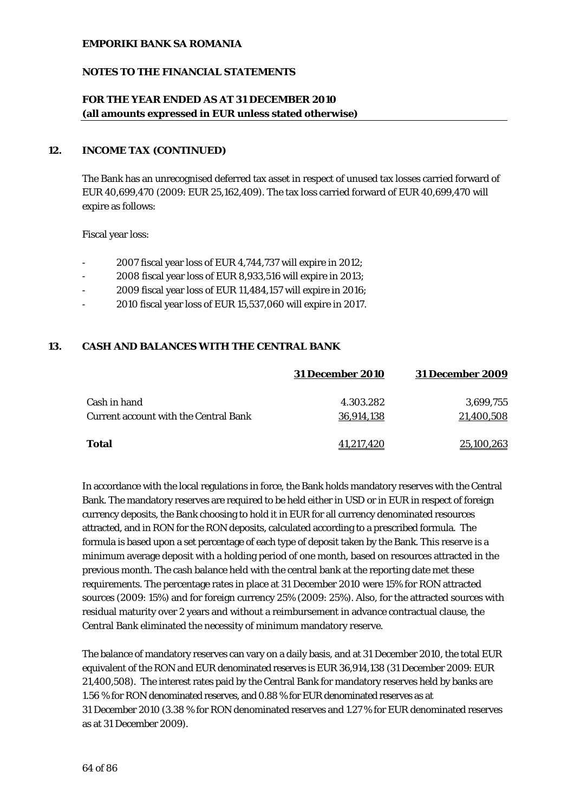#### **NOTES TO THE FINANCIAL STATEMENTS**

## **FOR THE YEAR ENDED AS AT 31 DECEMBER 2010 (all amounts expressed in EUR unless stated otherwise)**

#### **12. INCOME TAX (CONTINUED)**

The Bank has an unrecognised deferred tax asset in respect of unused tax losses carried forward of EUR 40,699,470 (2009: EUR 25,162,409). The tax loss carried forward of EUR 40,699,470 will expire as follows:

Fiscal year loss:

- 2007 fiscal year loss of EUR 4,744,737 will expire in 2012;
- 2008 fiscal year loss of EUR 8,933,516 will expire in 2013;
- 2009 fiscal year loss of EUR 11,484,157 will expire in 2016;
- 2010 fiscal year loss of EUR 15,537,060 will expire in 2017.

#### **13. CASH AND BALANCES WITH THE CENTRAL BANK**

|                                              | <b>31 December 2010</b> | <b>31 December 2009</b> |
|----------------------------------------------|-------------------------|-------------------------|
| Cash in hand                                 | 4.303.282               | 3.699.755               |
| <b>Current account with the Central Bank</b> | 36.914.138              | 21,400,508              |
| <b>Total</b>                                 | 41,217,420              | 25,100,263              |

In accordance with the local regulations in force, the Bank holds mandatory reserves with the Central Bank. The mandatory reserves are required to be held either in USD or in EUR in respect of foreign currency deposits, the Bank choosing to hold it in EUR for all currency denominated resources attracted, and in RON for the RON deposits, calculated according to a prescribed formula. The formula is based upon a set percentage of each type of deposit taken by the Bank. This reserve is a minimum average deposit with a holding period of one month, based on resources attracted in the previous month. The cash balance held with the central bank at the reporting date met these requirements. The percentage rates in place at 31 December 2010 were 15% for RON attracted sources (2009: 15%) and for foreign currency 25% (2009: 25%). Also, for the attracted sources with residual maturity over 2 years and without a reimbursement in advance contractual clause, the Central Bank eliminated the necessity of minimum mandatory reserve.

The balance of mandatory reserves can vary on a daily basis, and at 31 December 2010, the total EUR equivalent of the RON and EUR denominated reserves is EUR 36,914,138 (31 December 2009: EUR 21,400,508). The interest rates paid by the Central Bank for mandatory reserves held by banks are 1.56 % for RON denominated reserves, and 0.88 % for EUR denominated reserves as at 31 December 2010 (3.38 % for RON denominated reserves and 1.27 % for EUR denominated reserves as at 31 December 2009).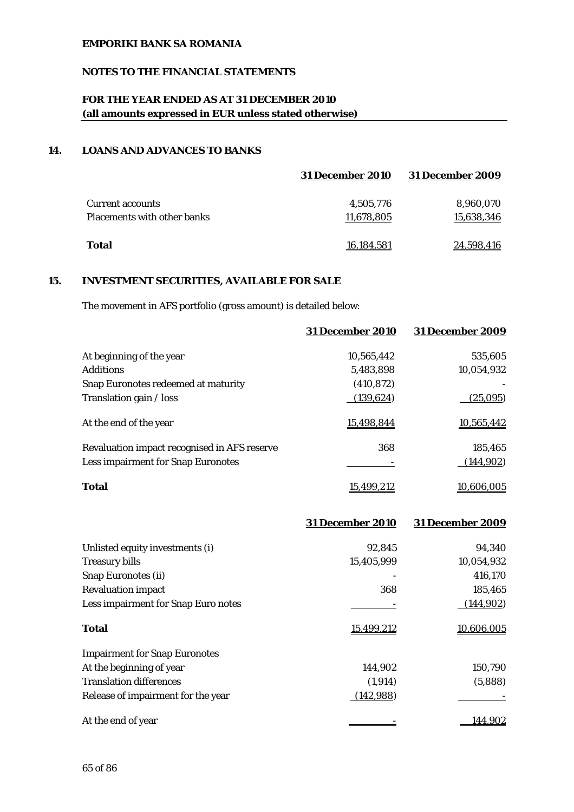## **NOTES TO THE FINANCIAL STATEMENTS**

# **FOR THE YEAR ENDED AS AT 31 DECEMBER 2010 (all amounts expressed in EUR unless stated otherwise)**

## **14. LOANS AND ADVANCES TO BANKS**

|                                    | <b>31 December 2010</b> | <b>31 December 2009</b> |
|------------------------------------|-------------------------|-------------------------|
| <b>Current accounts</b>            | 4,505,776               | 8,960,070               |
| <b>Placements with other banks</b> | 11,678,805              | 15,638,346              |
| <b>Total</b>                       | 16.184.581              | 24,598,416              |

## **15. INVESTMENT SECURITIES, AVAILABLE FOR SALE**

The movement in AFS portfolio (gross amount) is detailed below:

|                                              | <b>31 December 2010</b> | <b>31 December 2009</b> |
|----------------------------------------------|-------------------------|-------------------------|
| At beginning of the year                     | 10.565.442              | 535,605                 |
| <b>Additions</b>                             | 5,483,898               | 10,054,932              |
| Snap Euronotes redeemed at maturity          | (410, 872)              |                         |
| Translation gain / loss                      | (139, 624)              | (25,095)                |
| At the end of the year                       | 15,498,844              | 10,565,442              |
| Revaluation impact recognised in AFS reserve | 368                     | 185,465                 |
| <b>Less impairment for Snap Euronotes</b>    |                         | (144, 902)              |
| <b>Total</b>                                 | 15.499.212              | 10.606.005              |

|                                      | <b>31 December 2010</b> | <b>31 December 2009</b> |
|--------------------------------------|-------------------------|-------------------------|
| Unlisted equity investments (i)      | 92,845                  | 94,340                  |
| <b>Treasury bills</b>                | 15,405,999              | 10,054,932              |
| <b>Snap Euronotes (ii)</b>           |                         | 416,170                 |
| <b>Revaluation impact</b>            | 368                     | 185,465                 |
| Less impairment for Snap Euro notes  |                         | (144, 902)              |
| <b>Total</b>                         | 15,499,212              | 10,606,005              |
| <b>Impairment for Snap Euronotes</b> |                         |                         |
| At the beginning of year             | 144,902                 | 150,790                 |
| <b>Translation differences</b>       | (1, 914)                | (5,888)                 |
| Release of impairment for the year   | (142, 988)              |                         |
| At the end of year                   |                         | 144.902                 |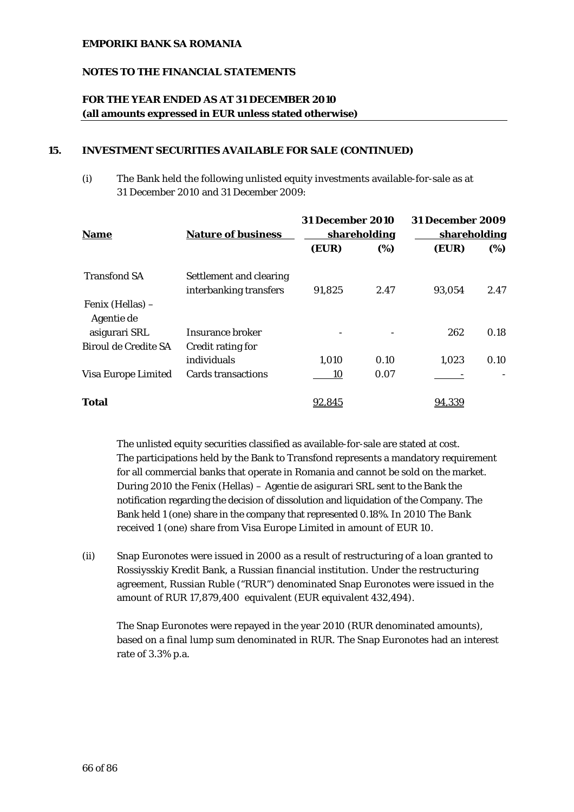### **NOTES TO THE FINANCIAL STATEMENTS**

## **FOR THE YEAR ENDED AS AT 31 DECEMBER 2010 (all amounts expressed in EUR unless stated otherwise)**

#### **15. INVESTMENT SECURITIES AVAILABLE FOR SALE (CONTINUED)**

(i) The Bank held the following unlisted equity investments available-for-sale as at 31 December 2010 and 31 December 2009:

| <b>Nature of business</b><br><b>Name</b> |                                                   | <b>31 December 2010</b><br><b>shareholding</b> |       | <b>31 December 2009</b><br><b>shareholding</b> |      |
|------------------------------------------|---------------------------------------------------|------------------------------------------------|-------|------------------------------------------------|------|
|                                          | (EUR)                                             | (%)                                            | (EUR) | (%)                                            |      |
| <b>Transfond SA</b>                      | Settlement and clearing<br>interbanking transfers | 91,825                                         | 2.47  | 93,054                                         | 2.47 |
| Fenix (Hellas) –<br>Agentie de           |                                                   |                                                |       |                                                |      |
| asigurari SRL                            | Insurance broker                                  |                                                |       | 262                                            | 0.18 |
| Biroul de Credite SA                     | Credit rating for                                 |                                                |       |                                                |      |
|                                          | individuals                                       | 1,010                                          | 0.10  | 1,023                                          | 0.10 |
| Visa Europe Limited                      | <b>Cards transactions</b>                         | 10                                             | 0.07  |                                                |      |
| <b>Total</b>                             |                                                   | <u>92,845</u>                                  |       | 94,339                                         |      |

The unlisted equity securities classified as available-for-sale are stated at cost. The participations held by the Bank to Transfond represents a mandatory requirement for all commercial banks that operate in Romania and cannot be sold on the market. During 2010 the Fenix (Hellas) – Agentie de asigurari SRL sent to the Bank the notification regarding the decision of dissolution and liquidation of the Company. The Bank held 1 (one) share in the company that represented 0.18%. In 2010 The Bank received 1 (one) share from Visa Europe Limited in amount of EUR 10.

(ii) Snap Euronotes were issued in 2000 as a result of restructuring of a loan granted to Rossiysskiy Kredit Bank, a Russian financial institution. Under the restructuring agreement, Russian Ruble ("RUR") denominated Snap Euronotes were issued in the amount of RUR 17,879,400 equivalent (EUR equivalent 432,494).

The Snap Euronotes were repayed in the year 2010 (RUR denominated amounts), based on a final lump sum denominated in RUR. The Snap Euronotes had an interest rate of 3.3% p.a.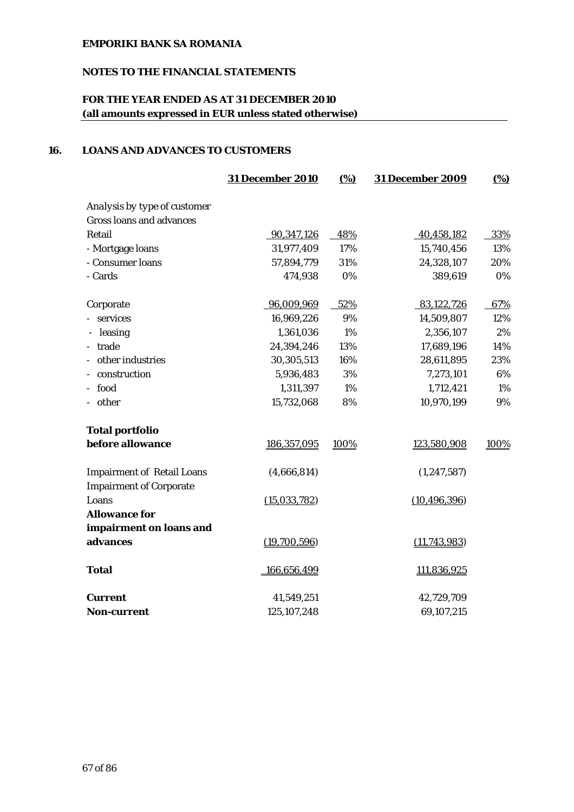# **NOTES TO THE FINANCIAL STATEMENTS**

# **FOR THE YEAR ENDED AS AT 31 DECEMBER 2010 (all amounts expressed in EUR unless stated otherwise)**

### **16. LOANS AND ADVANCES TO CUSTOMERS**

|                                                                     | <b>31 December 2010</b> | (%)   | <b>31 December 2009</b> | $\frac{(0,0)}{0}$ |
|---------------------------------------------------------------------|-------------------------|-------|-------------------------|-------------------|
| Analysis by type of customer                                        |                         |       |                         |                   |
| <b>Gross loans and advances</b>                                     |                         |       |                         |                   |
| Retail                                                              | 90,347,126              | 48%   | 40,458,182              | 33%               |
| - Mortgage loans                                                    | 31,977,409              | 17%   | 15,740,456              | 13%               |
| - Consumer loans                                                    | 57,894,779              | 31%   | 24,328,107              | 20%               |
| - Cards                                                             | 474,938                 | $0\%$ | 389,619                 | 0%                |
| Corporate                                                           | 96,009,969              | 52%   | 83,122,726              | 67%               |
| services                                                            | 16,969,226              | 9%    | 14,509,807              | 12%               |
| leasing                                                             | 1,361,036               | 1%    | 2,356,107               | 2%                |
| trade                                                               | 24,394,246              | 13%   | 17,689,196              | 14%               |
| other industries                                                    | 30,305,513              | 16%   | 28,611,895              | 23%               |
| construction                                                        | 5,936,483               | 3%    | 7,273,101               | 6%                |
| - food                                                              | 1,311,397               | 1%    | 1,712,421               | 1%                |
| - other                                                             | 15,732,068              | 8%    | 10,970,199              | 9%                |
| <b>Total portfolio</b>                                              |                         |       |                         |                   |
| before allowance                                                    | 186,357,095             | 100%  | 123,580,908             | 100%              |
| <b>Impairment of Retail Loans</b><br><b>Impairment of Corporate</b> | (4,666,814)             |       | (1, 247, 587)           |                   |
| Loans                                                               | (15,033,782)            |       | (10, 496, 396)          |                   |
| <b>Allowance for</b>                                                |                         |       |                         |                   |
| impairment on loans and                                             |                         |       |                         |                   |
| advances                                                            | (19,700,596)            |       | (11, 743, 983)          |                   |
| <b>Total</b>                                                        | 166,656,499             |       | 111,836,925             |                   |
| Current                                                             | 41,549,251              |       | 42,729,709              |                   |
| <b>Non-current</b>                                                  | 125, 107, 248           |       | 69,107,215              |                   |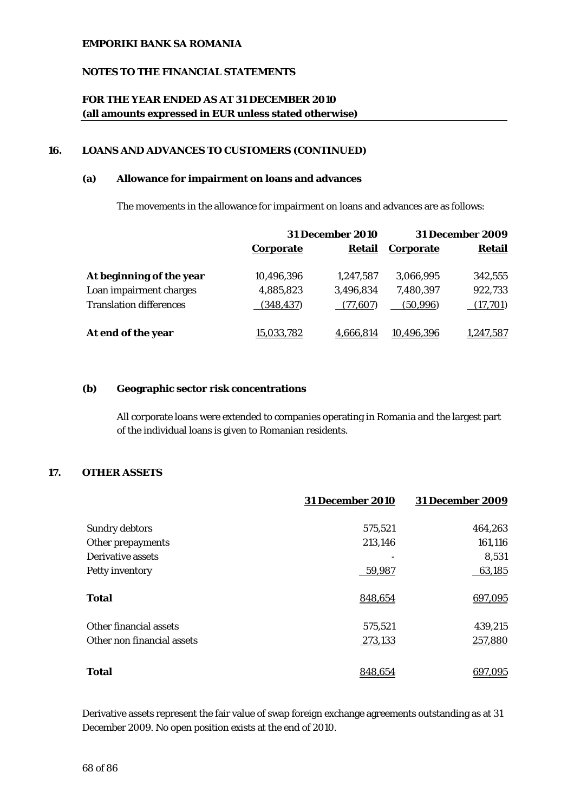### **NOTES TO THE FINANCIAL STATEMENTS**

# **FOR THE YEAR ENDED AS AT 31 DECEMBER 2010 (all amounts expressed in EUR unless stated otherwise)**

#### **16. LOANS AND ADVANCES TO CUSTOMERS (CONTINUED)**

#### **(a) Allowance for impairment on loans and advances**

The movements in the allowance for impairment on loans and advances are as follows:

|                                | <b>31 December 2010</b> |           | <b>31 December 2009</b> |                 |
|--------------------------------|-------------------------|-----------|-------------------------|-----------------|
|                                | <b>Corporate</b>        | Retail    | <b>Corporate</b>        | <b>Retail</b>   |
| At beginning of the year       | 10,496,396              | 1.247.587 | 3,066,995               | 342,555         |
| Loan impairment charges        | 4,885,823               | 3,496,834 | 7,480,397               | 922,733         |
| <b>Translation differences</b> | (348, 437)              | (77.607)  | (50.996)                | (17,701)        |
| At end of the year             | <u>15,033,782</u>       | 4,666,814 | 10.496.396              | <u>.247,587</u> |

#### **(b) Geographic sector risk concentrations**

All corporate loans were extended to companies operating in Romania and the largest part of the individual loans is given to Romanian residents.

## **17. OTHER ASSETS**

|                            | <b>31 December 2010</b> | <b>31 December 2009</b> |
|----------------------------|-------------------------|-------------------------|
| <b>Sundry debtors</b>      | 575,521                 | 464,263                 |
| Other prepayments          | 213,146                 | 161,116                 |
| Derivative assets          |                         | 8,531                   |
| Petty inventory            | 59,987                  | 63,185                  |
| <b>Total</b>               | 848,654                 | 697,095                 |
| Other financial assets     | 575,521                 | 439,215                 |
| Other non financial assets | 273,133                 | 257,880                 |
| <b>Total</b>               | 848.654                 | 697,095                 |
|                            |                         |                         |

Derivative assets represent the fair value of swap foreign exchange agreements outstanding as at 31 December 2009. No open position exists at the end of 2010.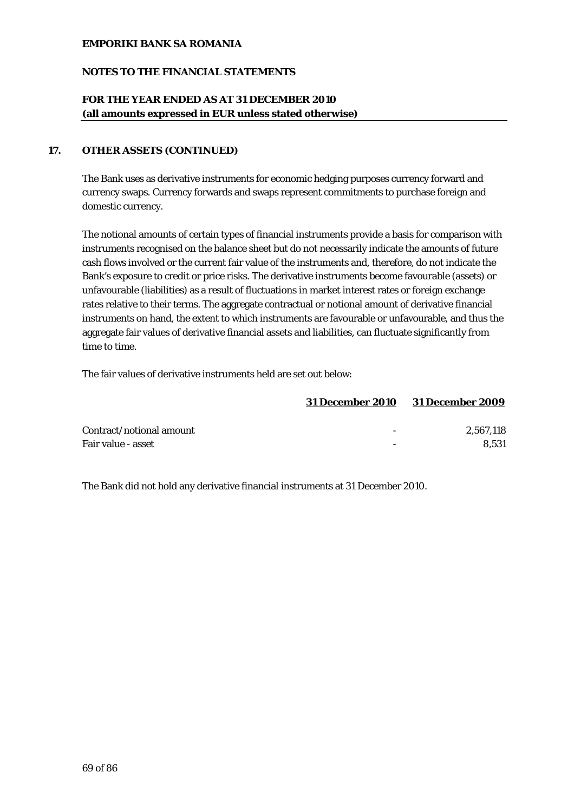## **NOTES TO THE FINANCIAL STATEMENTS**

## **FOR THE YEAR ENDED AS AT 31 DECEMBER 2010 (all amounts expressed in EUR unless stated otherwise)**

### **17. OTHER ASSETS (CONTINUED)**

The Bank uses as derivative instruments for economic hedging purposes currency forward and currency swaps. Currency forwards and swaps represent commitments to purchase foreign and domestic currency.

The notional amounts of certain types of financial instruments provide a basis for comparison with instruments recognised on the balance sheet but do not necessarily indicate the amounts of future cash flows involved or the current fair value of the instruments and, therefore, do not indicate the Bank's exposure to credit or price risks. The derivative instruments become favourable (assets) or unfavourable (liabilities) as a result of fluctuations in market interest rates or foreign exchange rates relative to their terms. The aggregate contractual or notional amount of derivative financial instruments on hand, the extent to which instruments are favourable or unfavourable, and thus the aggregate fair values of derivative financial assets and liabilities, can fluctuate significantly from time to time.

The fair values of derivative instruments held are set out below:

|                          | <b>31 December 2010</b> | <b>31 December 2009</b> |
|--------------------------|-------------------------|-------------------------|
| Contract/notional amount |                         | 2.567.118               |
| Fair value - asset       |                         | 8.531                   |

The Bank did not hold any derivative financial instruments at 31 December 2010.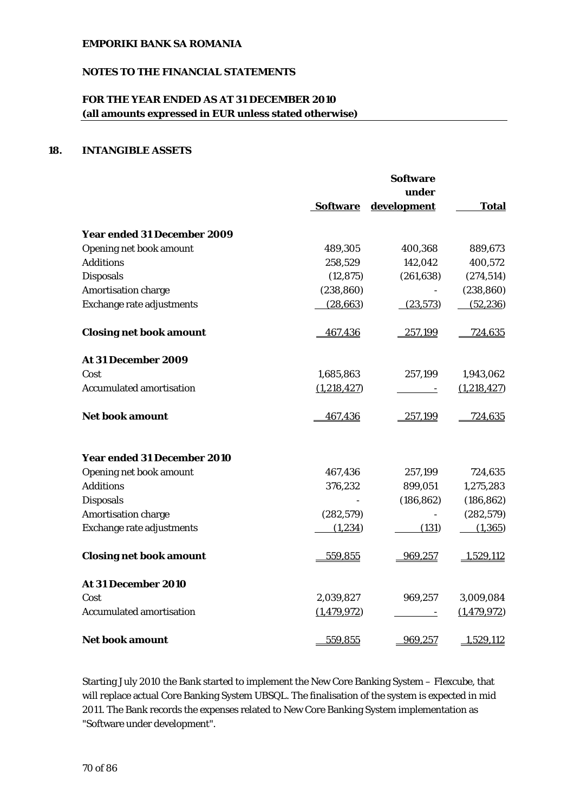## **NOTES TO THE FINANCIAL STATEMENTS**

# **FOR THE YEAR ENDED AS AT 31 DECEMBER 2010 (all amounts expressed in EUR unless stated otherwise)**

## **18. INTANGIBLE ASSETS**

|                                    |                 | <b>Software</b><br>under |               |
|------------------------------------|-----------------|--------------------------|---------------|
|                                    | <b>Software</b> | development              | <b>Total</b>  |
| <b>Year ended 31 December 2009</b> |                 |                          |               |
| Opening net book amount            | 489,305         | 400,368                  | 889,673       |
| <b>Additions</b>                   | 258,529         | 142,042                  | 400,572       |
| <b>Disposals</b>                   | (12, 875)       | (261, 638)               | (274, 514)    |
| Amortisation charge                | (238, 860)      |                          | (238, 860)    |
| Exchange rate adjustments          | (28, 663)       | (23,573)                 | (52, 236)     |
| <b>Closing net book amount</b>     | 467,436         | 257,199                  | 724,635       |
| At 31 December 2009                |                 |                          |               |
| Cost                               | 1,685,863       | 257,199                  | 1,943,062     |
| <b>Accumulated amortisation</b>    | (1,218,427)     |                          | (1,218,427)   |
| <b>Net book amount</b>             | 467,436         | 257,199                  | 724,635       |
| <b>Year ended 31 December 2010</b> |                 |                          |               |
| Opening net book amount            | 467,436         | 257,199                  | 724,635       |
| <b>Additions</b>                   | 376,232         | 899,051                  | 1,275,283     |
| <b>Disposals</b>                   |                 | (186, 862)               | (186, 862)    |
| Amortisation charge                | (282, 579)      |                          | (282, 579)    |
| Exchange rate adjustments          | (1,234)         | (131)                    | (1, 365)      |
| <b>Closing net book amount</b>     | 559,855         | 969,257                  | 1,529,112     |
| At 31 December 2010                |                 |                          |               |
| Cost                               | 2,039,827       | 969,257                  | 3,009,084     |
| <b>Accumulated amortisation</b>    | (1,479,972)     |                          | (1, 479, 972) |
| <b>Net book amount</b>             | 559,855         | 969,257                  | 1,529,112     |

Starting July 2010 the Bank started to implement the New Core Banking System – Flexcube, that will replace actual Core Banking System UBSQL. The finalisation of the system is expected in mid 2011. The Bank records the expenses related to New Core Banking System implementation as "Software under development".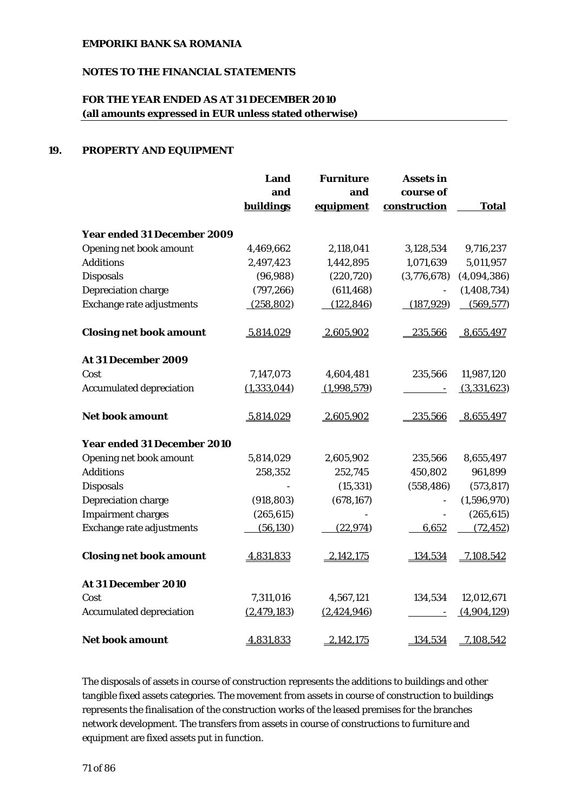# **NOTES TO THE FINANCIAL STATEMENTS**

# **FOR THE YEAR ENDED AS AT 31 DECEMBER 2010 (all amounts expressed in EUR unless stated otherwise)**

## **19. PROPERTY AND EQUIPMENT**

|                                    | Land        | <b>Furniture</b> | <b>Assets in</b> |               |
|------------------------------------|-------------|------------------|------------------|---------------|
|                                    | and         | and              | course of        |               |
|                                    | buildings   | equipment        | construction     | <b>Total</b>  |
| <b>Year ended 31 December 2009</b> |             |                  |                  |               |
| Opening net book amount            | 4,469,662   | 2,118,041        | 3,128,534        | 9,716,237     |
| <b>Additions</b>                   | 2,497,423   | 1,442,895        | 1,071,639        | 5,011,957     |
| <b>Disposals</b>                   | (96, 988)   | (220, 720)       | (3,776,678)      | (4,094,386)   |
| Depreciation charge                | (797, 266)  | (611, 468)       |                  | (1, 408, 734) |
| Exchange rate adjustments          | (258, 802)  | (122, 846)       | (187, 929)       | (569, 577)    |
| <b>Closing net book amount</b>     | 5,814,029   | 2,605,902        | 235,566          | 8,655,497     |
| At 31 December 2009                |             |                  |                  |               |
| Cost                               | 7,147,073   | 4,604,481        | 235,566          | 11,987,120    |
| <b>Accumulated depreciation</b>    | (1,333,044) | (1,998,579)      |                  | (3,331,623)   |
| <b>Net book amount</b>             | 5,814,029   | 2,605,902        | 235,566          | 8,655,497     |
| <b>Year ended 31 December 2010</b> |             |                  |                  |               |
| Opening net book amount            | 5,814,029   | 2,605,902        | 235,566          | 8,655,497     |
| <b>Additions</b>                   | 258,352     | 252,745          | 450,802          | 961,899       |
| <b>Disposals</b>                   |             | (15, 331)        | (558, 486)       | (573, 817)    |
| Depreciation charge                | (918, 803)  | (678, 167)       |                  | (1,596,970)   |
| <b>Impairment charges</b>          | (265, 615)  |                  | $\frac{1}{2}$    | (265, 615)    |
| Exchange rate adjustments          | (56, 130)   | (22, 974)        | 6,652            | (72, 452)     |
| <b>Closing net book amount</b>     | 4,831,833   | 2,142,175        | 134,534          | 7,108,542     |
| At 31 December 2010                |             |                  |                  |               |
| Cost                               | 7,311,016   | 4,567,121        | 134,534          | 12,012,671    |
| <b>Accumulated depreciation</b>    | (2,479,183) | (2,424,946)      |                  | (4,904,129)   |
| <b>Net book amount</b>             | 4,831,833   | 2,142,175        | 134,534          | 7,108,542     |

The disposals of assets in course of construction represents the additions to buildings and other tangible fixed assets categories. The movement from assets in course of construction to buildings represents the finalisation of the construction works of the leased premises for the branches network development. The transfers from assets in course of constructions to furniture and equipment are fixed assets put in function.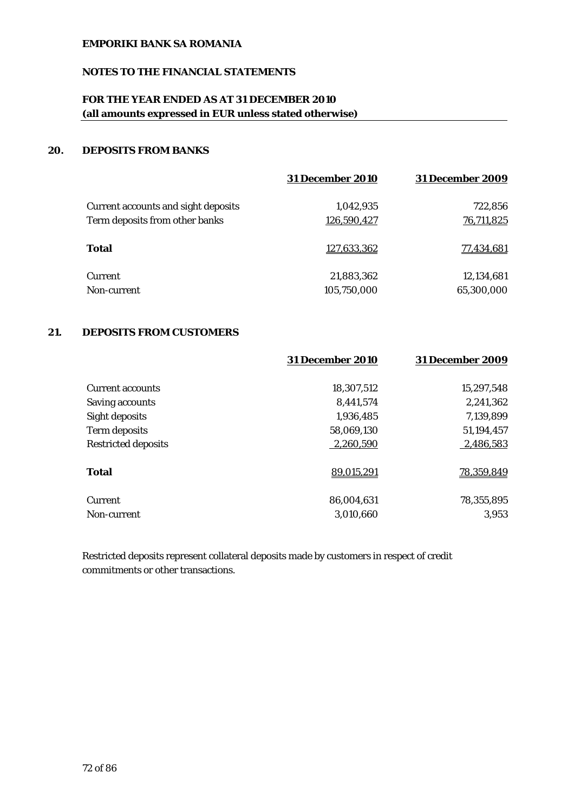# **NOTES TO THE FINANCIAL STATEMENTS**

# **FOR THE YEAR ENDED AS AT 31 DECEMBER 2010 (all amounts expressed in EUR unless stated otherwise)**

## **20. DEPOSITS FROM BANKS**

|                                            | <b>31 December 2010</b> | <b>31 December 2009</b> |
|--------------------------------------------|-------------------------|-------------------------|
| <b>Current accounts and sight deposits</b> | 1,042,935               | 722,856                 |
| Term deposits from other banks             | 126,590,427             | 76,711,825              |
| <b>Total</b>                               | 127,633,362             | 77,434,681              |
| Current                                    | 21,883,362              | 12,134,681              |
| Non-current                                | 105,750,000             | 65,300,000              |

## **21. DEPOSITS FROM CUSTOMERS**

|                            | <b>31 December 2010</b> | <b>31 December 2009</b> |
|----------------------------|-------------------------|-------------------------|
| <b>Current accounts</b>    | 18,307,512              | 15,297,548              |
| <b>Saving accounts</b>     | 8.441.574               | 2,241,362               |
| Sight deposits             | 1,936,485               | 7,139,899               |
| Term deposits              | 58,069,130              | 51,194,457              |
| <b>Restricted deposits</b> | 2,260,590               | 2,486,583               |
| <b>Total</b>               | 89,015,291              | 78,359,849              |
| <b>Current</b>             | 86,004,631              | 78,355,895              |
| Non-current                | 3,010,660               | 3,953                   |

Restricted deposits represent collateral deposits made by customers in respect of credit commitments or other transactions.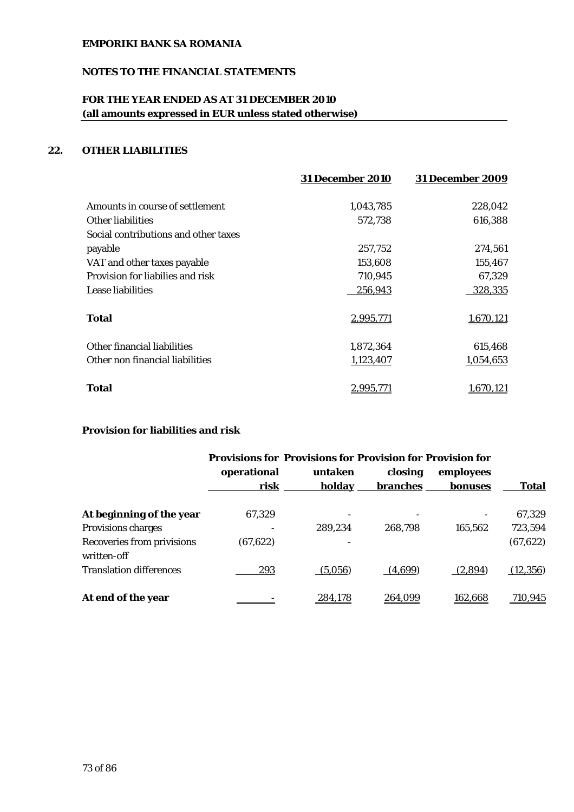# **NOTES TO THE FINANCIAL STATEMENTS**

# **FOR THE YEAR ENDED AS AT 31 DECEMBER 2010 (all amounts expressed in EUR unless stated otherwise)**

# **22. OTHER LIABILITIES**

|                                      | <b>31 December 2010</b> | <b>31 December 2009</b> |
|--------------------------------------|-------------------------|-------------------------|
| Amounts in course of settlement      | 1,043,785               | 228,042                 |
| Other liabilities                    | 572,738                 | 616,388                 |
| Social contributions and other taxes |                         |                         |
| payable                              | 257,752                 | 274,561                 |
| VAT and other taxes payable          | 153,608                 | 155,467                 |
| Provision for liabilies and risk     | 710,945                 | 67,329                  |
| Lease liabilities                    | 256,943                 | 328,335                 |
| <b>Total</b>                         | 2,995,771               | 1,670,121               |
| Other financial liabilities          | 1,872,364               | 615,468                 |
| Other non financial liabilities      | 1,123,407               | 1,054,653               |
| Total                                | <u>2,995,771</u>        | .670,121                |

# **Provision for liabilities and risk**

|                                           | <b>Provisions for Provisions for Provision for Provision for</b> |         |          |                |              |
|-------------------------------------------|------------------------------------------------------------------|---------|----------|----------------|--------------|
|                                           | operational                                                      | untaken | closing  | employees      |              |
|                                           | risk                                                             | holday  | branches | bonuses        | <b>Total</b> |
| At beginning of the year                  | 67,329                                                           |         |          |                | 67,329       |
| <b>Provisions charges</b>                 |                                                                  | 289.234 | 268.798  | 165,562        | 723,594      |
| Recoveries from privisions<br>written-off | (67, 622)                                                        |         |          |                | (67, 622)    |
| <b>Translation differences</b>            | 293                                                              | (5,056) | (4,699)  | (2,894)        | (12, 356)    |
| At end of the year                        |                                                                  | 284.178 | 264.099  | <u>162,668</u> | 710,945      |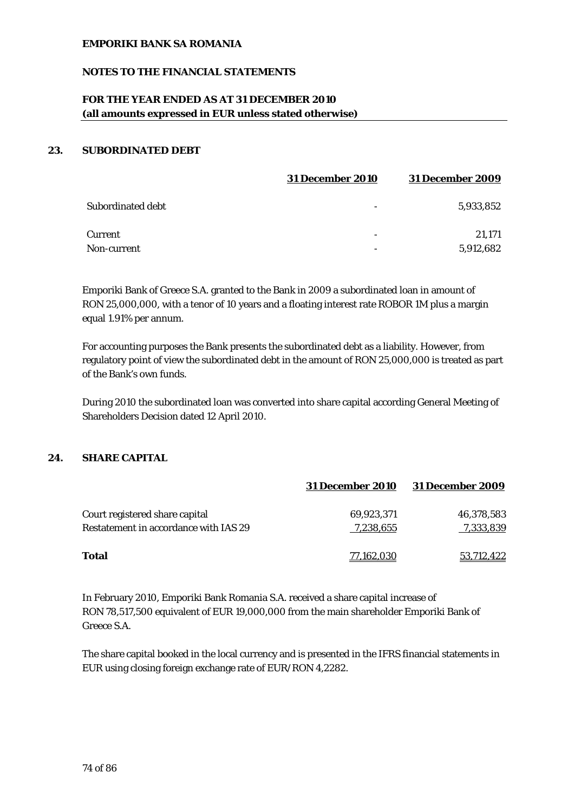## **NOTES TO THE FINANCIAL STATEMENTS**

# **FOR THE YEAR ENDED AS AT 31 DECEMBER 2010 (all amounts expressed in EUR unless stated otherwise)**

### **23. SUBORDINATED DEBT**

|                    | <b>31 December 2010</b> | <b>31 December 2009</b> |
|--------------------|-------------------------|-------------------------|
| Subordinated debt  |                         | 5,933,852               |
| Current            | -                       | 21.171                  |
| <b>Non-current</b> |                         | 5,912,682               |

Emporiki Bank of Greece S.A. granted to the Bank in 2009 a subordinated loan in amount of RON 25,000,000, with a tenor of 10 years and a floating interest rate ROBOR 1M plus a margin equal 1.91% per annum.

For accounting purposes the Bank presents the subordinated debt as a liability. However, from regulatory point of view the subordinated debt in the amount of RON 25,000,000 is treated as part of the Bank's own funds.

During 2010 the subordinated loan was converted into share capital according General Meeting of Shareholders Decision dated 12 April 2010.

#### **24. SHARE CAPITAL**

|                                       | <b>31 December 2010</b> | <b>31 December 2009</b> |
|---------------------------------------|-------------------------|-------------------------|
| Court registered share capital        | 69,923,371              | 46,378,583              |
| Restatement in accordance with IAS 29 | 7,238,655               | 7,333,839               |
| Total                                 | 77,162,030              | 53,712,422              |

In February 2010, Emporiki Bank Romania S.A. received a share capital increase of RON 78,517,500 equivalent of EUR 19,000,000 from the main shareholder Emporiki Bank of Greece S.A.

The share capital booked in the local currency and is presented in the IFRS financial statements in EUR using closing foreign exchange rate of EUR/RON 4,2282.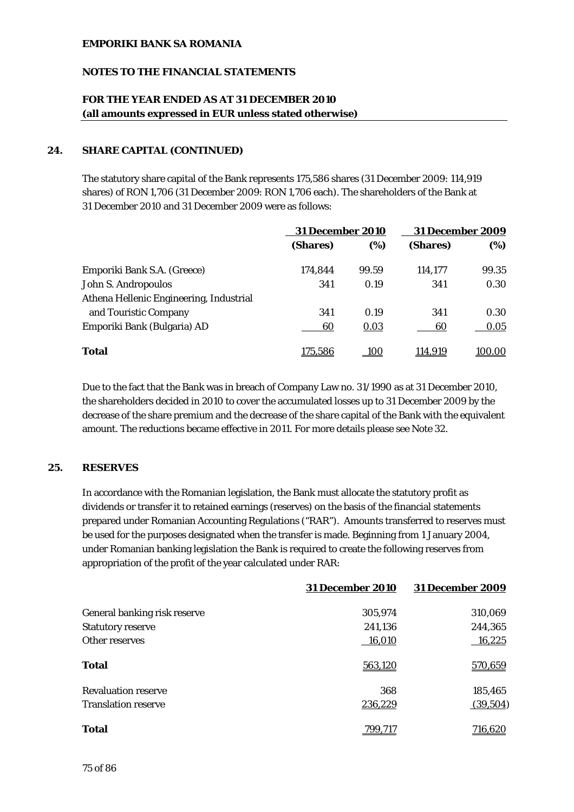## **NOTES TO THE FINANCIAL STATEMENTS**

# **FOR THE YEAR ENDED AS AT 31 DECEMBER 2010 (all amounts expressed in EUR unless stated otherwise)**

## **24. SHARE CAPITAL (CONTINUED)**

The statutory share capital of the Bank represents 175,586 shares (31 December 2009: 114,919 shares) of RON 1,706 (31 December 2009: RON 1,706 each). The shareholders of the Bank at 31 December 2010 and 31 December 2009 were as follows:

|                                         | <b>31 December 2010</b> |             | <b>31 December 2009</b> |        |
|-----------------------------------------|-------------------------|-------------|-------------------------|--------|
|                                         | (Shares)                | (%)         | (Shares)                | (%)    |
| Emporiki Bank S.A. (Greece)             | 174.844                 | 99.59       | 114.177                 | 99.35  |
| John S. Andropoulos                     | 341                     | 0.19        | 341                     | 0.30   |
| Athena Hellenic Engineering, Industrial |                         |             |                         |        |
| and Touristic Company                   | 341                     | 0.19        | 341                     | 0.30   |
| Emporiki Bank (Bulgaria) AD             | 60                      | 0.03        | 60                      | 0.05   |
| <b>Total</b>                            | 175,586                 | <u> 100</u> | 114,919                 | 100.00 |

Due to the fact that the Bank was in breach of Company Law no. 31/1990 as at 31 December 2010, the shareholders decided in 2010 to cover the accumulated losses up to 31 December 2009 by the decrease of the share premium and the decrease of the share capital of the Bank with the equivalent amount. The reductions became effective in 2011. For more details please see Note 32.

## **25. RESERVES**

In accordance with the Romanian legislation, the Bank must allocate the statutory profit as dividends or transfer it to retained earnings (reserves) on the basis of the financial statements prepared under Romanian Accounting Regulations ("RAR"). Amounts transferred to reserves must be used for the purposes designated when the transfer is made. Beginning from 1 January 2004, under Romanian banking legislation the Bank is required to create the following reserves from appropriation of the profit of the year calculated under RAR:

|                              | <b>31 December 2010</b> | <b>31 December 2009</b> |
|------------------------------|-------------------------|-------------------------|
| General banking risk reserve | 305,974                 | 310,069                 |
| <b>Statutory reserve</b>     | 241,136                 | 244,365                 |
| Other reserves               | 16,010                  | 16,225                  |
| Total                        | 563,120                 | 570,659                 |
| <b>Revaluation reserve</b>   | 368                     | 185,465                 |
| <b>Translation reserve</b>   | 236,229                 | (39,504)                |
| Total                        | 799.717                 | 716,620                 |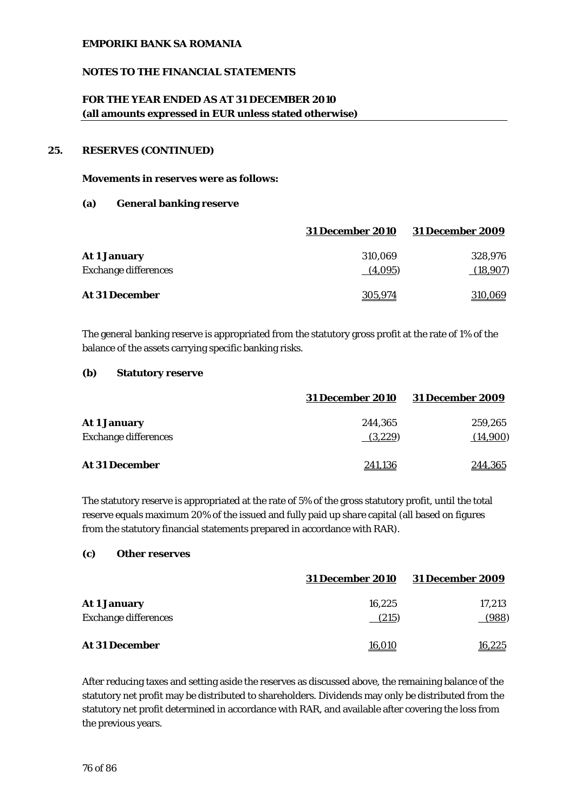## **NOTES TO THE FINANCIAL STATEMENTS**

# **FOR THE YEAR ENDED AS AT 31 DECEMBER 2010 (all amounts expressed in EUR unless stated otherwise)**

## **25. RESERVES (CONTINUED)**

#### **Movements in reserves were as follows:**

#### **(a) General banking reserve**

|                             | <b>31 December 2010</b> | <b>31 December 2009</b> |
|-----------------------------|-------------------------|-------------------------|
| <b>At 1 January</b>         | 310.069                 | 328.976                 |
| <b>Exchange differences</b> | (4,095)                 | (18,907)                |
| <b>At 31 December</b>       | 305,974                 | <u>310,069</u>          |

The general banking reserve is appropriated from the statutory gross profit at the rate of 1% of the balance of the assets carrying specific banking risks.

#### **(b) Statutory reserve**

|                             | <b>31 December 2010</b> | <b>31 December 2009</b> |
|-----------------------------|-------------------------|-------------------------|
| <b>At 1 January</b>         | 244.365                 | 259,265                 |
| <b>Exchange differences</b> | (3,229)                 | (14,900)                |
| <b>At 31 December</b>       | 241,136                 | 244,365                 |

The statutory reserve is appropriated at the rate of 5% of the gross statutory profit, until the total reserve equals maximum 20% of the issued and fully paid up share capital (all based on figures from the statutory financial statements prepared in accordance with RAR).

#### **(c) Other reserves**

|                             | <b>31 December 2010</b> | <b>31 December 2009</b> |
|-----------------------------|-------------------------|-------------------------|
| <b>At 1 January</b>         | 16.225                  | 17,213                  |
| <b>Exchange differences</b> | (215)                   | (988)                   |
| <b>At 31 December</b>       | <u>16,010</u>           | 16,225                  |

After reducing taxes and setting aside the reserves as discussed above, the remaining balance of the statutory net profit may be distributed to shareholders. Dividends may only be distributed from the statutory net profit determined in accordance with RAR, and available after covering the loss from the previous years.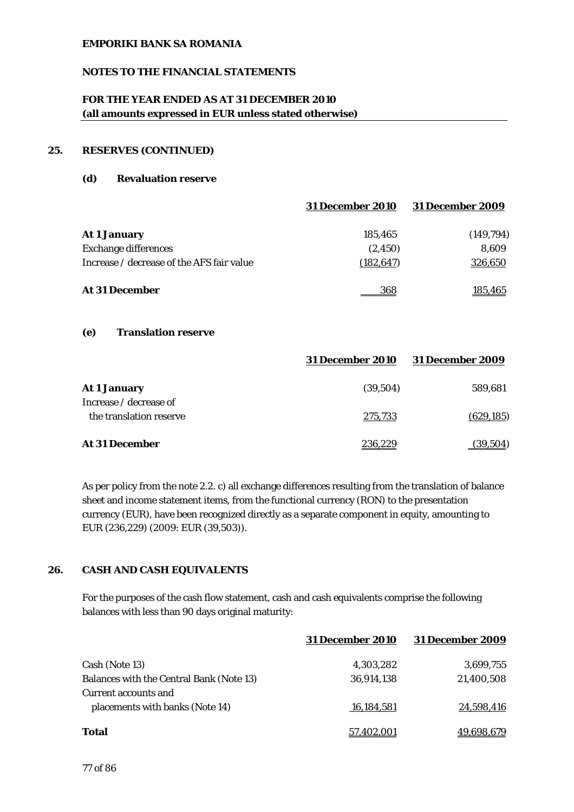## **NOTES TO THE FINANCIAL STATEMENTS**

# **FOR THE YEAR ENDED AS AT 31 DECEMBER 2010 (all amounts expressed in EUR unless stated otherwise)**

## **25. RESERVES (CONTINUED)**

#### **(d) Revaluation reserve**

|                                           | <b>31 December 2010</b> | <b>31 December 2009</b> |
|-------------------------------------------|-------------------------|-------------------------|
| <b>At 1 January</b>                       | 185,465                 | (149,794)               |
| <b>Exchange differences</b>               | (2, 450)                | 8.609                   |
| Increase / decrease of the AFS fair value | (182, 647)              | 326,650                 |
| <b>At 31 December</b>                     | 368                     | <u>185,465</u>          |

### **(e) Translation reserve**

|                                                   | <b>31 December 2010</b> | <b>31 December 2009</b> |
|---------------------------------------------------|-------------------------|-------------------------|
| <b>At 1 January</b>                               | (39,504)                | 589,681                 |
| Increase / decrease of<br>the translation reserve | 275,733                 | (629, 185)              |
| At 31 December                                    | 236.229                 | (39.504)                |

As per policy from the note 2.2. c) all exchange differences resulting from the translation of balance sheet and income statement items, from the functional currency (RON) to the presentation currency (EUR), have been recognized directly as a separate component in equity, amounting to EUR (236,229) (2009: EUR (39,503)).

# **26. CASH AND CASH EQUIVALENTS**

For the purposes of the cash flow statement, cash and cash equivalents comprise the following balances with less than 90 days original maturity:

|                                          | <b>31 December 2010</b> | <b>31 December 2009</b> |
|------------------------------------------|-------------------------|-------------------------|
| Cash (Note 13)                           | 4,303,282               | 3,699,755               |
| Balances with the Central Bank (Note 13) | 36,914,138              | 21,400,508              |
| Current accounts and                     |                         |                         |
| placements with banks (Note 14)          | 16,184,581              | 24,598,416              |
| Total                                    | 57.402.001              | 49,698,679              |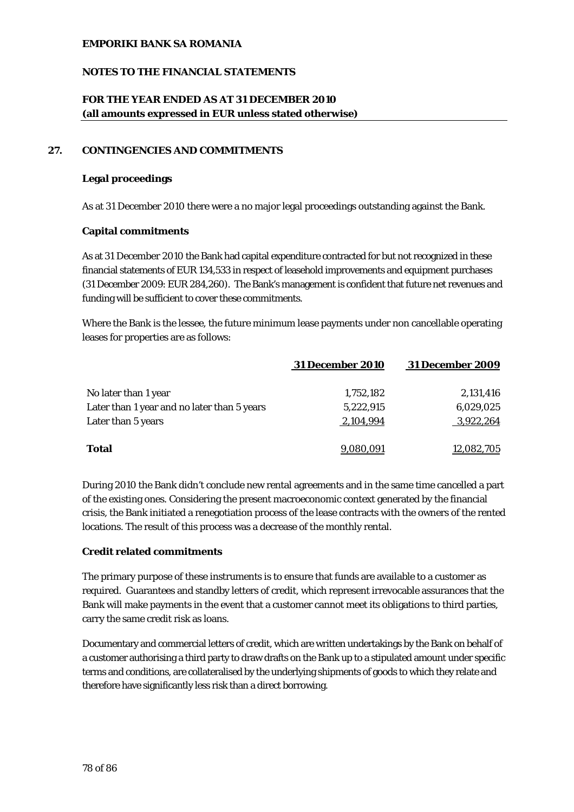## **NOTES TO THE FINANCIAL STATEMENTS**

# **FOR THE YEAR ENDED AS AT 31 DECEMBER 2010 (all amounts expressed in EUR unless stated otherwise)**

## **27. CONTINGENCIES AND COMMITMENTS**

#### **Legal proceedings**

As at 31 December 2010 there were a no major legal proceedings outstanding against the Bank.

#### **Capital commitments**

As at 31 December 2010 the Bank had capital expenditure contracted for but not recognized in these financial statements of EUR 134,533 in respect of leasehold improvements and equipment purchases (31 December 2009: EUR 284,260). The Bank's management is confident that future net revenues and funding will be sufficient to cover these commitments.

Where the Bank is the lessee, the future minimum lease payments under non cancellable operating leases for properties are as follows:

|                                             | <b>31 December 2010</b> | <b>31 December 2009</b> |
|---------------------------------------------|-------------------------|-------------------------|
| No later than 1 year                        | 1,752,182               | 2,131,416               |
| Later than 1 year and no later than 5 years | 5,222,915               | 6,029,025               |
| Later than 5 years                          | 2,104,994               | 3,922,264               |
|                                             |                         |                         |
| <b>Total</b>                                | 9.080.091               | 12,082,705              |

During 2010 the Bank didn't conclude new rental agreements and in the same time cancelled a part of the existing ones. Considering the present macroeconomic context generated by the financial crisis, the Bank initiated a renegotiation process of the lease contracts with the owners of the rented locations. The result of this process was a decrease of the monthly rental.

## **Credit related commitments**

The primary purpose of these instruments is to ensure that funds are available to a customer as required. Guarantees and standby letters of credit, which represent irrevocable assurances that the Bank will make payments in the event that a customer cannot meet its obligations to third parties, carry the same credit risk as loans.

Documentary and commercial letters of credit, which are written undertakings by the Bank on behalf of a customer authorising a third party to draw drafts on the Bank up to a stipulated amount under specific terms and conditions, are collateralised by the underlying shipments of goods to which they relate and therefore have significantly less risk than a direct borrowing.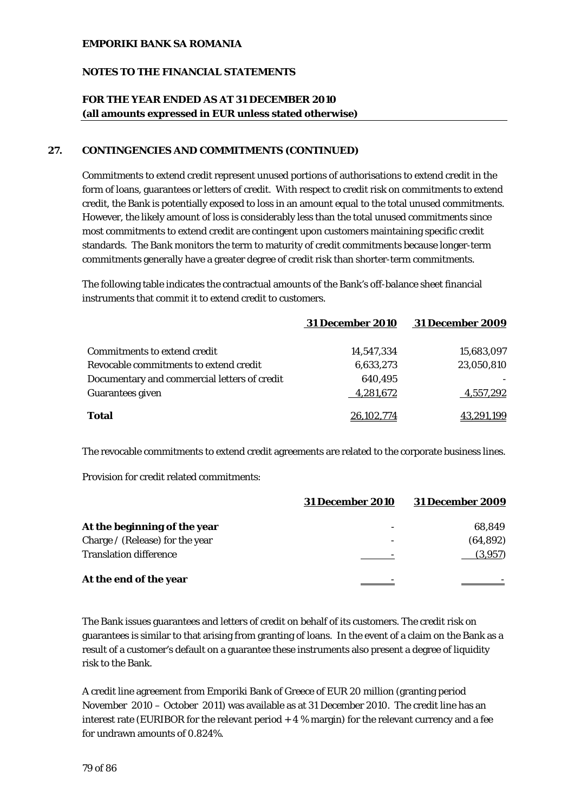## **NOTES TO THE FINANCIAL STATEMENTS**

# **FOR THE YEAR ENDED AS AT 31 DECEMBER 2010 (all amounts expressed in EUR unless stated otherwise)**

## **27. CONTINGENCIES AND COMMITMENTS (CONTINUED)**

Commitments to extend credit represent unused portions of authorisations to extend credit in the form of loans, guarantees or letters of credit. With respect to credit risk on commitments to extend credit, the Bank is potentially exposed to loss in an amount equal to the total unused commitments. However, the likely amount of loss is considerably less than the total unused commitments since most commitments to extend credit are contingent upon customers maintaining specific credit standards. The Bank monitors the term to maturity of credit commitments because longer-term commitments generally have a greater degree of credit risk than shorter-term commitments.

The following table indicates the contractual amounts of the Bank's off-balance sheet financial instruments that commit it to extend credit to customers.

|                                              | <b>31 December 2010</b> | <b>31 December 2009</b> |
|----------------------------------------------|-------------------------|-------------------------|
| <b>Commitments to extend credit</b>          | 14.547.334              | 15,683,097              |
| Revocable commitments to extend credit       | 6,633,273               | 23,050,810              |
| Documentary and commercial letters of credit | 640,495                 |                         |
| <b>Guarantees given</b>                      | 4,281,672               | 4,557,292               |
| <b>Total</b>                                 | 26.102.774              | 43,291,199              |

The revocable commitments to extend credit agreements are related to the corporate business lines.

Provision for credit related commitments:

|                                 | <b>31 December 2010</b>  | <b>31 December 2009</b> |
|---------------------------------|--------------------------|-------------------------|
| At the beginning of the year    | -                        | 68,849                  |
| Charge / (Release) for the year | $\overline{\phantom{a}}$ | (64, 892)               |
| <b>Translation difference</b>   |                          | (3,957)                 |
| At the end of the year          |                          |                         |

The Bank issues guarantees and letters of credit on behalf of its customers. The credit risk on guarantees is similar to that arising from granting of loans. In the event of a claim on the Bank as a result of a customer's default on a guarantee these instruments also present a degree of liquidity risk to the Bank.

A credit line agreement from Emporiki Bank of Greece of EUR 20 million (granting period November 2010 – October 2011) was available as at 31 December 2010. The credit line has an interest rate (EURIBOR for the relevant period  $+4\%$  margin) for the relevant currency and a fee for undrawn amounts of 0.824%.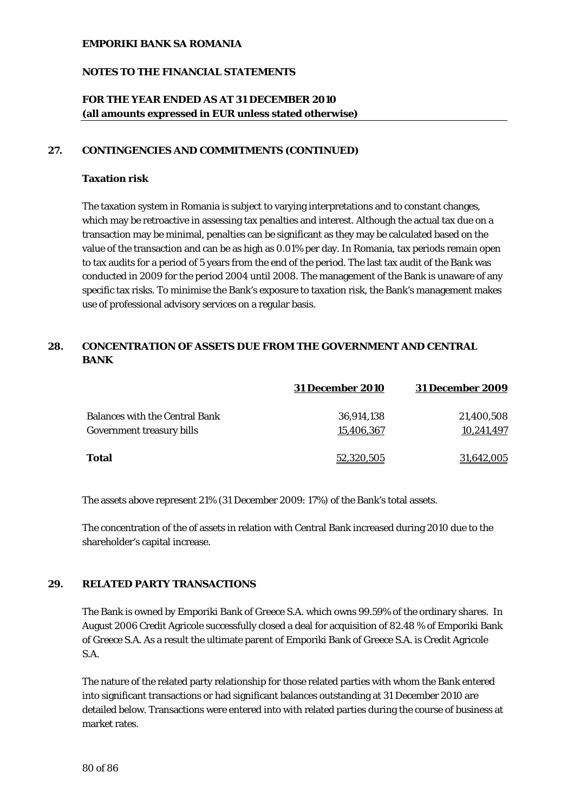## **NOTES TO THE FINANCIAL STATEMENTS**

# **FOR THE YEAR ENDED AS AT 31 DECEMBER 2010 (all amounts expressed in EUR unless stated otherwise)**

#### **27. CONTINGENCIES AND COMMITMENTS (CONTINUED)**

### **Taxation risk**

The taxation system in Romania is subject to varying interpretations and to constant changes, which may be retroactive in assessing tax penalties and interest. Although the actual tax due on a transaction may be minimal, penalties can be significant as they may be calculated based on the value of the transaction and can be as high as 0.01% per day. In Romania, tax periods remain open to tax audits for a period of 5 years from the end of the period. The last tax audit of the Bank was conducted in 2009 for the period 2004 until 2008. The management of the Bank is unaware of any specific tax risks. To minimise the Bank's exposure to taxation risk, the Bank's management makes use of professional advisory services on a regular basis.

# **28. CONCENTRATION OF ASSETS DUE FROM THE GOVERNMENT AND CENTRAL BANK**

|                                       | <b>31 December 2010</b> | <b>31 December 2009</b> |
|---------------------------------------|-------------------------|-------------------------|
| <b>Balances with the Central Bank</b> | 36,914,138              | 21,400,508              |
| Government treasury bills             | 15,406,367              | 10.241.497              |
| Total                                 | 52,320,505              | 31.642.005              |

The assets above represent 21% (31 December 2009: 17%) of the Bank's total assets.

The concentration of the of assets in relation with Central Bank increased during 2010 due to the shareholder's capital increase.

## **29. RELATED PARTY TRANSACTIONS**

The Bank is owned by Emporiki Bank of Greece S.A. which owns 99.59% of the ordinary shares. In August 2006 Credit Agricole successfully closed a deal for acquisition of 82.48 % of Emporiki Bank of Greece S.A. As a result the ultimate parent of Emporiki Bank of Greece S.A. is Credit Agricole S.A.

The nature of the related party relationship for those related parties with whom the Bank entered into significant transactions or had significant balances outstanding at 31 December 2010 are detailed below. Transactions were entered into with related parties during the course of business at market rates.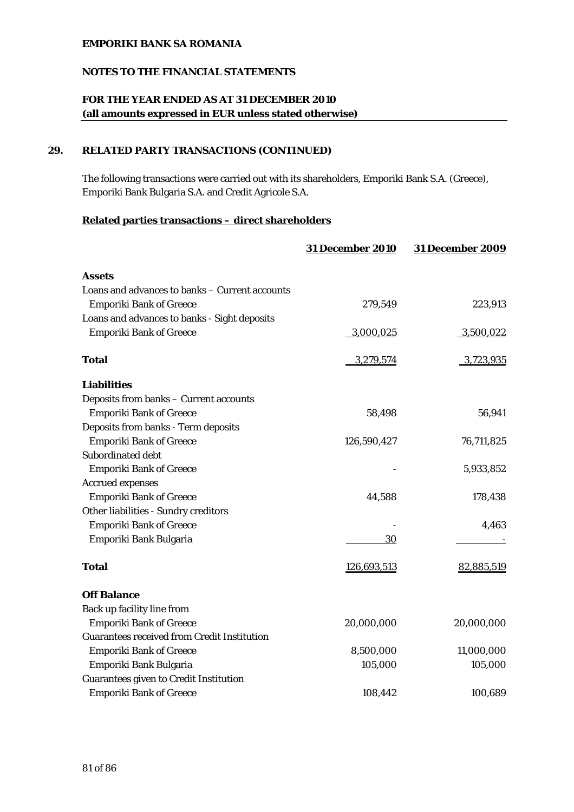# **NOTES TO THE FINANCIAL STATEMENTS**

# **FOR THE YEAR ENDED AS AT 31 DECEMBER 2010 (all amounts expressed in EUR unless stated otherwise)**

# **29. RELATED PARTY TRANSACTIONS (CONTINUED)**

The following transactions were carried out with its shareholders, Emporiki Bank S.A. (Greece), Emporiki Bank Bulgaria S.A. and Credit Agricole S.A.

## **Related parties transactions – direct shareholders**

|                                                    | <b>31 December 2010</b> | <b>31 December 2009</b> |
|----------------------------------------------------|-------------------------|-------------------------|
| <b>Assets</b>                                      |                         |                         |
| Loans and advances to banks - Current accounts     |                         |                         |
| <b>Emporiki Bank of Greece</b>                     | 279,549                 | 223,913                 |
| Loans and advances to banks - Sight deposits       |                         |                         |
| <b>Emporiki Bank of Greece</b>                     | 3,000,025               | 3,500,022               |
| <b>Total</b>                                       | 3,279,574               | 3,723,935               |
| <b>Liabilities</b>                                 |                         |                         |
| Deposits from banks - Current accounts             |                         |                         |
| <b>Emporiki Bank of Greece</b>                     | 58,498                  | 56,941                  |
| Deposits from banks - Term deposits                |                         |                         |
| <b>Emporiki Bank of Greece</b>                     | 126,590,427             | 76,711,825              |
| Subordinated debt                                  |                         |                         |
| <b>Emporiki Bank of Greece</b>                     |                         | 5,933,852               |
| <b>Accrued expenses</b>                            |                         |                         |
| <b>Emporiki Bank of Greece</b>                     | 44,588                  | 178,438                 |
| Other liabilities - Sundry creditors               |                         |                         |
| <b>Emporiki Bank of Greece</b>                     |                         | 4,463                   |
| Emporiki Bank Bulgaria                             | 30                      |                         |
| <b>Total</b>                                       | 126,693,513             | 82,885,519              |
| <b>Off Balance</b>                                 |                         |                         |
| Back up facility line from                         |                         |                         |
| <b>Emporiki Bank of Greece</b>                     | 20,000,000              | 20,000,000              |
| <b>Guarantees received from Credit Institution</b> |                         |                         |
| <b>Emporiki Bank of Greece</b>                     | 8,500,000               | 11,000,000              |
| Emporiki Bank Bulgaria                             | 105,000                 | 105,000                 |
| <b>Guarantees given to Credit Institution</b>      |                         |                         |
| <b>Emporiki Bank of Greece</b>                     | 108,442                 | 100,689                 |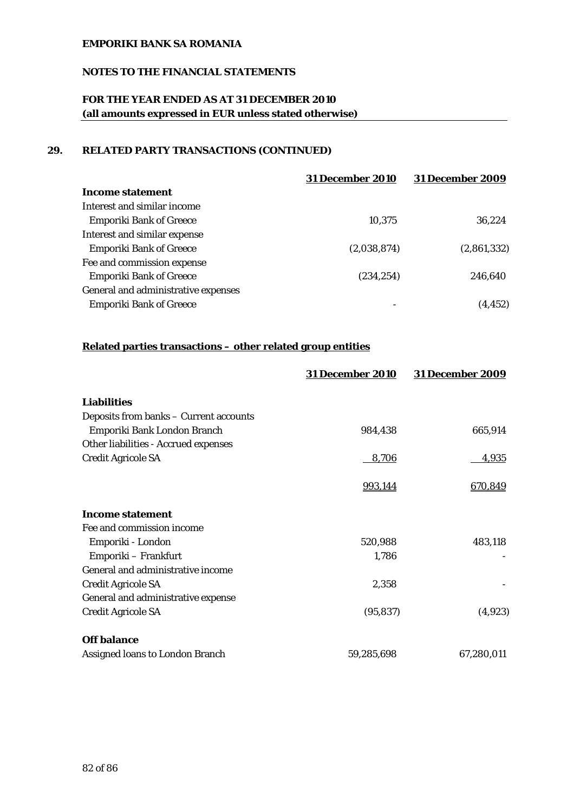# **NOTES TO THE FINANCIAL STATEMENTS**

# **FOR THE YEAR ENDED AS AT 31 DECEMBER 2010 (all amounts expressed in EUR unless stated otherwise)**

# **29. RELATED PARTY TRANSACTIONS (CONTINUED)**

|                                     | <b>31 December 2010</b> | <b>31 December 2009</b> |
|-------------------------------------|-------------------------|-------------------------|
| Income statement                    |                         |                         |
| Interest and similar income         |                         |                         |
| <b>Emporiki Bank of Greece</b>      | 10,375                  | 36.224                  |
| Interest and similar expense        |                         |                         |
| <b>Emporiki Bank of Greece</b>      | (2,038,874)             | (2,861,332)             |
| Fee and commission expense          |                         |                         |
| <b>Emporiki Bank of Greece</b>      | (234, 254)              | 246,640                 |
| General and administrative expenses |                         |                         |
| <b>Emporiki Bank of Greece</b>      | -                       | (4.452)                 |

# **Related parties transactions – other related group entities**

|                                        | <b>31 December 2010</b> | <b>31 December 2009</b> |
|----------------------------------------|-------------------------|-------------------------|
| <b>Liabilities</b>                     |                         |                         |
| Deposits from banks - Current accounts |                         |                         |
| Emporiki Bank London Branch            | 984,438                 | 665,914                 |
| Other liabilities - Accrued expenses   |                         |                         |
| <b>Credit Agricole SA</b>              | 8,706                   | <u>4,935</u>            |
|                                        | 993,144                 | 670,849                 |
| <b>Income statement</b>                |                         |                         |
| Fee and commission income              |                         |                         |
| Emporiki - London                      | 520,988                 | 483,118                 |
| Emporiki – Frankfurt                   | 1,786                   |                         |
| General and administrative income      |                         |                         |
| <b>Credit Agricole SA</b>              | 2,358                   |                         |
| General and administrative expense     |                         |                         |
| <b>Credit Agricole SA</b>              | (95, 837)               | (4,923)                 |
| <b>Off balance</b>                     |                         |                         |
| Assigned loans to London Branch        | 59,285,698              | 67,280,011              |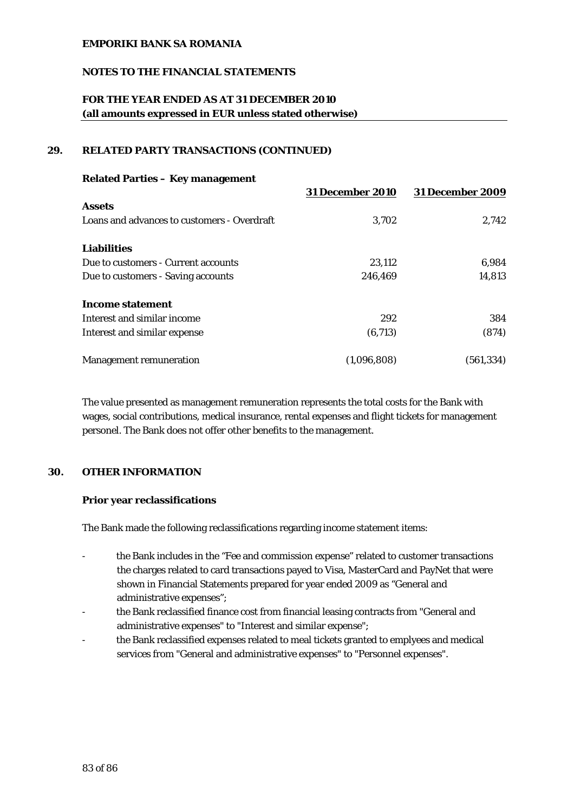## **NOTES TO THE FINANCIAL STATEMENTS**

# **FOR THE YEAR ENDED AS AT 31 DECEMBER 2010 (all amounts expressed in EUR unless stated otherwise)**

## **29. RELATED PARTY TRANSACTIONS (CONTINUED)**

| <b>Related Parties - Key management</b>     |                         |                         |  |  |
|---------------------------------------------|-------------------------|-------------------------|--|--|
|                                             | <b>31 December 2010</b> | <b>31 December 2009</b> |  |  |
| <b>Assets</b>                               |                         |                         |  |  |
| Loans and advances to customers - Overdraft | 3.702                   | 2,742                   |  |  |
| <b>Liabilities</b>                          |                         |                         |  |  |
| Due to customers - Current accounts         | 23,112                  | 6,984                   |  |  |
| Due to customers - Saving accounts          | 246,469                 | 14,813                  |  |  |
| Income statement                            |                         |                         |  |  |
| Interest and similar income                 | 292                     | 384                     |  |  |
| Interest and similar expense                | (6,713)                 | (874)                   |  |  |
| <b>Management remuneration</b>              | (1.096.808)             | (561,334)               |  |  |

The value presented as management remuneration represents the total costs for the Bank with wages, social contributions, medical insurance, rental expenses and flight tickets for management personel. The Bank does not offer other benefits to the management.

# **30. OTHER INFORMATION**

#### **Prior year reclassifications**

The Bank made the following reclassifications regarding income statement items:

- the Bank includes in the "Fee and commission expense" related to customer transactions the charges related to card transactions payed to Visa, MasterCard and PayNet that were shown in Financial Statements prepared for year ended 2009 as "General and administrative expenses";
- the Bank reclassified finance cost from financial leasing contracts from "General and administrative expenses" to "Interest and similar expense";
- the Bank reclassified expenses related to meal tickets granted to emplyees and medical services from "General and administrative expenses" to "Personnel expenses".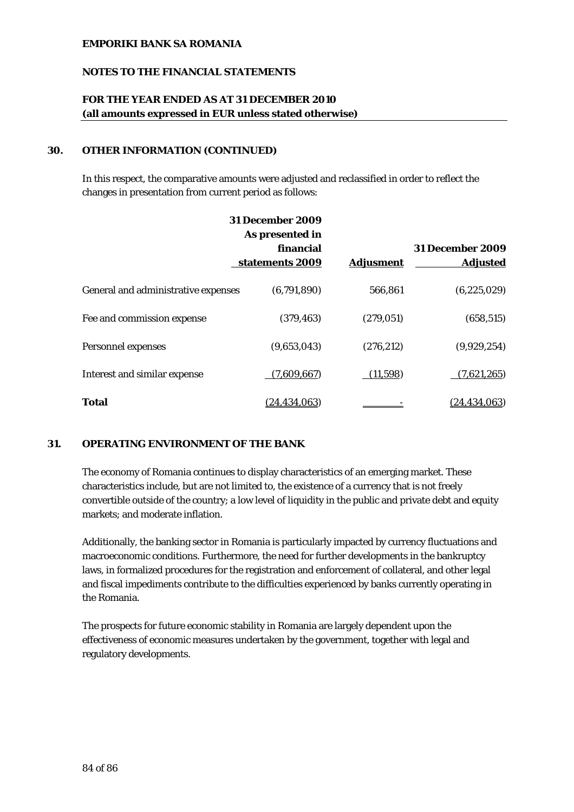## **NOTES TO THE FINANCIAL STATEMENTS**

# **FOR THE YEAR ENDED AS AT 31 DECEMBER 2010 (all amounts expressed in EUR unless stated otherwise)**

## **30. OTHER INFORMATION (CONTINUED)**

In this respect, the comparative amounts were adjusted and reclassified in order to reflect the changes in presentation from current period as follows:

|                                     | <b>31 December 2009</b><br>As presented in |                  |                                            |
|-------------------------------------|--------------------------------------------|------------------|--------------------------------------------|
|                                     | financial<br>statements 2009               | <b>Adjusment</b> | <b>31 December 2009</b><br><b>Adjusted</b> |
| General and administrative expenses | (6,791,890)                                | 566,861          | (6, 225, 029)                              |
| Fee and commission expense          | (379, 463)                                 | (279, 051)       | (658, 515)                                 |
| Personnel expenses                  | (9,653,043)                                | (276, 212)       | (9,929,254)                                |
| Interest and similar expense        | (7,609,667)                                | (11,598)         | (7,621,265)                                |
| <b>Total</b>                        | <u>(24,434,063)</u>                        |                  | (24.434.063)                               |

## **31. OPERATING ENVIRONMENT OF THE BANK**

The economy of Romania continues to display characteristics of an emerging market. These characteristics include, but are not limited to, the existence of a currency that is not freely convertible outside of the country; a low level of liquidity in the public and private debt and equity markets; and moderate inflation.

Additionally, the banking sector in Romania is particularly impacted by currency fluctuations and macroeconomic conditions. Furthermore, the need for further developments in the bankruptcy laws, in formalized procedures for the registration and enforcement of collateral, and other legal and fiscal impediments contribute to the difficulties experienced by banks currently operating in the Romania.

The prospects for future economic stability in Romania are largely dependent upon the effectiveness of economic measures undertaken by the government, together with legal and regulatory developments.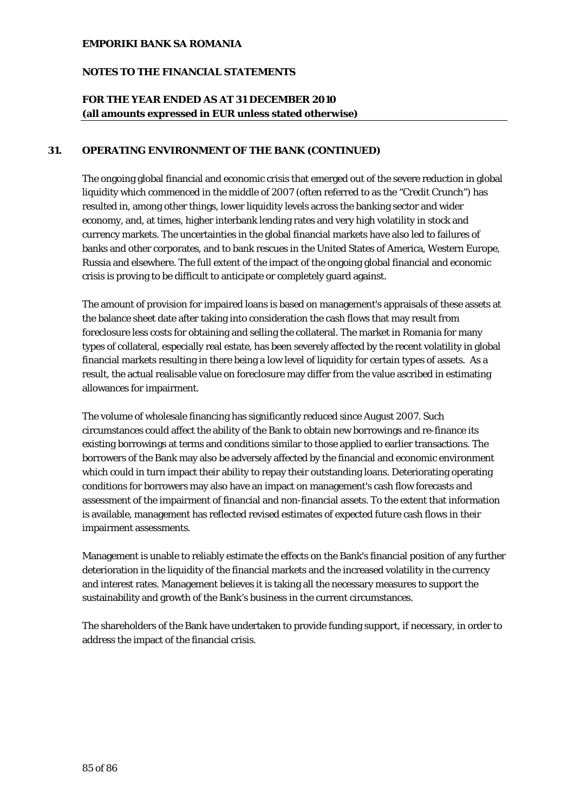## **NOTES TO THE FINANCIAL STATEMENTS**

# **FOR THE YEAR ENDED AS AT 31 DECEMBER 2010 (all amounts expressed in EUR unless stated otherwise)**

## **31. OPERATING ENVIRONMENT OF THE BANK (CONTINUED)**

The ongoing global financial and economic crisis that emerged out of the severe reduction in global liquidity which commenced in the middle of 2007 (often referred to as the "Credit Crunch") has resulted in, among other things, lower liquidity levels across the banking sector and wider economy, and, at times, higher interbank lending rates and very high volatility in stock and currency markets. The uncertainties in the global financial markets have also led to failures of banks and other corporates, and to bank rescues in the United States of America, Western Europe, Russia and elsewhere. The full extent of the impact of the ongoing global financial and economic crisis is proving to be difficult to anticipate or completely guard against.

The amount of provision for impaired loans is based on management's appraisals of these assets at the balance sheet date after taking into consideration the cash flows that may result from foreclosure less costs for obtaining and selling the collateral. The market in Romania for many types of collateral, especially real estate, has been severely affected by the recent volatility in global financial markets resulting in there being a low level of liquidity for certain types of assets. As a result, the actual realisable value on foreclosure may differ from the value ascribed in estimating allowances for impairment.

The volume of wholesale financing has significantly reduced since August 2007. Such circumstances could affect the ability of the Bank to obtain new borrowings and re-finance its existing borrowings at terms and conditions similar to those applied to earlier transactions. The borrowers of the Bank may also be adversely affected by the financial and economic environment which could in turn impact their ability to repay their outstanding loans. Deteriorating operating conditions for borrowers may also have an impact on management's cash flow forecasts and assessment of the impairment of financial and non-financial assets. To the extent that information is available, management has reflected revised estimates of expected future cash flows in their impairment assessments.

Management is unable to reliably estimate the effects on the Bank's financial position of any further deterioration in the liquidity of the financial markets and the increased volatility in the currency and interest rates. Management believes it is taking all the necessary measures to support the sustainability and growth of the Bank's business in the current circumstances.

The shareholders of the Bank have undertaken to provide funding support, if necessary, in order to address the impact of the financial crisis.